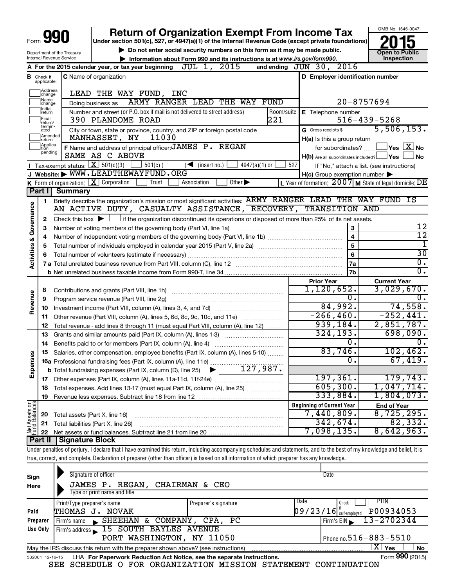|                                |                                                                                                    |                                                 | <b>Return of Organization Exempt From Income Tax</b>                                                                                                                       |                                                                                                                  | OMB No. 1545-0047                                                    |  |  |  |  |  |
|--------------------------------|----------------------------------------------------------------------------------------------------|-------------------------------------------------|----------------------------------------------------------------------------------------------------------------------------------------------------------------------------|------------------------------------------------------------------------------------------------------------------|----------------------------------------------------------------------|--|--|--|--|--|
| Form                           |                                                                                                    |                                                 | Under section 501(c), 527, or 4947(a)(1) of the Internal Revenue Code (except private foundations)                                                                         |                                                                                                                  |                                                                      |  |  |  |  |  |
| Department of the Treasury     |                                                                                                    |                                                 | Do not enter social security numbers on this form as it may be made public.                                                                                                | <b>Open to Public</b>                                                                                            |                                                                      |  |  |  |  |  |
|                                |                                                                                                    | Internal Revenue Service                        | Information about Form 990 and its instructions is at www.irs.gov/form990.                                                                                                 |                                                                                                                  | Inspection                                                           |  |  |  |  |  |
|                                | A For the 2015 calendar year, or tax year beginning $JUL$ 1, $2015$<br>and ending $JUN$ 30, $2016$ |                                                 |                                                                                                                                                                            |                                                                                                                  |                                                                      |  |  |  |  |  |
| <b>B</b> Check if              |                                                                                                    |                                                 | C Name of organization                                                                                                                                                     | D Employer identification number                                                                                 |                                                                      |  |  |  |  |  |
|                                | applicable:                                                                                        |                                                 |                                                                                                                                                                            |                                                                                                                  |                                                                      |  |  |  |  |  |
|                                | Address<br>change                                                                                  |                                                 | LEAD THE WAY FUND, INC                                                                                                                                                     |                                                                                                                  |                                                                      |  |  |  |  |  |
|                                | Name<br>change                                                                                     |                                                 | ARMY RANGER LEAD THE WAY FUND<br>Doing business as                                                                                                                         |                                                                                                                  | $20 - 8757694$                                                       |  |  |  |  |  |
|                                | Initial<br>return                                                                                  |                                                 | Number and street (or P.O. box if mail is not delivered to street address)<br>Room/suite                                                                                   | E Telephone number                                                                                               |                                                                      |  |  |  |  |  |
|                                | Final<br>return/<br>termin-                                                                        |                                                 | 221<br>390 PLANDOME ROAD                                                                                                                                                   |                                                                                                                  | $516 - 439 - 5268$                                                   |  |  |  |  |  |
|                                | ated<br>Amended                                                                                    |                                                 | City or town, state or province, country, and ZIP or foreign postal code                                                                                                   | G Gross receipts \$                                                                                              | 5,506,153.                                                           |  |  |  |  |  |
|                                | return<br>Applica-                                                                                 |                                                 | 11030<br>MANHASSET, NY                                                                                                                                                     | H(a) Is this a group return                                                                                      |                                                                      |  |  |  |  |  |
|                                | tion<br>pending                                                                                    |                                                 | F Name and address of principal officer: JAMES P. REGAN                                                                                                                    |                                                                                                                  | for subordinates? $\boxed{\phantom{a}}$ Yes $\boxed{\phantom{a}}$ No |  |  |  |  |  |
|                                |                                                                                                    |                                                 | SAME AS C ABOVE                                                                                                                                                            | $H(b)$ Are all subordinates included? $\Box$ Yes                                                                 | <b>No</b>                                                            |  |  |  |  |  |
|                                |                                                                                                    | <b>I</b> Tax-exempt status: $X \over 301(c)(3)$ | $501(c)$ (<br>$\sqrt{\bullet}$ (insert no.)<br>$4947(a)(1)$ or                                                                                                             | 527                                                                                                              | If "No," attach a list. (see instructions)                           |  |  |  |  |  |
|                                |                                                                                                    |                                                 | J Website: WWW.LEADTHEWAYFUND.ORG<br>K Form of organization: $X$ Corporation<br>Trust<br>Association<br>Other $\blacktriangleright$                                        | $H(c)$ Group exemption number $\blacktriangleright$<br>L Year of formation: $2007$ M State of legal domicile: DE |                                                                      |  |  |  |  |  |
| Part I                         |                                                                                                    | Summary                                         |                                                                                                                                                                            |                                                                                                                  |                                                                      |  |  |  |  |  |
|                                | 1                                                                                                  |                                                 | Briefly describe the organization's mission or most significant activities: ARMY RANGER LEAD THE WAY FUND IS                                                               |                                                                                                                  |                                                                      |  |  |  |  |  |
| Governance                     |                                                                                                    |                                                 | AN ACTIVE DUTY, CASUALTY ASSISTANCE, RECOVERY, TRANSITION AND                                                                                                              |                                                                                                                  |                                                                      |  |  |  |  |  |
|                                | 2                                                                                                  |                                                 | Check this box $\blacktriangleright$ $\Box$ if the organization discontinued its operations or disposed of more than 25% of its net assets.                                |                                                                                                                  |                                                                      |  |  |  |  |  |
|                                | З                                                                                                  |                                                 | Number of voting members of the governing body (Part VI, line 1a)                                                                                                          | 3                                                                                                                | 12                                                                   |  |  |  |  |  |
|                                | 4                                                                                                  |                                                 |                                                                                                                                                                            | $\overline{4}$                                                                                                   | $\overline{12}$                                                      |  |  |  |  |  |
| જ                              | 5                                                                                                  |                                                 |                                                                                                                                                                            | 5                                                                                                                | $\mathbf 1$                                                          |  |  |  |  |  |
| <b>Activities</b>              | 6                                                                                                  |                                                 |                                                                                                                                                                            | 6                                                                                                                | $\overline{30}$                                                      |  |  |  |  |  |
|                                |                                                                                                    |                                                 |                                                                                                                                                                            | 7a                                                                                                               | $\overline{0}$ .                                                     |  |  |  |  |  |
|                                |                                                                                                    |                                                 |                                                                                                                                                                            | <b>7b</b>                                                                                                        | $\overline{0}$ .                                                     |  |  |  |  |  |
|                                |                                                                                                    |                                                 |                                                                                                                                                                            | <b>Prior Year</b>                                                                                                | <b>Current Year</b>                                                  |  |  |  |  |  |
|                                | 8                                                                                                  |                                                 | Contributions and grants (Part VIII, line 1h)                                                                                                                              | 1,120,652.                                                                                                       | 3,029,670.                                                           |  |  |  |  |  |
| Revenue                        | 9                                                                                                  |                                                 | Program service revenue (Part VIII, line 2g)                                                                                                                               | 0.                                                                                                               | 0.                                                                   |  |  |  |  |  |
|                                | 10                                                                                                 |                                                 |                                                                                                                                                                            | 84,992.                                                                                                          | 74,558.                                                              |  |  |  |  |  |
|                                | 11                                                                                                 |                                                 | Other revenue (Part VIII, column (A), lines 5, 6d, 8c, 9c, 10c, and 11e)                                                                                                   | $-266, 460.$                                                                                                     | $-252,441.$                                                          |  |  |  |  |  |
|                                | 12                                                                                                 |                                                 | Total revenue - add lines 8 through 11 (must equal Part VIII, column (A), line 12)                                                                                         | 939,184.                                                                                                         | 2,851,787.                                                           |  |  |  |  |  |
|                                | 13                                                                                                 |                                                 | Grants and similar amounts paid (Part IX, column (A), lines 1-3)                                                                                                           | 324, 193.<br>Ο.                                                                                                  | 698,090.<br>0.                                                       |  |  |  |  |  |
|                                | 14                                                                                                 |                                                 | Benefits paid to or for members (Part IX, column (A), line 4)                                                                                                              | 83,746.                                                                                                          | 102,462.                                                             |  |  |  |  |  |
| δŞ                             | 15                                                                                                 |                                                 | Salaries, other compensation, employee benefits (Part IX, column (A), lines 5-10)                                                                                          | σ.                                                                                                               | 67,419.                                                              |  |  |  |  |  |
| Expens                         |                                                                                                    |                                                 | 16a Professional fundraising fees (Part IX, column (A), line 11e)<br>127,987.                                                                                              |                                                                                                                  |                                                                      |  |  |  |  |  |
|                                |                                                                                                    |                                                 | <b>b</b> Total fundraising expenses (Part IX, column (D), line 25)                                                                                                         | 197,361.                                                                                                         | 179, 743.                                                            |  |  |  |  |  |
|                                | 17<br>18                                                                                           |                                                 | Total expenses. Add lines 13-17 (must equal Part IX, column (A), line 25)                                                                                                  | 605, 300.                                                                                                        | 1,047,714.                                                           |  |  |  |  |  |
|                                | 19                                                                                                 |                                                 |                                                                                                                                                                            | 333,884.                                                                                                         | 1,804,073.                                                           |  |  |  |  |  |
|                                |                                                                                                    |                                                 |                                                                                                                                                                            | <b>Beginning of Current Year</b>                                                                                 | <b>End of Year</b>                                                   |  |  |  |  |  |
| Net Assets or<br>Fund Balances | 20                                                                                                 | Total assets (Part X, line 16)                  |                                                                                                                                                                            | 7,440,809.                                                                                                       | 8,725,295.                                                           |  |  |  |  |  |
|                                | 21                                                                                                 |                                                 | Total liabilities (Part X, line 26)                                                                                                                                        | 342,674.                                                                                                         | 82,332.                                                              |  |  |  |  |  |
|                                | 22                                                                                                 |                                                 |                                                                                                                                                                            | 7,098,135.                                                                                                       | 8,642,963.                                                           |  |  |  |  |  |
|                                |                                                                                                    | Part II   Signature Block                       |                                                                                                                                                                            |                                                                                                                  |                                                                      |  |  |  |  |  |
|                                |                                                                                                    |                                                 | Under penalties of perjury, I declare that I have examined this return, including accompanying schedules and statements, and to the best of my knowledge and belief, it is |                                                                                                                  |                                                                      |  |  |  |  |  |
|                                |                                                                                                    |                                                 | true, correct, and complete. Declaration of preparer (other than officer) is based on all information of which preparer has any knowledge.                                 |                                                                                                                  |                                                                      |  |  |  |  |  |

| Sign<br>Here    | Signature of officer<br>JAMES P. REGAN, CHAIRMAN & CEO<br>Type or print name and title |                      | Date                                      |                              |
|-----------------|----------------------------------------------------------------------------------------|----------------------|-------------------------------------------|------------------------------|
| Paid            | Print/Type preparer's name<br>THOMAS J.<br><b>NOVAK</b>                                | Preparer's signature | Date<br>Check<br>$09/23/16$ self-employed | PTIN<br>P00934053            |
| Preparer        | SHEEHAN & COMPANY,<br>Firm's name                                                      | CPA, PC              | $Firm's EIN \blacktriangleright$          | $13 - 2702344$               |
| Use Only        | Firm's address 15 SOUTH BAYLES AVENUE                                                  |                      |                                           |                              |
|                 | PORT WASHINGTON, NY 11050                                                              |                      | Phone no. $516 - 883 - 5510$              |                              |
|                 | May the IRS discuss this return with the preparer shown above? (see instructions)      |                      |                                           | $X \mid$<br><b>No</b><br>Yes |
| 532001 12-16-15 | LHA For Paperwork Reduction Act Notice, see the separate instructions.                 |                      |                                           | Form 990 (2015)              |

SEE SCHEDULE O FOR ORGANIZATION MISSION STATEMENT CONTINUATION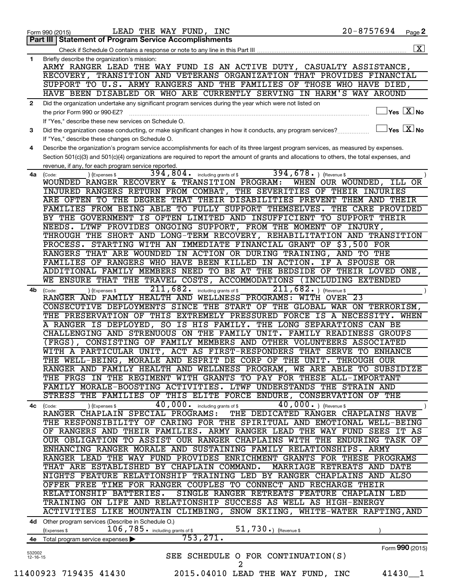|                    | LEAD THE WAY FUND, INC<br>Form 990 (2015)                                                                                                     | $20 - 8757694$           | Page 2                                            |
|--------------------|-----------------------------------------------------------------------------------------------------------------------------------------------|--------------------------|---------------------------------------------------|
|                    | <b>Statement of Program Service Accomplishments</b><br>Part III I                                                                             |                          |                                                   |
|                    |                                                                                                                                               |                          | $\overline{\mathbf{X}}$                           |
| $\mathbf{1}$       | Briefly describe the organization's mission:                                                                                                  |                          |                                                   |
|                    | ARMY RANGER LEAD THE WAY FUND IS AN ACTIVE DUTY, CASUALTY ASSISTANCE,                                                                         |                          |                                                   |
|                    | RECOVERY, TRANSITION AND VETERANS ORGANIZATION THAT PROVIDES FINANCIAL                                                                        |                          |                                                   |
|                    | SUPPORT TO U.S. ARMY RANGERS AND THE FAMILIES OF THOSE WHO HAVE DIED,                                                                         |                          |                                                   |
|                    | HAVE BEEN DISABLED OR WHO ARE CURRENTLY SERVING IN HARM'S WAY AROUND                                                                          |                          |                                                   |
| 2                  | Did the organization undertake any significant program services during the year which were not listed on                                      |                          |                                                   |
|                    | the prior Form 990 or 990-EZ?                                                                                                                 |                          | $ {\mathsf Y}\mathsf{es}\ \boxed{{\mathsf X}}$ No |
|                    | If "Yes," describe these new services on Schedule O.                                                                                          |                          |                                                   |
| 3                  | Did the organization cease conducting, or make significant changes in how it conducts, any program services?                                  |                          | $\Box$ Yes $[\overline{\mathrm{X}}]$ No           |
|                    | If "Yes," describe these changes on Schedule O.                                                                                               |                          |                                                   |
| 4                  | Describe the organization's program service accomplishments for each of its three largest program services, as measured by expenses.          |                          |                                                   |
|                    | Section 501(c)(3) and 501(c)(4) organizations are required to report the amount of grants and allocations to others, the total expenses, and  |                          |                                                   |
|                    | revenue, if any, for each program service reported.                                                                                           |                          |                                                   |
| 4a l               | 394, 678. $ $ (Revenue \$<br>$394,804$ . including grants of \$<br>(Code:<br>(Expenses \$                                                     |                          |                                                   |
|                    | WOUNDED RANGER RECOVERY & TRANSITION PROGRAM:                                                                                                 | WHEN OUR WOUNDED, ILL OR |                                                   |
|                    | INJURED RANGERS RETURN FROM COMBAT, THE SEVERITIES OF THEIR INJURIES                                                                          |                          |                                                   |
|                    | ARE OFTEN TO THE DEGREE THAT THEIR DISABILITIES PREVENT THEM AND THEIR                                                                        |                          |                                                   |
|                    | FAMILIES FROM BEING ABLE TO FULLY SUPPORT THEMSELVES. THE CARE PROVIDED                                                                       |                          |                                                   |
|                    | BY THE GOVERNMENT IS OFTEN LIMITED AND INSUFFICIENT TO SUPPORT THEIR                                                                          |                          |                                                   |
|                    | NEEDS. LTWF PROVIDES ONGOING SUPPORT, FROM THE MOMENT OF INJURY,                                                                              |                          |                                                   |
|                    | THROUGH THE SHORT AND LONG-TERM RECOVERY, REHABILITATION AND TRANSITION                                                                       |                          |                                                   |
|                    | PROCESS. STARTING WITH AN IMMEDIATE FINANCIAL GRANT OF \$3,500 FOR                                                                            |                          |                                                   |
|                    | RANGERS THAT ARE WOUNDED IN ACTION OR DURING TRAINING, AND TO THE                                                                             |                          |                                                   |
|                    | FAMILIES OF RANGERS WHO HAVE BEEN KILLED IN ACTION. IF A SPOUSE OR                                                                            |                          |                                                   |
|                    | ADDITIONAL FAMILY MEMBERS NEED TO BE AT THE BEDSIDE OF THEIR LOVED ONE,                                                                       |                          |                                                   |
|                    | WE ENSURE THAT THE TRAVEL COSTS, ACCOMMODATIONS (INCLUDING EXTENDED                                                                           |                          |                                                   |
| 4b                 | 211,682.<br>$211, 682.$ (Revenue \$<br>including grants of \$<br>(Expenses \$<br>(Code:                                                       |                          |                                                   |
|                    | RANGER AND FAMILY HEALTH AND WELLNESS PROGRAMS: WITH OVER 23                                                                                  |                          |                                                   |
|                    | CONSECUTIVE DEPLOYMENTS SINCE THE START OF THE GLOBAL WAR ON TERRORISM,                                                                       |                          |                                                   |
|                    | THE PRESERVATION OF THIS EXTREMELY PRESSURED FORCE IS A NECESSITY. WHEN                                                                       |                          |                                                   |
|                    | A RANGER IS DEPLOYED, SO IS HIS FAMILY. THE LONG SEPARATIONS CAN BE                                                                           |                          |                                                   |
|                    | CHALLENGING AND STRENUOUS ON THE FAMILY UNIT. FAMILY READINESS GROUPS                                                                         |                          |                                                   |
|                    | (FRGS), CONSISTING OF FAMILY MEMBERS AND OTHER VOLUNTEERS ASSOCIATED<br>WITH A PARTICULAR UNIT, ACT AS FIRST-RESPONDERS THAT SERVE TO ENHANCE |                          |                                                   |
|                    | THE WELL-BEING, MORALE AND ESPRIT DE CORP OF THE UNIT. THROUGH OUR                                                                            |                          |                                                   |
|                    | RANGER AND FAMILY HEALTH AND WELLNESS PROGRAM, WE ARE ABLE TO SUBSIDIZE                                                                       |                          |                                                   |
|                    | THE FRGS IN THE REGIMENT WITH GRANTS TO PAY FOR THESE ALL-IMPORTANT                                                                           |                          |                                                   |
|                    | FAMILY MORALE-BOOSTING ACTIVITIES. LTWF UNDERSTANDS THE STRAIN AND                                                                            |                          |                                                   |
|                    | STRESS THE FAMILIES OF THIS ELITE FORCE ENDURE, CONSERVATION OF THE                                                                           |                          |                                                   |
|                    | 40,000 - including grants of \$<br>$40,000.$ (Revenue \$)                                                                                     |                          |                                                   |
|                    | 4c (Code:<br>(Expenses \$<br>RANGER CHAPLAIN SPECIAL PROGRAMS:<br>THE DEDICATED RANGER CHAPLAINS HAVE                                         |                          |                                                   |
|                    | THE RESPONSIBILITY OF CARING FOR THE SPIRITUAL AND EMOTIONAL WELL-BEING                                                                       |                          |                                                   |
|                    | OF RANGERS AND THEIR FAMILIES. ARMY RANGER LEAD THE WAY FUND SEES IT AS                                                                       |                          |                                                   |
|                    | OUR OBLIGATION TO ASSIST OUR RANGER CHAPLAINS WITH THE ENDURING TASK OF                                                                       |                          |                                                   |
|                    | ENHANCING RANGER MORALE AND SUSTAINING FAMILY RELATIONSHIPS. ARMY                                                                             |                          |                                                   |
|                    | RANGER LEAD THE WAY FUND PROVIDES ENRICHMENT GRANTS FOR THESE PROGRAMS                                                                        |                          |                                                   |
|                    | THAT ARE ESTABLISHED BY CHAPLAIN COMMAND.<br>MARRIAGE RETREATS AND DATE                                                                       |                          |                                                   |
|                    | NIGHTS FEATURE RELATIONSHIP TRAINING LED BY RANGER CHAPLAINS AND ALSO                                                                         |                          |                                                   |
|                    | OFFER FREE TIME FOR RANGER COUPLES TO CONNECT AND RECHARGE THEIR                                                                              |                          |                                                   |
|                    | RELATIONSHIP BATTERIES.<br>SINGLE RANGER RETREATS FEATURE CHAPLAIN LED                                                                        |                          |                                                   |
|                    | TRAINING ON LIFE AND RELATIONSHIP SUCCESS AS WELL AS HIGH-ENERGY                                                                              |                          |                                                   |
|                    | ACTIVITIES LIKE MOUNTAIN CLIMBING, SNOW SKIING, WHITE-WATER RAFTING, AND                                                                      |                          |                                                   |
|                    |                                                                                                                                               |                          |                                                   |
|                    | 4d Other program services (Describe in Schedule O.)                                                                                           |                          |                                                   |
|                    | 51,730.) (Revenue \$<br>$106$ , $785$ $\cdot$ including grants of \$<br>(Expenses \$                                                          |                          |                                                   |
| 4e                 | 753,271.<br>Total program service expenses >                                                                                                  |                          |                                                   |
|                    |                                                                                                                                               |                          | Form 990 (2015)                                   |
| 532002<br>12-16-15 | SEE SCHEDULE O FOR CONTINUATION(S)                                                                                                            |                          |                                                   |
|                    | 2                                                                                                                                             |                          |                                                   |
|                    | 11400923 719435 41430<br>2015.04010 LEAD THE WAY FUND, INC                                                                                    |                          | $41430 - 1$                                       |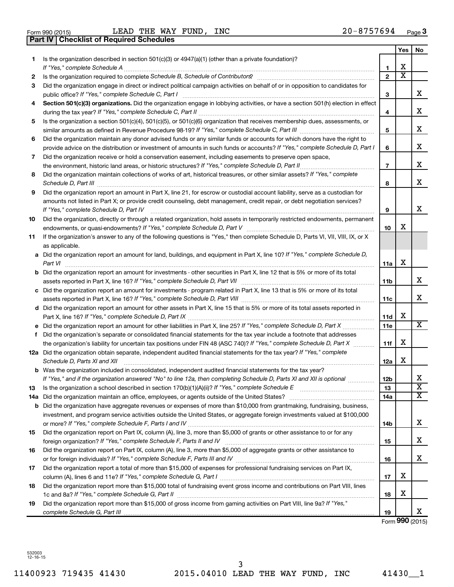**Part IV Checklist of Required Schedules**

 $\frac{1}{100}$  (2015) LEAD THE WAY FUND, INC  $\frac{1}{100}$  and  $\frac{20-8}{3}$  / 570 94  $\frac{2}{900}$ LEAD THE WAY FUND, INC

|    |                                                                                                                                                                                                                                                                                                                                                                     |                | Yes                   | No.                     |
|----|---------------------------------------------------------------------------------------------------------------------------------------------------------------------------------------------------------------------------------------------------------------------------------------------------------------------------------------------------------------------|----------------|-----------------------|-------------------------|
| 1  | Is the organization described in section $501(c)(3)$ or $4947(a)(1)$ (other than a private foundation)?                                                                                                                                                                                                                                                             |                |                       |                         |
|    |                                                                                                                                                                                                                                                                                                                                                                     | 1              | х                     |                         |
| 2  |                                                                                                                                                                                                                                                                                                                                                                     | $\overline{2}$ | $\overline{\text{x}}$ |                         |
| 3  | Did the organization engage in direct or indirect political campaign activities on behalf of or in opposition to candidates for                                                                                                                                                                                                                                     |                |                       | x                       |
|    | public office? If "Yes," complete Schedule C, Part I [11] [11] [12] [12] [12] [12] [13] [13] [13] [13] [13] [1                                                                                                                                                                                                                                                      | З              |                       |                         |
| 4  | Section 501(c)(3) organizations. Did the organization engage in lobbying activities, or have a section 501(h) election in effect                                                                                                                                                                                                                                    | 4              |                       | x                       |
| 5  | Is the organization a section 501(c)(4), 501(c)(5), or 501(c)(6) organization that receives membership dues, assessments, or                                                                                                                                                                                                                                        |                |                       |                         |
|    |                                                                                                                                                                                                                                                                                                                                                                     | 5              |                       | x                       |
| 6  | Did the organization maintain any donor advised funds or any similar funds or accounts for which donors have the right to                                                                                                                                                                                                                                           |                |                       |                         |
|    | provide advice on the distribution or investment of amounts in such funds or accounts? If "Yes," complete Schedule D, Part I                                                                                                                                                                                                                                        | 6              |                       | x                       |
| 7  | Did the organization receive or hold a conservation easement, including easements to preserve open space,                                                                                                                                                                                                                                                           |                |                       |                         |
|    |                                                                                                                                                                                                                                                                                                                                                                     | $\overline{7}$ |                       | x                       |
| 8  | Did the organization maintain collections of works of art, historical treasures, or other similar assets? If "Yes," complete<br>Schedule D, Part III <b>Marting Community</b> Contains a series of the contact of the contact of the contact of the contact of the contact of the contact of the contact of the contact of the contact of the contact of the contac | 8              |                       | x                       |
| 9  | Did the organization report an amount in Part X, line 21, for escrow or custodial account liability, serve as a custodian for                                                                                                                                                                                                                                       |                |                       |                         |
|    | amounts not listed in Part X; or provide credit counseling, debt management, credit repair, or debt negotiation services?                                                                                                                                                                                                                                           |                |                       |                         |
|    | If "Yes," complete Schedule D, Part IV                                                                                                                                                                                                                                                                                                                              | 9              |                       | x                       |
| 10 | Did the organization, directly or through a related organization, hold assets in temporarily restricted endowments, permanent                                                                                                                                                                                                                                       |                |                       |                         |
|    |                                                                                                                                                                                                                                                                                                                                                                     | 10             | x                     |                         |
| 11 | If the organization's answer to any of the following questions is "Yes," then complete Schedule D, Parts VI, VIII, VIII, IX, or X                                                                                                                                                                                                                                   |                |                       |                         |
|    | as applicable.                                                                                                                                                                                                                                                                                                                                                      |                |                       |                         |
|    | a Did the organization report an amount for land, buildings, and equipment in Part X, line 10? If "Yes," complete Schedule D,<br>Part VI                                                                                                                                                                                                                            | 11a            | X                     |                         |
|    | <b>b</b> Did the organization report an amount for investments - other securities in Part X, line 12 that is 5% or more of its total                                                                                                                                                                                                                                |                |                       |                         |
|    |                                                                                                                                                                                                                                                                                                                                                                     | 11b            |                       | x                       |
|    | c Did the organization report an amount for investments - program related in Part X, line 13 that is 5% or more of its total                                                                                                                                                                                                                                        |                |                       |                         |
|    |                                                                                                                                                                                                                                                                                                                                                                     | 11c            |                       | x                       |
|    | d Did the organization report an amount for other assets in Part X, line 15 that is 5% or more of its total assets reported in                                                                                                                                                                                                                                      |                | х                     |                         |
|    | e Did the organization report an amount for other liabilities in Part X, line 25? If "Yes," complete Schedule D, Part X                                                                                                                                                                                                                                             | 11d<br>11e     |                       | X                       |
| f  | Did the organization's separate or consolidated financial statements for the tax year include a footnote that addresses                                                                                                                                                                                                                                             |                |                       |                         |
|    | the organization's liability for uncertain tax positions under FIN 48 (ASC 740)? If "Yes," complete Schedule D, Part X                                                                                                                                                                                                                                              | 11f            | х                     |                         |
|    | 12a Did the organization obtain separate, independent audited financial statements for the tax year? If "Yes," complete                                                                                                                                                                                                                                             |                |                       |                         |
|    | Schedule D, Parts XI and XII                                                                                                                                                                                                                                                                                                                                        | 12a            | х                     |                         |
|    | <b>b</b> Was the organization included in consolidated, independent audited financial statements for the tax year?                                                                                                                                                                                                                                                  |                |                       |                         |
|    | If "Yes," and if the organization answered "No" to line 12a, then completing Schedule D, Parts XI and XII is optional                                                                                                                                                                                                                                               | 12b            |                       | A                       |
| 13 |                                                                                                                                                                                                                                                                                                                                                                     | 13             |                       | $\overline{\textbf{x}}$ |
|    |                                                                                                                                                                                                                                                                                                                                                                     | 14a            |                       | $\overline{\text{X}}$   |
|    | <b>b</b> Did the organization have aggregate revenues or expenses of more than \$10,000 from grantmaking, fundraising, business,                                                                                                                                                                                                                                    |                |                       |                         |
|    | investment, and program service activities outside the United States, or aggregate foreign investments valued at \$100,000                                                                                                                                                                                                                                          |                |                       |                         |
|    |                                                                                                                                                                                                                                                                                                                                                                     | 14b            |                       | x                       |
| 15 | Did the organization report on Part IX, column (A), line 3, more than \$5,000 of grants or other assistance to or for any                                                                                                                                                                                                                                           |                |                       |                         |
|    |                                                                                                                                                                                                                                                                                                                                                                     | 15             |                       | x                       |
| 16 | Did the organization report on Part IX, column (A), line 3, more than \$5,000 of aggregate grants or other assistance to                                                                                                                                                                                                                                            | 16             |                       | x                       |
| 17 | Did the organization report a total of more than \$15,000 of expenses for professional fundraising services on Part IX,                                                                                                                                                                                                                                             |                |                       |                         |
|    |                                                                                                                                                                                                                                                                                                                                                                     | 17             | х                     |                         |
| 18 | Did the organization report more than \$15,000 total of fundraising event gross income and contributions on Part VIII. lines                                                                                                                                                                                                                                        |                |                       |                         |
|    |                                                                                                                                                                                                                                                                                                                                                                     | 18             | х                     |                         |
| 19 | Did the organization report more than \$15,000 of gross income from gaming activities on Part VIII, line 9a? If "Yes,"                                                                                                                                                                                                                                              |                |                       |                         |
|    |                                                                                                                                                                                                                                                                                                                                                                     | 19             |                       | x                       |

Form **990** (2015)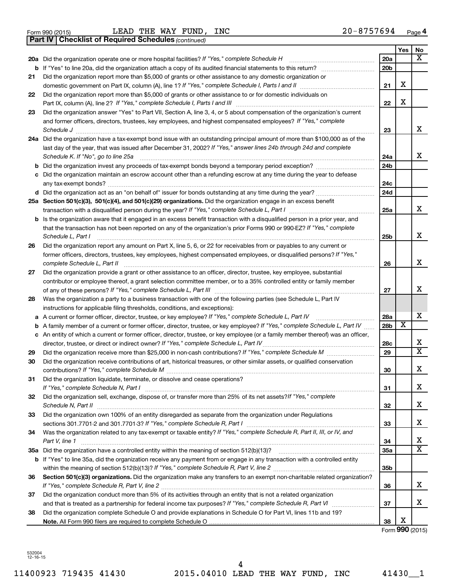Form 990 (2015) Page LEAD THE WAY FUND, INC 20-8757694

*(continued)* **Part IV Checklist of Required Schedules**

|    |                                                                                                                                                                                                                                             |                 | Yes | No                      |
|----|---------------------------------------------------------------------------------------------------------------------------------------------------------------------------------------------------------------------------------------------|-----------------|-----|-------------------------|
|    | 20a Did the organization operate one or more hospital facilities? If "Yes," complete Schedule H                                                                                                                                             | 20a             |     | X                       |
|    | <b>b</b> If "Yes" to line 20a, did the organization attach a copy of its audited financial statements to this return? <i>manaman</i>                                                                                                        | 20 <sub>b</sub> |     |                         |
| 21 | Did the organization report more than \$5,000 of grants or other assistance to any domestic organization or                                                                                                                                 |                 |     |                         |
|    |                                                                                                                                                                                                                                             | 21              | X   |                         |
| 22 | Did the organization report more than \$5,000 of grants or other assistance to or for domestic individuals on                                                                                                                               |                 |     |                         |
|    |                                                                                                                                                                                                                                             | 22              | X   |                         |
| 23 | Did the organization answer "Yes" to Part VII, Section A, line 3, 4, or 5 about compensation of the organization's current                                                                                                                  |                 |     |                         |
|    | and former officers, directors, trustees, key employees, and highest compensated employees? If "Yes," complete                                                                                                                              |                 |     |                         |
|    | Schedule J                                                                                                                                                                                                                                  | 23              |     | x                       |
|    | 24a Did the organization have a tax-exempt bond issue with an outstanding principal amount of more than \$100,000 as of the                                                                                                                 |                 |     |                         |
|    | last day of the year, that was issued after December 31, 2002? If "Yes," answer lines 24b through 24d and complete                                                                                                                          |                 |     | x                       |
|    | Schedule K. If "No", go to line 25a                                                                                                                                                                                                         | 24a             |     |                         |
| b  | Did the organization invest any proceeds of tax-exempt bonds beyond a temporary period exception?                                                                                                                                           | 24b             |     |                         |
| с  | Did the organization maintain an escrow account other than a refunding escrow at any time during the year to defease                                                                                                                        | 24c             |     |                         |
|    | d Did the organization act as an "on behalf of" issuer for bonds outstanding at any time during the year?                                                                                                                                   | 24d             |     |                         |
|    | 25a Section 501(c)(3), 501(c)(4), and 501(c)(29) organizations. Did the organization engage in an excess benefit                                                                                                                            |                 |     |                         |
|    |                                                                                                                                                                                                                                             | 25a             |     | x                       |
|    | b Is the organization aware that it engaged in an excess benefit transaction with a disqualified person in a prior year, and                                                                                                                |                 |     |                         |
|    | that the transaction has not been reported on any of the organization's prior Forms 990 or 990-EZ? If "Yes," complete                                                                                                                       |                 |     |                         |
|    | Schedule L, Part I                                                                                                                                                                                                                          | 25b             |     | x                       |
| 26 | Did the organization report any amount on Part X, line 5, 6, or 22 for receivables from or payables to any current or                                                                                                                       |                 |     |                         |
|    | former officers, directors, trustees, key employees, highest compensated employees, or disqualified persons? If "Yes,"                                                                                                                      |                 |     | x                       |
|    |                                                                                                                                                                                                                                             | 26              |     |                         |
| 27 | Did the organization provide a grant or other assistance to an officer, director, trustee, key employee, substantial<br>contributor or employee thereof, a grant selection committee member, or to a 35% controlled entity or family member |                 |     |                         |
|    | of any of these persons? If "Yes," complete Schedule L, Part III [11] [11] [12] [12] [13] [13] [13] [13] [13] [                                                                                                                             | 27              |     | x                       |
| 28 | Was the organization a party to a business transaction with one of the following parties (see Schedule L, Part IV                                                                                                                           |                 |     |                         |
|    | instructions for applicable filing thresholds, conditions, and exceptions):                                                                                                                                                                 |                 |     |                         |
| а  | A current or former officer, director, trustee, or key employee? If "Yes," complete Schedule L, Part IV                                                                                                                                     | 28a             |     | x                       |
| b  | A family member of a current or former officer, director, trustee, or key employee? If "Yes," complete Schedule L, Part IV                                                                                                                  | 28b             | X   |                         |
|    | c An entity of which a current or former officer, director, trustee, or key employee (or a family member thereof) was an officer,                                                                                                           |                 |     |                         |
|    | director, trustee, or direct or indirect owner? If "Yes," complete Schedule L, Part IV                                                                                                                                                      | 28c             |     | х                       |
| 29 | Did the organization receive more than \$25,000 in non-cash contributions? If "Yes," complete Schedule M                                                                                                                                    | 29              |     | $\overline{\mathtt{x}}$ |
| 30 | Did the organization receive contributions of art, historical treasures, or other similar assets, or qualified conservation                                                                                                                 |                 |     |                         |
|    |                                                                                                                                                                                                                                             | 30              |     | x                       |
| 31 | Did the organization liquidate, terminate, or dissolve and cease operations?                                                                                                                                                                |                 |     |                         |
|    |                                                                                                                                                                                                                                             | 31              |     | x                       |
| 32 | Did the organization sell, exchange, dispose of, or transfer more than 25% of its net assets? If "Yes," complete                                                                                                                            |                 |     | x                       |
|    | Schedule N, Part II<br>Did the organization own 100% of an entity disregarded as separate from the organization under Regulations                                                                                                           | 32              |     |                         |
| 33 |                                                                                                                                                                                                                                             | 33              |     | x                       |
| 34 | Was the organization related to any tax-exempt or taxable entity? If "Yes," complete Schedule R, Part II, III, or IV, and                                                                                                                   |                 |     |                         |
|    | Part V, line 1                                                                                                                                                                                                                              | 34              |     | x                       |
|    |                                                                                                                                                                                                                                             | <b>35a</b>      |     | $\overline{\texttt{x}}$ |
| b  | If "Yes" to line 35a, did the organization receive any payment from or engage in any transaction with a controlled entity                                                                                                                   |                 |     |                         |
|    |                                                                                                                                                                                                                                             | 35b             |     |                         |
| 36 | Section 501(c)(3) organizations. Did the organization make any transfers to an exempt non-charitable related organization?                                                                                                                  |                 |     |                         |
|    | If "Yes," complete Schedule R, Part V, line 2                                                                                                                                                                                               | 36              |     | x                       |
| 37 | Did the organization conduct more than 5% of its activities through an entity that is not a related organization                                                                                                                            |                 |     |                         |
|    |                                                                                                                                                                                                                                             | 37              |     | x                       |
| 38 | Did the organization complete Schedule O and provide explanations in Schedule O for Part VI, lines 11b and 19?                                                                                                                              |                 |     |                         |
|    |                                                                                                                                                                                                                                             | 38              | х   |                         |

Form **990** (2015)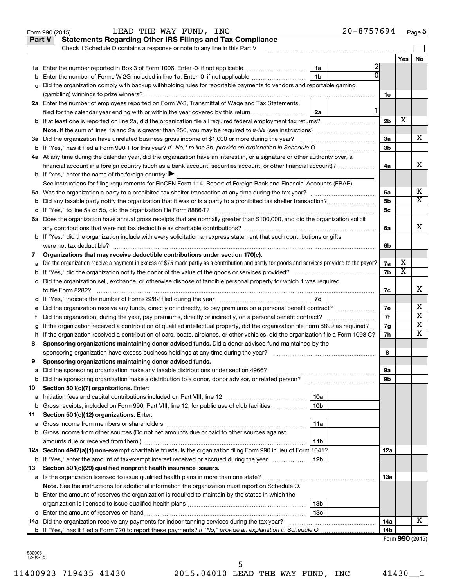| <b>Statements Regarding Other IRS Filings and Tax Compliance</b><br><b>Part V</b><br>Check if Schedule O contains a response or note to any line in this Part V<br>No<br>Yes<br>2<br>1a<br>Enter the number of Forms W-2G included in line 1a. Enter -0- if not applicable <i>manumumumum</i><br>1b<br>b<br>Did the organization comply with backup withholding rules for reportable payments to vendors and reportable gaming<br>с<br>1c<br>2a Enter the number of employees reported on Form W-3, Transmittal of Wage and Tax Statements,<br>1<br>filed for the calendar year ending with or within the year covered by this return<br>2a<br>х<br>2 <sub>b</sub><br>x<br>3a<br>3a Did the organization have unrelated business gross income of \$1,000 or more during the year?<br>3 <sub>b</sub><br><b>b</b> If "Yes," has it filed a Form 990-T for this year? If "No," to line 3b, provide an explanation in Schedule O<br>4a At any time during the calendar year, did the organization have an interest in, or a signature or other authority over, a<br>x<br>financial account in a foreign country (such as a bank account, securities account, or other financial account)?<br>4a<br><b>b</b> If "Yes," enter the name of the foreign country: $\blacktriangleright$<br>See instructions for filing requirements for FinCEN Form 114, Report of Foreign Bank and Financial Accounts (FBAR).<br>х<br>5a<br>х<br>5 <sub>b</sub><br><b>b</b> Did any taxable party notify the organization that it was or is a party to a prohibited tax shelter transaction?<br>5c<br>6a Does the organization have annual gross receipts that are normally greater than \$100,000, and did the organization solicit<br>х<br>6a<br><b>b</b> If "Yes," did the organization include with every solicitation an express statement that such contributions or gifts<br>6b<br>Organizations that may receive deductible contributions under section 170(c).<br>7<br>х<br>Did the organization receive a payment in excess of \$75 made partly as a contribution and partly for goods and services provided to the payor?<br>7a<br>а<br>$\overline{\textbf{x}}$<br>7b<br>c Did the organization sell, exchange, or otherwise dispose of tangible personal property for which it was required<br>x<br>to file Form 8282?<br>7c<br>7d<br>х<br>7e<br>e Did the organization receive any funds, directly or indirectly, to pay premiums on a personal benefit contract?<br>$\overline{\textbf{x}}$<br>7f<br>Did the organization, during the year, pay premiums, directly or indirectly, on a personal benefit contract?<br>f.<br>X<br>If the organization received a contribution of qualified intellectual property, did the organization file Form 8899 as required?<br>7g<br>g<br>х<br>7h<br>h If the organization received a contribution of cars, boats, airplanes, or other vehicles, did the organization file a Form 1098-C?<br>Sponsoring organizations maintaining donor advised funds. Did a donor advised fund maintained by the<br>8<br>sponsoring organization have excess business holdings at any time during the year?<br>8<br>Sponsoring organizations maintaining donor advised funds.<br>9<br>Did the sponsoring organization make any taxable distributions under section 4966?<br>9а<br>а<br>9b<br>b<br>Section 501(c)(7) organizations. Enter:<br>10<br>10a<br>а<br>Gross receipts, included on Form 990, Part VIII, line 12, for public use of club facilities<br>10 <sub>b</sub><br>b<br>Section 501(c)(12) organizations. Enter:<br>11<br>11a<br>а<br>Gross income from other sources (Do not net amounts due or paid to other sources against<br>b<br>11b<br>12a Section 4947(a)(1) non-exempt charitable trusts. Is the organization filing Form 990 in lieu of Form 1041?<br>12a<br>If "Yes," enter the amount of tax-exempt interest received or accrued during the year<br>12b<br>b<br>Section 501(c)(29) qualified nonprofit health insurance issuers.<br>13<br>13a<br>Note. See the instructions for additional information the organization must report on Schedule O.<br><b>b</b> Enter the amount of reserves the organization is required to maintain by the states in which the<br>13b<br>13c<br>х<br>14a<br>Did the organization receive any payments for indoor tanning services during the tax year?<br>14a<br>14b<br>Form 990 (2015) | $20 - 8757694$<br>LEAD THE WAY FUND, INC<br>Form 990 (2015) |  | Page 5 |
|----------------------------------------------------------------------------------------------------------------------------------------------------------------------------------------------------------------------------------------------------------------------------------------------------------------------------------------------------------------------------------------------------------------------------------------------------------------------------------------------------------------------------------------------------------------------------------------------------------------------------------------------------------------------------------------------------------------------------------------------------------------------------------------------------------------------------------------------------------------------------------------------------------------------------------------------------------------------------------------------------------------------------------------------------------------------------------------------------------------------------------------------------------------------------------------------------------------------------------------------------------------------------------------------------------------------------------------------------------------------------------------------------------------------------------------------------------------------------------------------------------------------------------------------------------------------------------------------------------------------------------------------------------------------------------------------------------------------------------------------------------------------------------------------------------------------------------------------------------------------------------------------------------------------------------------------------------------------------------------------------------------------------------------------------------------------------------------------------------------------------------------------------------------------------------------------------------------------------------------------------------------------------------------------------------------------------------------------------------------------------------------------------------------------------------------------------------------------------------------------------------------------------------------------------------------------------------------------------------------------------------------------------------------------------------------------------------------------------------------------------------------------------------------------------------------------------------------------------------------------------------------------------------------------------------------------------------------------------------------------------------------------------------------------------------------------------------------------------------------------------------------------------------------------------------------------------------------------------------------------------------------------------------------------------------------------------------------------------------------------------------------------------------------------------------------------------------------------------------------------------------------------------------------------------------------------------------------------------------------------------------------------------------------------------------------------------------------------------------------------------------------------------------------------------------------------------------------------------------------------------------------------------------------------------------------------------------------------------------------------------------------------------------------------------------------------------------------------------------------------------------------------------------------------------------------------------------------------------------------------------------------------------------------------------------------------------------------------------------------|-------------------------------------------------------------|--|--------|
|                                                                                                                                                                                                                                                                                                                                                                                                                                                                                                                                                                                                                                                                                                                                                                                                                                                                                                                                                                                                                                                                                                                                                                                                                                                                                                                                                                                                                                                                                                                                                                                                                                                                                                                                                                                                                                                                                                                                                                                                                                                                                                                                                                                                                                                                                                                                                                                                                                                                                                                                                                                                                                                                                                                                                                                                                                                                                                                                                                                                                                                                                                                                                                                                                                                                                                                                                                                                                                                                                                                                                                                                                                                                                                                                                                                                                                                                                                                                                                                                                                                                                                                                                                                                                                                                                                                                                                |                                                             |  |        |
|                                                                                                                                                                                                                                                                                                                                                                                                                                                                                                                                                                                                                                                                                                                                                                                                                                                                                                                                                                                                                                                                                                                                                                                                                                                                                                                                                                                                                                                                                                                                                                                                                                                                                                                                                                                                                                                                                                                                                                                                                                                                                                                                                                                                                                                                                                                                                                                                                                                                                                                                                                                                                                                                                                                                                                                                                                                                                                                                                                                                                                                                                                                                                                                                                                                                                                                                                                                                                                                                                                                                                                                                                                                                                                                                                                                                                                                                                                                                                                                                                                                                                                                                                                                                                                                                                                                                                                |                                                             |  |        |
|                                                                                                                                                                                                                                                                                                                                                                                                                                                                                                                                                                                                                                                                                                                                                                                                                                                                                                                                                                                                                                                                                                                                                                                                                                                                                                                                                                                                                                                                                                                                                                                                                                                                                                                                                                                                                                                                                                                                                                                                                                                                                                                                                                                                                                                                                                                                                                                                                                                                                                                                                                                                                                                                                                                                                                                                                                                                                                                                                                                                                                                                                                                                                                                                                                                                                                                                                                                                                                                                                                                                                                                                                                                                                                                                                                                                                                                                                                                                                                                                                                                                                                                                                                                                                                                                                                                                                                |                                                             |  |        |
|                                                                                                                                                                                                                                                                                                                                                                                                                                                                                                                                                                                                                                                                                                                                                                                                                                                                                                                                                                                                                                                                                                                                                                                                                                                                                                                                                                                                                                                                                                                                                                                                                                                                                                                                                                                                                                                                                                                                                                                                                                                                                                                                                                                                                                                                                                                                                                                                                                                                                                                                                                                                                                                                                                                                                                                                                                                                                                                                                                                                                                                                                                                                                                                                                                                                                                                                                                                                                                                                                                                                                                                                                                                                                                                                                                                                                                                                                                                                                                                                                                                                                                                                                                                                                                                                                                                                                                |                                                             |  |        |
|                                                                                                                                                                                                                                                                                                                                                                                                                                                                                                                                                                                                                                                                                                                                                                                                                                                                                                                                                                                                                                                                                                                                                                                                                                                                                                                                                                                                                                                                                                                                                                                                                                                                                                                                                                                                                                                                                                                                                                                                                                                                                                                                                                                                                                                                                                                                                                                                                                                                                                                                                                                                                                                                                                                                                                                                                                                                                                                                                                                                                                                                                                                                                                                                                                                                                                                                                                                                                                                                                                                                                                                                                                                                                                                                                                                                                                                                                                                                                                                                                                                                                                                                                                                                                                                                                                                                                                |                                                             |  |        |
|                                                                                                                                                                                                                                                                                                                                                                                                                                                                                                                                                                                                                                                                                                                                                                                                                                                                                                                                                                                                                                                                                                                                                                                                                                                                                                                                                                                                                                                                                                                                                                                                                                                                                                                                                                                                                                                                                                                                                                                                                                                                                                                                                                                                                                                                                                                                                                                                                                                                                                                                                                                                                                                                                                                                                                                                                                                                                                                                                                                                                                                                                                                                                                                                                                                                                                                                                                                                                                                                                                                                                                                                                                                                                                                                                                                                                                                                                                                                                                                                                                                                                                                                                                                                                                                                                                                                                                |                                                             |  |        |
|                                                                                                                                                                                                                                                                                                                                                                                                                                                                                                                                                                                                                                                                                                                                                                                                                                                                                                                                                                                                                                                                                                                                                                                                                                                                                                                                                                                                                                                                                                                                                                                                                                                                                                                                                                                                                                                                                                                                                                                                                                                                                                                                                                                                                                                                                                                                                                                                                                                                                                                                                                                                                                                                                                                                                                                                                                                                                                                                                                                                                                                                                                                                                                                                                                                                                                                                                                                                                                                                                                                                                                                                                                                                                                                                                                                                                                                                                                                                                                                                                                                                                                                                                                                                                                                                                                                                                                |                                                             |  |        |
|                                                                                                                                                                                                                                                                                                                                                                                                                                                                                                                                                                                                                                                                                                                                                                                                                                                                                                                                                                                                                                                                                                                                                                                                                                                                                                                                                                                                                                                                                                                                                                                                                                                                                                                                                                                                                                                                                                                                                                                                                                                                                                                                                                                                                                                                                                                                                                                                                                                                                                                                                                                                                                                                                                                                                                                                                                                                                                                                                                                                                                                                                                                                                                                                                                                                                                                                                                                                                                                                                                                                                                                                                                                                                                                                                                                                                                                                                                                                                                                                                                                                                                                                                                                                                                                                                                                                                                |                                                             |  |        |
|                                                                                                                                                                                                                                                                                                                                                                                                                                                                                                                                                                                                                                                                                                                                                                                                                                                                                                                                                                                                                                                                                                                                                                                                                                                                                                                                                                                                                                                                                                                                                                                                                                                                                                                                                                                                                                                                                                                                                                                                                                                                                                                                                                                                                                                                                                                                                                                                                                                                                                                                                                                                                                                                                                                                                                                                                                                                                                                                                                                                                                                                                                                                                                                                                                                                                                                                                                                                                                                                                                                                                                                                                                                                                                                                                                                                                                                                                                                                                                                                                                                                                                                                                                                                                                                                                                                                                                |                                                             |  |        |
|                                                                                                                                                                                                                                                                                                                                                                                                                                                                                                                                                                                                                                                                                                                                                                                                                                                                                                                                                                                                                                                                                                                                                                                                                                                                                                                                                                                                                                                                                                                                                                                                                                                                                                                                                                                                                                                                                                                                                                                                                                                                                                                                                                                                                                                                                                                                                                                                                                                                                                                                                                                                                                                                                                                                                                                                                                                                                                                                                                                                                                                                                                                                                                                                                                                                                                                                                                                                                                                                                                                                                                                                                                                                                                                                                                                                                                                                                                                                                                                                                                                                                                                                                                                                                                                                                                                                                                |                                                             |  |        |
|                                                                                                                                                                                                                                                                                                                                                                                                                                                                                                                                                                                                                                                                                                                                                                                                                                                                                                                                                                                                                                                                                                                                                                                                                                                                                                                                                                                                                                                                                                                                                                                                                                                                                                                                                                                                                                                                                                                                                                                                                                                                                                                                                                                                                                                                                                                                                                                                                                                                                                                                                                                                                                                                                                                                                                                                                                                                                                                                                                                                                                                                                                                                                                                                                                                                                                                                                                                                                                                                                                                                                                                                                                                                                                                                                                                                                                                                                                                                                                                                                                                                                                                                                                                                                                                                                                                                                                |                                                             |  |        |
|                                                                                                                                                                                                                                                                                                                                                                                                                                                                                                                                                                                                                                                                                                                                                                                                                                                                                                                                                                                                                                                                                                                                                                                                                                                                                                                                                                                                                                                                                                                                                                                                                                                                                                                                                                                                                                                                                                                                                                                                                                                                                                                                                                                                                                                                                                                                                                                                                                                                                                                                                                                                                                                                                                                                                                                                                                                                                                                                                                                                                                                                                                                                                                                                                                                                                                                                                                                                                                                                                                                                                                                                                                                                                                                                                                                                                                                                                                                                                                                                                                                                                                                                                                                                                                                                                                                                                                |                                                             |  |        |
|                                                                                                                                                                                                                                                                                                                                                                                                                                                                                                                                                                                                                                                                                                                                                                                                                                                                                                                                                                                                                                                                                                                                                                                                                                                                                                                                                                                                                                                                                                                                                                                                                                                                                                                                                                                                                                                                                                                                                                                                                                                                                                                                                                                                                                                                                                                                                                                                                                                                                                                                                                                                                                                                                                                                                                                                                                                                                                                                                                                                                                                                                                                                                                                                                                                                                                                                                                                                                                                                                                                                                                                                                                                                                                                                                                                                                                                                                                                                                                                                                                                                                                                                                                                                                                                                                                                                                                |                                                             |  |        |
|                                                                                                                                                                                                                                                                                                                                                                                                                                                                                                                                                                                                                                                                                                                                                                                                                                                                                                                                                                                                                                                                                                                                                                                                                                                                                                                                                                                                                                                                                                                                                                                                                                                                                                                                                                                                                                                                                                                                                                                                                                                                                                                                                                                                                                                                                                                                                                                                                                                                                                                                                                                                                                                                                                                                                                                                                                                                                                                                                                                                                                                                                                                                                                                                                                                                                                                                                                                                                                                                                                                                                                                                                                                                                                                                                                                                                                                                                                                                                                                                                                                                                                                                                                                                                                                                                                                                                                |                                                             |  |        |
|                                                                                                                                                                                                                                                                                                                                                                                                                                                                                                                                                                                                                                                                                                                                                                                                                                                                                                                                                                                                                                                                                                                                                                                                                                                                                                                                                                                                                                                                                                                                                                                                                                                                                                                                                                                                                                                                                                                                                                                                                                                                                                                                                                                                                                                                                                                                                                                                                                                                                                                                                                                                                                                                                                                                                                                                                                                                                                                                                                                                                                                                                                                                                                                                                                                                                                                                                                                                                                                                                                                                                                                                                                                                                                                                                                                                                                                                                                                                                                                                                                                                                                                                                                                                                                                                                                                                                                |                                                             |  |        |
|                                                                                                                                                                                                                                                                                                                                                                                                                                                                                                                                                                                                                                                                                                                                                                                                                                                                                                                                                                                                                                                                                                                                                                                                                                                                                                                                                                                                                                                                                                                                                                                                                                                                                                                                                                                                                                                                                                                                                                                                                                                                                                                                                                                                                                                                                                                                                                                                                                                                                                                                                                                                                                                                                                                                                                                                                                                                                                                                                                                                                                                                                                                                                                                                                                                                                                                                                                                                                                                                                                                                                                                                                                                                                                                                                                                                                                                                                                                                                                                                                                                                                                                                                                                                                                                                                                                                                                |                                                             |  |        |
|                                                                                                                                                                                                                                                                                                                                                                                                                                                                                                                                                                                                                                                                                                                                                                                                                                                                                                                                                                                                                                                                                                                                                                                                                                                                                                                                                                                                                                                                                                                                                                                                                                                                                                                                                                                                                                                                                                                                                                                                                                                                                                                                                                                                                                                                                                                                                                                                                                                                                                                                                                                                                                                                                                                                                                                                                                                                                                                                                                                                                                                                                                                                                                                                                                                                                                                                                                                                                                                                                                                                                                                                                                                                                                                                                                                                                                                                                                                                                                                                                                                                                                                                                                                                                                                                                                                                                                |                                                             |  |        |
|                                                                                                                                                                                                                                                                                                                                                                                                                                                                                                                                                                                                                                                                                                                                                                                                                                                                                                                                                                                                                                                                                                                                                                                                                                                                                                                                                                                                                                                                                                                                                                                                                                                                                                                                                                                                                                                                                                                                                                                                                                                                                                                                                                                                                                                                                                                                                                                                                                                                                                                                                                                                                                                                                                                                                                                                                                                                                                                                                                                                                                                                                                                                                                                                                                                                                                                                                                                                                                                                                                                                                                                                                                                                                                                                                                                                                                                                                                                                                                                                                                                                                                                                                                                                                                                                                                                                                                |                                                             |  |        |
|                                                                                                                                                                                                                                                                                                                                                                                                                                                                                                                                                                                                                                                                                                                                                                                                                                                                                                                                                                                                                                                                                                                                                                                                                                                                                                                                                                                                                                                                                                                                                                                                                                                                                                                                                                                                                                                                                                                                                                                                                                                                                                                                                                                                                                                                                                                                                                                                                                                                                                                                                                                                                                                                                                                                                                                                                                                                                                                                                                                                                                                                                                                                                                                                                                                                                                                                                                                                                                                                                                                                                                                                                                                                                                                                                                                                                                                                                                                                                                                                                                                                                                                                                                                                                                                                                                                                                                |                                                             |  |        |
|                                                                                                                                                                                                                                                                                                                                                                                                                                                                                                                                                                                                                                                                                                                                                                                                                                                                                                                                                                                                                                                                                                                                                                                                                                                                                                                                                                                                                                                                                                                                                                                                                                                                                                                                                                                                                                                                                                                                                                                                                                                                                                                                                                                                                                                                                                                                                                                                                                                                                                                                                                                                                                                                                                                                                                                                                                                                                                                                                                                                                                                                                                                                                                                                                                                                                                                                                                                                                                                                                                                                                                                                                                                                                                                                                                                                                                                                                                                                                                                                                                                                                                                                                                                                                                                                                                                                                                |                                                             |  |        |
|                                                                                                                                                                                                                                                                                                                                                                                                                                                                                                                                                                                                                                                                                                                                                                                                                                                                                                                                                                                                                                                                                                                                                                                                                                                                                                                                                                                                                                                                                                                                                                                                                                                                                                                                                                                                                                                                                                                                                                                                                                                                                                                                                                                                                                                                                                                                                                                                                                                                                                                                                                                                                                                                                                                                                                                                                                                                                                                                                                                                                                                                                                                                                                                                                                                                                                                                                                                                                                                                                                                                                                                                                                                                                                                                                                                                                                                                                                                                                                                                                                                                                                                                                                                                                                                                                                                                                                |                                                             |  |        |
|                                                                                                                                                                                                                                                                                                                                                                                                                                                                                                                                                                                                                                                                                                                                                                                                                                                                                                                                                                                                                                                                                                                                                                                                                                                                                                                                                                                                                                                                                                                                                                                                                                                                                                                                                                                                                                                                                                                                                                                                                                                                                                                                                                                                                                                                                                                                                                                                                                                                                                                                                                                                                                                                                                                                                                                                                                                                                                                                                                                                                                                                                                                                                                                                                                                                                                                                                                                                                                                                                                                                                                                                                                                                                                                                                                                                                                                                                                                                                                                                                                                                                                                                                                                                                                                                                                                                                                |                                                             |  |        |
|                                                                                                                                                                                                                                                                                                                                                                                                                                                                                                                                                                                                                                                                                                                                                                                                                                                                                                                                                                                                                                                                                                                                                                                                                                                                                                                                                                                                                                                                                                                                                                                                                                                                                                                                                                                                                                                                                                                                                                                                                                                                                                                                                                                                                                                                                                                                                                                                                                                                                                                                                                                                                                                                                                                                                                                                                                                                                                                                                                                                                                                                                                                                                                                                                                                                                                                                                                                                                                                                                                                                                                                                                                                                                                                                                                                                                                                                                                                                                                                                                                                                                                                                                                                                                                                                                                                                                                |                                                             |  |        |
|                                                                                                                                                                                                                                                                                                                                                                                                                                                                                                                                                                                                                                                                                                                                                                                                                                                                                                                                                                                                                                                                                                                                                                                                                                                                                                                                                                                                                                                                                                                                                                                                                                                                                                                                                                                                                                                                                                                                                                                                                                                                                                                                                                                                                                                                                                                                                                                                                                                                                                                                                                                                                                                                                                                                                                                                                                                                                                                                                                                                                                                                                                                                                                                                                                                                                                                                                                                                                                                                                                                                                                                                                                                                                                                                                                                                                                                                                                                                                                                                                                                                                                                                                                                                                                                                                                                                                                |                                                             |  |        |
|                                                                                                                                                                                                                                                                                                                                                                                                                                                                                                                                                                                                                                                                                                                                                                                                                                                                                                                                                                                                                                                                                                                                                                                                                                                                                                                                                                                                                                                                                                                                                                                                                                                                                                                                                                                                                                                                                                                                                                                                                                                                                                                                                                                                                                                                                                                                                                                                                                                                                                                                                                                                                                                                                                                                                                                                                                                                                                                                                                                                                                                                                                                                                                                                                                                                                                                                                                                                                                                                                                                                                                                                                                                                                                                                                                                                                                                                                                                                                                                                                                                                                                                                                                                                                                                                                                                                                                |                                                             |  |        |
|                                                                                                                                                                                                                                                                                                                                                                                                                                                                                                                                                                                                                                                                                                                                                                                                                                                                                                                                                                                                                                                                                                                                                                                                                                                                                                                                                                                                                                                                                                                                                                                                                                                                                                                                                                                                                                                                                                                                                                                                                                                                                                                                                                                                                                                                                                                                                                                                                                                                                                                                                                                                                                                                                                                                                                                                                                                                                                                                                                                                                                                                                                                                                                                                                                                                                                                                                                                                                                                                                                                                                                                                                                                                                                                                                                                                                                                                                                                                                                                                                                                                                                                                                                                                                                                                                                                                                                |                                                             |  |        |
|                                                                                                                                                                                                                                                                                                                                                                                                                                                                                                                                                                                                                                                                                                                                                                                                                                                                                                                                                                                                                                                                                                                                                                                                                                                                                                                                                                                                                                                                                                                                                                                                                                                                                                                                                                                                                                                                                                                                                                                                                                                                                                                                                                                                                                                                                                                                                                                                                                                                                                                                                                                                                                                                                                                                                                                                                                                                                                                                                                                                                                                                                                                                                                                                                                                                                                                                                                                                                                                                                                                                                                                                                                                                                                                                                                                                                                                                                                                                                                                                                                                                                                                                                                                                                                                                                                                                                                |                                                             |  |        |
|                                                                                                                                                                                                                                                                                                                                                                                                                                                                                                                                                                                                                                                                                                                                                                                                                                                                                                                                                                                                                                                                                                                                                                                                                                                                                                                                                                                                                                                                                                                                                                                                                                                                                                                                                                                                                                                                                                                                                                                                                                                                                                                                                                                                                                                                                                                                                                                                                                                                                                                                                                                                                                                                                                                                                                                                                                                                                                                                                                                                                                                                                                                                                                                                                                                                                                                                                                                                                                                                                                                                                                                                                                                                                                                                                                                                                                                                                                                                                                                                                                                                                                                                                                                                                                                                                                                                                                |                                                             |  |        |
|                                                                                                                                                                                                                                                                                                                                                                                                                                                                                                                                                                                                                                                                                                                                                                                                                                                                                                                                                                                                                                                                                                                                                                                                                                                                                                                                                                                                                                                                                                                                                                                                                                                                                                                                                                                                                                                                                                                                                                                                                                                                                                                                                                                                                                                                                                                                                                                                                                                                                                                                                                                                                                                                                                                                                                                                                                                                                                                                                                                                                                                                                                                                                                                                                                                                                                                                                                                                                                                                                                                                                                                                                                                                                                                                                                                                                                                                                                                                                                                                                                                                                                                                                                                                                                                                                                                                                                |                                                             |  |        |
|                                                                                                                                                                                                                                                                                                                                                                                                                                                                                                                                                                                                                                                                                                                                                                                                                                                                                                                                                                                                                                                                                                                                                                                                                                                                                                                                                                                                                                                                                                                                                                                                                                                                                                                                                                                                                                                                                                                                                                                                                                                                                                                                                                                                                                                                                                                                                                                                                                                                                                                                                                                                                                                                                                                                                                                                                                                                                                                                                                                                                                                                                                                                                                                                                                                                                                                                                                                                                                                                                                                                                                                                                                                                                                                                                                                                                                                                                                                                                                                                                                                                                                                                                                                                                                                                                                                                                                |                                                             |  |        |
|                                                                                                                                                                                                                                                                                                                                                                                                                                                                                                                                                                                                                                                                                                                                                                                                                                                                                                                                                                                                                                                                                                                                                                                                                                                                                                                                                                                                                                                                                                                                                                                                                                                                                                                                                                                                                                                                                                                                                                                                                                                                                                                                                                                                                                                                                                                                                                                                                                                                                                                                                                                                                                                                                                                                                                                                                                                                                                                                                                                                                                                                                                                                                                                                                                                                                                                                                                                                                                                                                                                                                                                                                                                                                                                                                                                                                                                                                                                                                                                                                                                                                                                                                                                                                                                                                                                                                                |                                                             |  |        |
|                                                                                                                                                                                                                                                                                                                                                                                                                                                                                                                                                                                                                                                                                                                                                                                                                                                                                                                                                                                                                                                                                                                                                                                                                                                                                                                                                                                                                                                                                                                                                                                                                                                                                                                                                                                                                                                                                                                                                                                                                                                                                                                                                                                                                                                                                                                                                                                                                                                                                                                                                                                                                                                                                                                                                                                                                                                                                                                                                                                                                                                                                                                                                                                                                                                                                                                                                                                                                                                                                                                                                                                                                                                                                                                                                                                                                                                                                                                                                                                                                                                                                                                                                                                                                                                                                                                                                                |                                                             |  |        |
|                                                                                                                                                                                                                                                                                                                                                                                                                                                                                                                                                                                                                                                                                                                                                                                                                                                                                                                                                                                                                                                                                                                                                                                                                                                                                                                                                                                                                                                                                                                                                                                                                                                                                                                                                                                                                                                                                                                                                                                                                                                                                                                                                                                                                                                                                                                                                                                                                                                                                                                                                                                                                                                                                                                                                                                                                                                                                                                                                                                                                                                                                                                                                                                                                                                                                                                                                                                                                                                                                                                                                                                                                                                                                                                                                                                                                                                                                                                                                                                                                                                                                                                                                                                                                                                                                                                                                                |                                                             |  |        |
|                                                                                                                                                                                                                                                                                                                                                                                                                                                                                                                                                                                                                                                                                                                                                                                                                                                                                                                                                                                                                                                                                                                                                                                                                                                                                                                                                                                                                                                                                                                                                                                                                                                                                                                                                                                                                                                                                                                                                                                                                                                                                                                                                                                                                                                                                                                                                                                                                                                                                                                                                                                                                                                                                                                                                                                                                                                                                                                                                                                                                                                                                                                                                                                                                                                                                                                                                                                                                                                                                                                                                                                                                                                                                                                                                                                                                                                                                                                                                                                                                                                                                                                                                                                                                                                                                                                                                                |                                                             |  |        |
|                                                                                                                                                                                                                                                                                                                                                                                                                                                                                                                                                                                                                                                                                                                                                                                                                                                                                                                                                                                                                                                                                                                                                                                                                                                                                                                                                                                                                                                                                                                                                                                                                                                                                                                                                                                                                                                                                                                                                                                                                                                                                                                                                                                                                                                                                                                                                                                                                                                                                                                                                                                                                                                                                                                                                                                                                                                                                                                                                                                                                                                                                                                                                                                                                                                                                                                                                                                                                                                                                                                                                                                                                                                                                                                                                                                                                                                                                                                                                                                                                                                                                                                                                                                                                                                                                                                                                                |                                                             |  |        |
|                                                                                                                                                                                                                                                                                                                                                                                                                                                                                                                                                                                                                                                                                                                                                                                                                                                                                                                                                                                                                                                                                                                                                                                                                                                                                                                                                                                                                                                                                                                                                                                                                                                                                                                                                                                                                                                                                                                                                                                                                                                                                                                                                                                                                                                                                                                                                                                                                                                                                                                                                                                                                                                                                                                                                                                                                                                                                                                                                                                                                                                                                                                                                                                                                                                                                                                                                                                                                                                                                                                                                                                                                                                                                                                                                                                                                                                                                                                                                                                                                                                                                                                                                                                                                                                                                                                                                                |                                                             |  |        |
|                                                                                                                                                                                                                                                                                                                                                                                                                                                                                                                                                                                                                                                                                                                                                                                                                                                                                                                                                                                                                                                                                                                                                                                                                                                                                                                                                                                                                                                                                                                                                                                                                                                                                                                                                                                                                                                                                                                                                                                                                                                                                                                                                                                                                                                                                                                                                                                                                                                                                                                                                                                                                                                                                                                                                                                                                                                                                                                                                                                                                                                                                                                                                                                                                                                                                                                                                                                                                                                                                                                                                                                                                                                                                                                                                                                                                                                                                                                                                                                                                                                                                                                                                                                                                                                                                                                                                                |                                                             |  |        |
|                                                                                                                                                                                                                                                                                                                                                                                                                                                                                                                                                                                                                                                                                                                                                                                                                                                                                                                                                                                                                                                                                                                                                                                                                                                                                                                                                                                                                                                                                                                                                                                                                                                                                                                                                                                                                                                                                                                                                                                                                                                                                                                                                                                                                                                                                                                                                                                                                                                                                                                                                                                                                                                                                                                                                                                                                                                                                                                                                                                                                                                                                                                                                                                                                                                                                                                                                                                                                                                                                                                                                                                                                                                                                                                                                                                                                                                                                                                                                                                                                                                                                                                                                                                                                                                                                                                                                                |                                                             |  |        |
|                                                                                                                                                                                                                                                                                                                                                                                                                                                                                                                                                                                                                                                                                                                                                                                                                                                                                                                                                                                                                                                                                                                                                                                                                                                                                                                                                                                                                                                                                                                                                                                                                                                                                                                                                                                                                                                                                                                                                                                                                                                                                                                                                                                                                                                                                                                                                                                                                                                                                                                                                                                                                                                                                                                                                                                                                                                                                                                                                                                                                                                                                                                                                                                                                                                                                                                                                                                                                                                                                                                                                                                                                                                                                                                                                                                                                                                                                                                                                                                                                                                                                                                                                                                                                                                                                                                                                                |                                                             |  |        |
|                                                                                                                                                                                                                                                                                                                                                                                                                                                                                                                                                                                                                                                                                                                                                                                                                                                                                                                                                                                                                                                                                                                                                                                                                                                                                                                                                                                                                                                                                                                                                                                                                                                                                                                                                                                                                                                                                                                                                                                                                                                                                                                                                                                                                                                                                                                                                                                                                                                                                                                                                                                                                                                                                                                                                                                                                                                                                                                                                                                                                                                                                                                                                                                                                                                                                                                                                                                                                                                                                                                                                                                                                                                                                                                                                                                                                                                                                                                                                                                                                                                                                                                                                                                                                                                                                                                                                                |                                                             |  |        |
|                                                                                                                                                                                                                                                                                                                                                                                                                                                                                                                                                                                                                                                                                                                                                                                                                                                                                                                                                                                                                                                                                                                                                                                                                                                                                                                                                                                                                                                                                                                                                                                                                                                                                                                                                                                                                                                                                                                                                                                                                                                                                                                                                                                                                                                                                                                                                                                                                                                                                                                                                                                                                                                                                                                                                                                                                                                                                                                                                                                                                                                                                                                                                                                                                                                                                                                                                                                                                                                                                                                                                                                                                                                                                                                                                                                                                                                                                                                                                                                                                                                                                                                                                                                                                                                                                                                                                                |                                                             |  |        |
|                                                                                                                                                                                                                                                                                                                                                                                                                                                                                                                                                                                                                                                                                                                                                                                                                                                                                                                                                                                                                                                                                                                                                                                                                                                                                                                                                                                                                                                                                                                                                                                                                                                                                                                                                                                                                                                                                                                                                                                                                                                                                                                                                                                                                                                                                                                                                                                                                                                                                                                                                                                                                                                                                                                                                                                                                                                                                                                                                                                                                                                                                                                                                                                                                                                                                                                                                                                                                                                                                                                                                                                                                                                                                                                                                                                                                                                                                                                                                                                                                                                                                                                                                                                                                                                                                                                                                                |                                                             |  |        |
|                                                                                                                                                                                                                                                                                                                                                                                                                                                                                                                                                                                                                                                                                                                                                                                                                                                                                                                                                                                                                                                                                                                                                                                                                                                                                                                                                                                                                                                                                                                                                                                                                                                                                                                                                                                                                                                                                                                                                                                                                                                                                                                                                                                                                                                                                                                                                                                                                                                                                                                                                                                                                                                                                                                                                                                                                                                                                                                                                                                                                                                                                                                                                                                                                                                                                                                                                                                                                                                                                                                                                                                                                                                                                                                                                                                                                                                                                                                                                                                                                                                                                                                                                                                                                                                                                                                                                                |                                                             |  |        |
|                                                                                                                                                                                                                                                                                                                                                                                                                                                                                                                                                                                                                                                                                                                                                                                                                                                                                                                                                                                                                                                                                                                                                                                                                                                                                                                                                                                                                                                                                                                                                                                                                                                                                                                                                                                                                                                                                                                                                                                                                                                                                                                                                                                                                                                                                                                                                                                                                                                                                                                                                                                                                                                                                                                                                                                                                                                                                                                                                                                                                                                                                                                                                                                                                                                                                                                                                                                                                                                                                                                                                                                                                                                                                                                                                                                                                                                                                                                                                                                                                                                                                                                                                                                                                                                                                                                                                                |                                                             |  |        |
|                                                                                                                                                                                                                                                                                                                                                                                                                                                                                                                                                                                                                                                                                                                                                                                                                                                                                                                                                                                                                                                                                                                                                                                                                                                                                                                                                                                                                                                                                                                                                                                                                                                                                                                                                                                                                                                                                                                                                                                                                                                                                                                                                                                                                                                                                                                                                                                                                                                                                                                                                                                                                                                                                                                                                                                                                                                                                                                                                                                                                                                                                                                                                                                                                                                                                                                                                                                                                                                                                                                                                                                                                                                                                                                                                                                                                                                                                                                                                                                                                                                                                                                                                                                                                                                                                                                                                                |                                                             |  |        |
|                                                                                                                                                                                                                                                                                                                                                                                                                                                                                                                                                                                                                                                                                                                                                                                                                                                                                                                                                                                                                                                                                                                                                                                                                                                                                                                                                                                                                                                                                                                                                                                                                                                                                                                                                                                                                                                                                                                                                                                                                                                                                                                                                                                                                                                                                                                                                                                                                                                                                                                                                                                                                                                                                                                                                                                                                                                                                                                                                                                                                                                                                                                                                                                                                                                                                                                                                                                                                                                                                                                                                                                                                                                                                                                                                                                                                                                                                                                                                                                                                                                                                                                                                                                                                                                                                                                                                                |                                                             |  |        |
|                                                                                                                                                                                                                                                                                                                                                                                                                                                                                                                                                                                                                                                                                                                                                                                                                                                                                                                                                                                                                                                                                                                                                                                                                                                                                                                                                                                                                                                                                                                                                                                                                                                                                                                                                                                                                                                                                                                                                                                                                                                                                                                                                                                                                                                                                                                                                                                                                                                                                                                                                                                                                                                                                                                                                                                                                                                                                                                                                                                                                                                                                                                                                                                                                                                                                                                                                                                                                                                                                                                                                                                                                                                                                                                                                                                                                                                                                                                                                                                                                                                                                                                                                                                                                                                                                                                                                                |                                                             |  |        |
|                                                                                                                                                                                                                                                                                                                                                                                                                                                                                                                                                                                                                                                                                                                                                                                                                                                                                                                                                                                                                                                                                                                                                                                                                                                                                                                                                                                                                                                                                                                                                                                                                                                                                                                                                                                                                                                                                                                                                                                                                                                                                                                                                                                                                                                                                                                                                                                                                                                                                                                                                                                                                                                                                                                                                                                                                                                                                                                                                                                                                                                                                                                                                                                                                                                                                                                                                                                                                                                                                                                                                                                                                                                                                                                                                                                                                                                                                                                                                                                                                                                                                                                                                                                                                                                                                                                                                                |                                                             |  |        |
|                                                                                                                                                                                                                                                                                                                                                                                                                                                                                                                                                                                                                                                                                                                                                                                                                                                                                                                                                                                                                                                                                                                                                                                                                                                                                                                                                                                                                                                                                                                                                                                                                                                                                                                                                                                                                                                                                                                                                                                                                                                                                                                                                                                                                                                                                                                                                                                                                                                                                                                                                                                                                                                                                                                                                                                                                                                                                                                                                                                                                                                                                                                                                                                                                                                                                                                                                                                                                                                                                                                                                                                                                                                                                                                                                                                                                                                                                                                                                                                                                                                                                                                                                                                                                                                                                                                                                                |                                                             |  |        |
|                                                                                                                                                                                                                                                                                                                                                                                                                                                                                                                                                                                                                                                                                                                                                                                                                                                                                                                                                                                                                                                                                                                                                                                                                                                                                                                                                                                                                                                                                                                                                                                                                                                                                                                                                                                                                                                                                                                                                                                                                                                                                                                                                                                                                                                                                                                                                                                                                                                                                                                                                                                                                                                                                                                                                                                                                                                                                                                                                                                                                                                                                                                                                                                                                                                                                                                                                                                                                                                                                                                                                                                                                                                                                                                                                                                                                                                                                                                                                                                                                                                                                                                                                                                                                                                                                                                                                                |                                                             |  |        |
|                                                                                                                                                                                                                                                                                                                                                                                                                                                                                                                                                                                                                                                                                                                                                                                                                                                                                                                                                                                                                                                                                                                                                                                                                                                                                                                                                                                                                                                                                                                                                                                                                                                                                                                                                                                                                                                                                                                                                                                                                                                                                                                                                                                                                                                                                                                                                                                                                                                                                                                                                                                                                                                                                                                                                                                                                                                                                                                                                                                                                                                                                                                                                                                                                                                                                                                                                                                                                                                                                                                                                                                                                                                                                                                                                                                                                                                                                                                                                                                                                                                                                                                                                                                                                                                                                                                                                                |                                                             |  |        |
|                                                                                                                                                                                                                                                                                                                                                                                                                                                                                                                                                                                                                                                                                                                                                                                                                                                                                                                                                                                                                                                                                                                                                                                                                                                                                                                                                                                                                                                                                                                                                                                                                                                                                                                                                                                                                                                                                                                                                                                                                                                                                                                                                                                                                                                                                                                                                                                                                                                                                                                                                                                                                                                                                                                                                                                                                                                                                                                                                                                                                                                                                                                                                                                                                                                                                                                                                                                                                                                                                                                                                                                                                                                                                                                                                                                                                                                                                                                                                                                                                                                                                                                                                                                                                                                                                                                                                                |                                                             |  |        |
|                                                                                                                                                                                                                                                                                                                                                                                                                                                                                                                                                                                                                                                                                                                                                                                                                                                                                                                                                                                                                                                                                                                                                                                                                                                                                                                                                                                                                                                                                                                                                                                                                                                                                                                                                                                                                                                                                                                                                                                                                                                                                                                                                                                                                                                                                                                                                                                                                                                                                                                                                                                                                                                                                                                                                                                                                                                                                                                                                                                                                                                                                                                                                                                                                                                                                                                                                                                                                                                                                                                                                                                                                                                                                                                                                                                                                                                                                                                                                                                                                                                                                                                                                                                                                                                                                                                                                                |                                                             |  |        |
|                                                                                                                                                                                                                                                                                                                                                                                                                                                                                                                                                                                                                                                                                                                                                                                                                                                                                                                                                                                                                                                                                                                                                                                                                                                                                                                                                                                                                                                                                                                                                                                                                                                                                                                                                                                                                                                                                                                                                                                                                                                                                                                                                                                                                                                                                                                                                                                                                                                                                                                                                                                                                                                                                                                                                                                                                                                                                                                                                                                                                                                                                                                                                                                                                                                                                                                                                                                                                                                                                                                                                                                                                                                                                                                                                                                                                                                                                                                                                                                                                                                                                                                                                                                                                                                                                                                                                                |                                                             |  |        |
|                                                                                                                                                                                                                                                                                                                                                                                                                                                                                                                                                                                                                                                                                                                                                                                                                                                                                                                                                                                                                                                                                                                                                                                                                                                                                                                                                                                                                                                                                                                                                                                                                                                                                                                                                                                                                                                                                                                                                                                                                                                                                                                                                                                                                                                                                                                                                                                                                                                                                                                                                                                                                                                                                                                                                                                                                                                                                                                                                                                                                                                                                                                                                                                                                                                                                                                                                                                                                                                                                                                                                                                                                                                                                                                                                                                                                                                                                                                                                                                                                                                                                                                                                                                                                                                                                                                                                                |                                                             |  |        |
|                                                                                                                                                                                                                                                                                                                                                                                                                                                                                                                                                                                                                                                                                                                                                                                                                                                                                                                                                                                                                                                                                                                                                                                                                                                                                                                                                                                                                                                                                                                                                                                                                                                                                                                                                                                                                                                                                                                                                                                                                                                                                                                                                                                                                                                                                                                                                                                                                                                                                                                                                                                                                                                                                                                                                                                                                                                                                                                                                                                                                                                                                                                                                                                                                                                                                                                                                                                                                                                                                                                                                                                                                                                                                                                                                                                                                                                                                                                                                                                                                                                                                                                                                                                                                                                                                                                                                                |                                                             |  |        |
|                                                                                                                                                                                                                                                                                                                                                                                                                                                                                                                                                                                                                                                                                                                                                                                                                                                                                                                                                                                                                                                                                                                                                                                                                                                                                                                                                                                                                                                                                                                                                                                                                                                                                                                                                                                                                                                                                                                                                                                                                                                                                                                                                                                                                                                                                                                                                                                                                                                                                                                                                                                                                                                                                                                                                                                                                                                                                                                                                                                                                                                                                                                                                                                                                                                                                                                                                                                                                                                                                                                                                                                                                                                                                                                                                                                                                                                                                                                                                                                                                                                                                                                                                                                                                                                                                                                                                                |                                                             |  |        |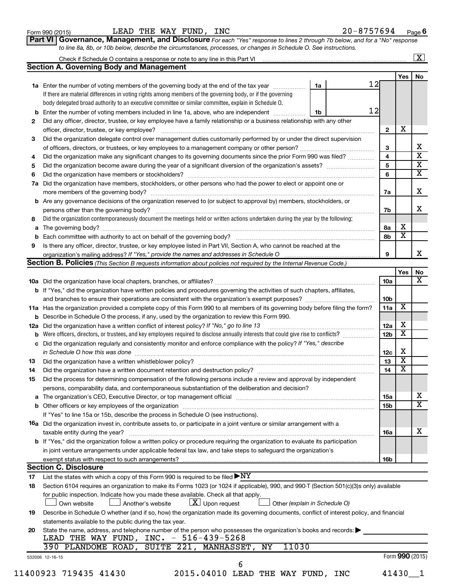| Form 990 (2015) |  |  |
|-----------------|--|--|
|-----------------|--|--|

#### Form 990 (2015) Page LEAD THE WAY FUND, INC 20-8757694

| Part VI   Governance, Management, and Disclosure For each "Yes" response to lines 2 through 7b below, and for a "No" response |
|-------------------------------------------------------------------------------------------------------------------------------|
| to line 8a, 8b, or 10b below, describe the circumstances, processes, or changes in Schedule O. See instructions.              |

|     | Check if Schedule O contains a response or note to any line in this Part VI                                                                                                                                                    |                               |                         |                         | $\overline{\mathbf{x}}$ |
|-----|--------------------------------------------------------------------------------------------------------------------------------------------------------------------------------------------------------------------------------|-------------------------------|-------------------------|-------------------------|-------------------------|
|     | <b>Section A. Governing Body and Management</b>                                                                                                                                                                                |                               |                         |                         |                         |
|     |                                                                                                                                                                                                                                |                               |                         | <b>Yes</b>              | No                      |
|     | 1a Enter the number of voting members of the governing body at the end of the tax year <i>manumum</i>                                                                                                                          | 1a                            | 12                      |                         |                         |
|     | If there are material differences in voting rights among members of the governing body, or if the governing                                                                                                                    |                               |                         |                         |                         |
|     | body delegated broad authority to an executive committee or similar committee, explain in Schedule O.                                                                                                                          |                               |                         |                         |                         |
|     | Enter the number of voting members included in line 1a, above, who are independent                                                                                                                                             | 1b                            | 12                      |                         |                         |
| 2   | Did any officer, director, trustee, or key employee have a family relationship or a business relationship with any other                                                                                                       |                               |                         |                         |                         |
|     |                                                                                                                                                                                                                                |                               | $\overline{2}$          | X                       |                         |
| 3   | Did the organization delegate control over management duties customarily performed by or under the direct supervision                                                                                                          |                               |                         |                         |                         |
|     |                                                                                                                                                                                                                                |                               | 3                       |                         |                         |
| 4   | Did the organization make any significant changes to its governing documents since the prior Form 990 was filed?                                                                                                               |                               | $\overline{\mathbf{4}}$ |                         |                         |
| 5   |                                                                                                                                                                                                                                |                               | 5                       |                         |                         |
| 6   |                                                                                                                                                                                                                                |                               | 6                       |                         |                         |
| 7a  | Did the organization have members, stockholders, or other persons who had the power to elect or appoint one or                                                                                                                 |                               |                         |                         |                         |
|     |                                                                                                                                                                                                                                |                               | 7a                      |                         |                         |
|     | <b>b</b> Are any governance decisions of the organization reserved to (or subject to approval by) members, stockholders, or                                                                                                    |                               |                         |                         |                         |
|     | persons other than the governing body?                                                                                                                                                                                         |                               | 7b                      |                         |                         |
| 8   | Did the organization contemporaneously document the meetings held or written actions undertaken during the year by the following:                                                                                              |                               |                         |                         |                         |
| а   |                                                                                                                                                                                                                                |                               | 8а                      | х                       |                         |
|     |                                                                                                                                                                                                                                |                               | 8b                      | $\overline{\textbf{x}}$ |                         |
| 9   | Is there any officer, director, trustee, or key employee listed in Part VII, Section A, who cannot be reached at the                                                                                                           |                               |                         |                         |                         |
|     | organization's mailing address? If "Yes," provide the names and addresses in Schedule O                                                                                                                                        |                               | 9                       |                         |                         |
|     | Section B. Policies (This Section B requests information about policies not required by the Internal Revenue Code.)                                                                                                            |                               |                         |                         |                         |
|     |                                                                                                                                                                                                                                |                               |                         | Yes                     |                         |
|     |                                                                                                                                                                                                                                |                               | 10a                     |                         |                         |
|     | b If "Yes," did the organization have written policies and procedures governing the activities of such chapters, affiliates,                                                                                                   |                               |                         |                         |                         |
|     |                                                                                                                                                                                                                                |                               | 10 <sub>b</sub>         |                         |                         |
|     | 11a Has the organization provided a complete copy of this Form 990 to all members of its governing body before filing the form?                                                                                                |                               | 11a                     | х                       |                         |
|     | <b>b</b> Describe in Schedule O the process, if any, used by the organization to review this Form 990.                                                                                                                         |                               |                         |                         |                         |
| 12a | Did the organization have a written conflict of interest policy? If "No," go to line 13                                                                                                                                        |                               | 12a                     | х                       |                         |
|     |                                                                                                                                                                                                                                |                               | 12 <sub>b</sub>         | $\overline{\text{x}}$   |                         |
| с   | Did the organization regularly and consistently monitor and enforce compliance with the policy? If "Yes," describe                                                                                                             |                               |                         |                         |                         |
|     | in Schedule O how this was done <i>maching and accordination of the schedule O</i> how this was done                                                                                                                           |                               | 12c                     | X                       |                         |
| 13  |                                                                                                                                                                                                                                |                               | 13                      | $\overline{\mathbf{X}}$ |                         |
| 14  | Did the organization have a written document retention and destruction policy? [11] manufaction manufaction in                                                                                                                 |                               | 14                      | $\overline{\textbf{x}}$ |                         |
| 15  | Did the process for determining compensation of the following persons include a review and approval by independent                                                                                                             |                               |                         |                         |                         |
|     | persons, comparability data, and contemporaneous substantiation of the deliberation and decision?                                                                                                                              |                               |                         |                         |                         |
|     | a The organization's CEO, Executive Director, or top management official manufaction content content content content of the Unit of the Unit of the Unit of the Unit of the Unit of the Unit of the Unit of the Unit of the Un |                               | <b>15a</b>              |                         |                         |
|     |                                                                                                                                                                                                                                |                               | 15b                     |                         |                         |
|     | If "Yes" to line 15a or 15b, describe the process in Schedule O (see instructions).                                                                                                                                            |                               |                         |                         |                         |
|     | 16a Did the organization invest in, contribute assets to, or participate in a joint venture or similar arrangement with a                                                                                                      |                               |                         |                         |                         |
|     | taxable entity during the year?                                                                                                                                                                                                |                               | 16a                     |                         |                         |
|     | <b>b</b> If "Yes," did the organization follow a written policy or procedure requiring the organization to evaluate its participation                                                                                          |                               |                         |                         |                         |
|     | in joint venture arrangements under applicable federal tax law, and take steps to safeguard the organization's                                                                                                                 |                               |                         |                         |                         |
|     | exempt status with respect to such arrangements?                                                                                                                                                                               |                               | 16b                     |                         |                         |
|     | <b>Section C. Disclosure</b>                                                                                                                                                                                                   |                               |                         |                         |                         |
| 17  | List the states with which a copy of this Form 990 is required to be filed $\blacktriangleright\text{NY}$                                                                                                                      |                               |                         |                         |                         |
| 18  | Section 6104 requires an organization to make its Forms 1023 (or 1024 if applicable), 990, and 990-T (Section 501(c)(3)s only) available                                                                                       |                               |                         |                         |                         |
|     | for public inspection. Indicate how you made these available. Check all that apply.                                                                                                                                            |                               |                         |                         |                         |
|     | $\lfloor x \rfloor$ Upon request<br>Own website<br>Another's website                                                                                                                                                           | Other (explain in Schedule O) |                         |                         |                         |
| 19  | Describe in Schedule O whether (and if so, how) the organization made its governing documents, conflict of interest policy, and financial                                                                                      |                               |                         |                         |                         |
|     | statements available to the public during the tax year.                                                                                                                                                                        |                               |                         |                         |                         |
| 20  | State the name, address, and telephone number of the person who possesses the organization's books and records:                                                                                                                |                               |                         |                         |                         |
|     | LEAD THE WAY FUND, INC. - 516-439-5268                                                                                                                                                                                         |                               |                         |                         |                         |
|     | 390 PLANDOME ROAD, SUITE 221, MANHASSET, NY<br>11030                                                                                                                                                                           |                               |                         |                         |                         |
|     | 532006 12-16-15                                                                                                                                                                                                                |                               |                         | Form 990 (2015)         |                         |
|     | 6                                                                                                                                                                                                                              |                               |                         |                         |                         |
|     | 11400923 719435 41430<br>2015.04010 LEAD THE WAY FUND, INC                                                                                                                                                                     |                               |                         | 41430 1                 |                         |
|     |                                                                                                                                                                                                                                |                               |                         |                         |                         |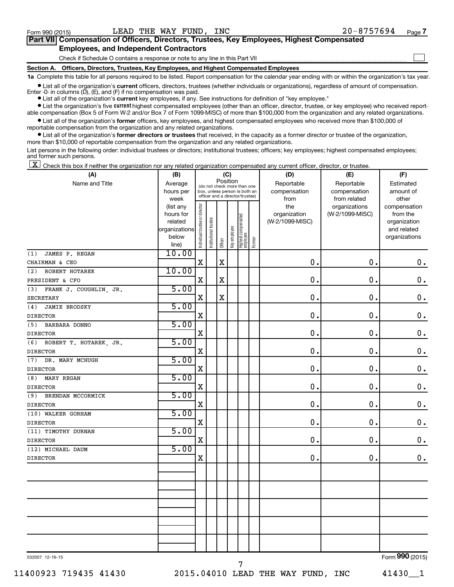$\Box$ 

| Part VII Compensation of Officers, Directors, Trustees, Key Employees, Highest Compensated |  |
|--------------------------------------------------------------------------------------------|--|
| <b>Employees, and Independent Contractors</b>                                              |  |

Check if Schedule O contains a response or note to any line in this Part VII

**Section A. Officers, Directors, Trustees, Key Employees, and Highest Compensated Employees**

**1a**  Complete this table for all persons required to be listed. Report compensation for the calendar year ending with or within the organization's tax year.

**•** List all of the organization's current officers, directors, trustees (whether individuals or organizations), regardless of amount of compensation. Enter -0- in columns  $(D)$ ,  $(E)$ , and  $(F)$  if no compensation was paid.

**•** List all of the organization's **current** key employees, if any. See instructions for definition of "key employee."

**•** List the organization's five current highest compensated employees (other than an officer, director, trustee, or key employee) who received reportable compensation (Box 5 of Form W-2 and/or Box 7 of Form 1099-MISC) of more than \$100,000 from the organization and any related organizations.

**•** List all of the organization's former officers, key employees, and highest compensated employees who received more than \$100,000 of reportable compensation from the organization and any related organizations.

**•** List all of the organization's former directors or trustees that received, in the capacity as a former director or trustee of the organization, more than \$10,000 of reportable compensation from the organization and any related organizations.

List persons in the following order: individual trustees or directors; institutional trustees; officers; key employees; highest compensated employees; and former such persons.

 $\boxed{\textbf{X}}$  Check this box if neither the organization nor any related organization compensated any current officer, director, or trustee.

| (A)                           | (B)                  |                                |                                                                  | (C)                     |              |                                   |        | (D)                             | (E)             | (F)                      |
|-------------------------------|----------------------|--------------------------------|------------------------------------------------------------------|-------------------------|--------------|-----------------------------------|--------|---------------------------------|-----------------|--------------------------|
| Name and Title                | Average              |                                | (do not check more than one                                      | Position                |              |                                   |        | Reportable                      | Reportable      | Estimated                |
|                               | hours per            |                                | box, unless person is both an<br>officer and a director/trustee) |                         |              |                                   |        | compensation                    | compensation    | amount of                |
|                               | week                 |                                |                                                                  |                         |              |                                   |        | from                            | from related    | other                    |
|                               | (list any            |                                |                                                                  |                         |              |                                   |        | the                             | organizations   | compensation             |
|                               | hours for<br>related |                                |                                                                  |                         |              |                                   |        | organization<br>(W-2/1099-MISC) | (W-2/1099-MISC) | from the<br>organization |
|                               | organizations        |                                |                                                                  |                         |              |                                   |        |                                 |                 | and related              |
|                               | below                |                                |                                                                  |                         |              |                                   |        |                                 |                 | organizations            |
|                               | line)                | Individual trustee or director | Institutional trustee                                            | Officer                 | Key employee | Highest compensated<br>  employee | Former |                                 |                 |                          |
| JAMES P. REGAN<br>(1)         | 10.00                |                                |                                                                  |                         |              |                                   |        |                                 |                 |                          |
| CHAIRMAN & CEO                |                      | $\mathbf X$                    |                                                                  | $\rm X$                 |              |                                   |        | $\mathbf 0$ .                   | 0.              | $\mathbf 0$ .            |
| ROBERT HOTAREK<br>(2)         | 10.00                |                                |                                                                  |                         |              |                                   |        |                                 |                 |                          |
| PRESIDENT & CFO               |                      | X                              |                                                                  | $\overline{\textbf{X}}$ |              |                                   |        | 0.                              | 0.              | $\mathbf 0$ .            |
| (3)<br>FRANK J. COUGHLIN, JR. | 5.00                 |                                |                                                                  |                         |              |                                   |        |                                 |                 |                          |
| <b>SECRETARY</b>              |                      | $\mathbf X$                    |                                                                  | X                       |              |                                   |        | $\mathbf 0$ .                   | $\mathbf 0$ .   | $\mathbf 0$ .            |
| (4)<br><b>JAMIE BRODSKY</b>   | 5.00                 |                                |                                                                  |                         |              |                                   |        |                                 |                 |                          |
| <b>DIRECTOR</b>               |                      | X                              |                                                                  |                         |              |                                   |        | $\mathbf 0$ .                   | $\mathbf 0$ .   | $\mathbf 0$ .            |
| (5)<br>BARBARA DONNO          | 5.00                 |                                |                                                                  |                         |              |                                   |        |                                 |                 |                          |
| <b>DIRECTOR</b>               |                      | $\mathbf X$                    |                                                                  |                         |              |                                   |        | $\mathbf 0$ .                   | $\mathbf 0$ .   | $\mathbf 0$ .            |
| ROBERT T. HOTAREK, JR.<br>(6) | 5.00                 |                                |                                                                  |                         |              |                                   |        |                                 |                 |                          |
| <b>DIRECTOR</b>               |                      | $\mathbf X$                    |                                                                  |                         |              |                                   |        | $\mathbf 0$ .                   | $\mathbf 0$ .   | $\mathbf 0$ .            |
| DR. MARY MCHUGH<br>(7)        | 5.00                 |                                |                                                                  |                         |              |                                   |        |                                 |                 |                          |
| <b>DIRECTOR</b>               |                      | $\mathbf X$                    |                                                                  |                         |              |                                   |        | $\mathbf 0$ .                   | $\mathbf 0$ .   | $\mathbf 0$ .            |
| (8)<br>MARY REGAN             | 5.00                 |                                |                                                                  |                         |              |                                   |        |                                 |                 |                          |
| <b>DIRECTOR</b>               |                      | X                              |                                                                  |                         |              |                                   |        | $\mathbf 0$ .                   | $\mathbf 0$ .   | $\mathbf 0$ .            |
| (9)<br>BRENDAN MCCORMICK      | 5.00                 |                                |                                                                  |                         |              |                                   |        |                                 |                 |                          |
| <b>DIRECTOR</b>               |                      | $\mathbf X$                    |                                                                  |                         |              |                                   |        | 0.                              | $\mathbf 0$ .   | $\mathbf 0$ .            |
| (10) WALKER GORHAM            | 5.00                 |                                |                                                                  |                         |              |                                   |        |                                 |                 |                          |
| <b>DIRECTOR</b>               |                      | X                              |                                                                  |                         |              |                                   |        | 0.                              | $\mathbf 0$ .   | $\mathbf 0$ .            |
| (11) TIMOTHY DURNAN           | 5.00                 |                                |                                                                  |                         |              |                                   |        |                                 |                 |                          |
| <b>DIRECTOR</b>               |                      | $\mathbf X$                    |                                                                  |                         |              |                                   |        | 0.                              | $\mathbf 0$ .   | $\mathbf 0$ .            |
| (12) MICHAEL DAUM             | 5.00                 |                                |                                                                  |                         |              |                                   |        |                                 |                 |                          |
| <b>DIRECTOR</b>               |                      | X                              |                                                                  |                         |              |                                   |        | $\mathbf 0$ .                   | 0.              | 0.                       |
|                               |                      |                                |                                                                  |                         |              |                                   |        |                                 |                 |                          |
|                               |                      |                                |                                                                  |                         |              |                                   |        |                                 |                 |                          |
|                               |                      |                                |                                                                  |                         |              |                                   |        |                                 |                 |                          |
|                               |                      |                                |                                                                  |                         |              |                                   |        |                                 |                 |                          |
|                               |                      |                                |                                                                  |                         |              |                                   |        |                                 |                 |                          |
|                               |                      |                                |                                                                  |                         |              |                                   |        |                                 |                 |                          |
|                               |                      |                                |                                                                  |                         |              |                                   |        |                                 |                 |                          |
|                               |                      |                                |                                                                  |                         |              |                                   |        |                                 |                 |                          |
|                               |                      |                                |                                                                  |                         |              |                                   |        |                                 |                 |                          |
|                               |                      |                                |                                                                  |                         |              |                                   |        |                                 |                 |                          |
| 532007 12-16-15               |                      |                                |                                                                  |                         |              |                                   |        |                                 |                 | Form 990 (2015)          |

532007 12-16-15

11400923 719435 41430 2015.04010 LEAD THE WAY FUND, INC 41430\_\_1

7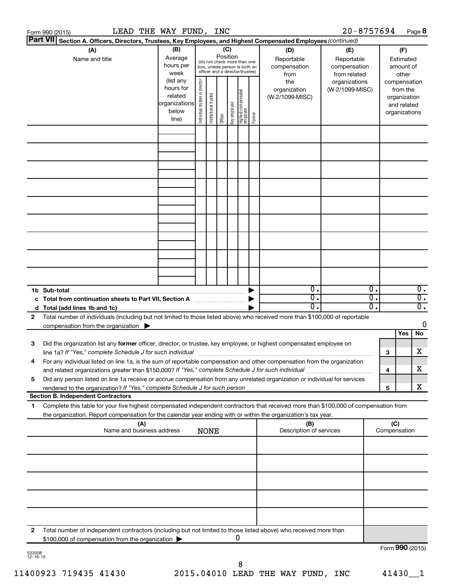|                    | Form 990 (2015)                                                                                                                                                                                                                                        | LEAD THE WAY FUND, INC                                               |                                                                                                                    |                       |         |              |                                             |                                           | 20-8757694                                        |          |                                                                          | Page 8                               |
|--------------------|--------------------------------------------------------------------------------------------------------------------------------------------------------------------------------------------------------------------------------------------------------|----------------------------------------------------------------------|--------------------------------------------------------------------------------------------------------------------|-----------------------|---------|--------------|---------------------------------------------|-------------------------------------------|---------------------------------------------------|----------|--------------------------------------------------------------------------|--------------------------------------|
|                    | <b>Part VII</b><br>Section A. Officers, Directors, Trustees, Key Employees, and Highest Compensated Employees (continued)                                                                                                                              |                                                                      |                                                                                                                    |                       |         |              |                                             |                                           |                                                   |          |                                                                          |                                      |
|                    | (A)<br>Name and title                                                                                                                                                                                                                                  | (B)<br>Average<br>hours per<br>week                                  | (C)<br>Position<br>(do not check more than one<br>box, unless person is both an<br>officer and a director/trustee) |                       |         |              |                                             | (D)<br>Reportable<br>compensation<br>from | (E)<br>Reportable<br>compensation<br>from related |          | Estimated<br>amount of<br>other                                          |                                      |
|                    |                                                                                                                                                                                                                                                        | (list any<br>hours for<br>related<br>organizations<br>below<br>line) | Individual trustee or director                                                                                     | Institutional trustee | Officer | Key employee | Highest compensated<br>  employee<br>Former | the<br>organization<br>(W-2/1099-MISC)    | organizations<br>(W-2/1099-MISC)                  |          | compensation<br>from the<br>organization<br>and related<br>organizations |                                      |
|                    |                                                                                                                                                                                                                                                        |                                                                      |                                                                                                                    |                       |         |              |                                             |                                           |                                                   |          |                                                                          |                                      |
|                    |                                                                                                                                                                                                                                                        |                                                                      |                                                                                                                    |                       |         |              |                                             |                                           |                                                   |          |                                                                          |                                      |
|                    |                                                                                                                                                                                                                                                        |                                                                      |                                                                                                                    |                       |         |              |                                             |                                           |                                                   |          |                                                                          |                                      |
|                    |                                                                                                                                                                                                                                                        |                                                                      |                                                                                                                    |                       |         |              |                                             |                                           |                                                   |          |                                                                          |                                      |
|                    |                                                                                                                                                                                                                                                        |                                                                      |                                                                                                                    |                       |         |              |                                             |                                           |                                                   |          |                                                                          |                                      |
|                    |                                                                                                                                                                                                                                                        |                                                                      |                                                                                                                    |                       |         |              |                                             |                                           |                                                   |          |                                                                          |                                      |
|                    |                                                                                                                                                                                                                                                        |                                                                      |                                                                                                                    |                       |         |              |                                             | $\mathbf{0}$ .                            |                                                   | 0.       |                                                                          | $\overline{0}$ .                     |
|                    | 1b Sub-total<br>c Total from continuation sheets to Part VII, Section A manufactured by                                                                                                                                                                |                                                                      |                                                                                                                    |                       |         |              |                                             | $\overline{0}$ .<br>$0$ .                 |                                                   | σ.<br>О. |                                                                          | $\overline{0}$ .<br>$\overline{0}$ . |
| 2                  | Total number of individuals (including but not limited to those listed above) who received more than \$100,000 of reportable<br>compensation from the organization $\blacktriangleright$                                                               |                                                                      |                                                                                                                    |                       |         |              |                                             |                                           |                                                   |          | Yes                                                                      | 0<br>No                              |
| 3                  | Did the organization list any former officer, director, or trustee, key employee, or highest compensated employee on<br>line 1a? If "Yes," complete Schedule J for such individual manufactured content to the set of the set of the s                 |                                                                      |                                                                                                                    |                       |         |              |                                             |                                           |                                                   | 3        |                                                                          | х                                    |
|                    | For any individual listed on line 1a, is the sum of reportable compensation and other compensation from the organization<br>and related organizations greater than \$150,000? If "Yes," complete Schedule J for such individual                        |                                                                      |                                                                                                                    |                       |         |              |                                             |                                           |                                                   | 4        |                                                                          | х                                    |
| 5                  | Did any person listed on line 1a receive or accrue compensation from any unrelated organization or individual for services<br><b>Section B. Independent Contractors</b>                                                                                |                                                                      |                                                                                                                    |                       |         |              |                                             |                                           |                                                   | 5        |                                                                          | х                                    |
| 1.                 | Complete this table for your five highest compensated independent contractors that received more than \$100,000 of compensation from<br>the organization. Report compensation for the calendar year ending with or within the organization's tax year. |                                                                      |                                                                                                                    |                       |         |              |                                             |                                           |                                                   |          |                                                                          |                                      |
|                    |                                                                                                                                                                                                                                                        | (A)<br>Name and business address                                     |                                                                                                                    | <b>NONE</b>           |         |              |                                             | (B)<br>Description of services            |                                                   |          | (C)<br>Compensation                                                      |                                      |
|                    |                                                                                                                                                                                                                                                        |                                                                      |                                                                                                                    |                       |         |              |                                             |                                           |                                                   |          |                                                                          |                                      |
|                    |                                                                                                                                                                                                                                                        |                                                                      |                                                                                                                    |                       |         |              |                                             |                                           |                                                   |          |                                                                          |                                      |
|                    |                                                                                                                                                                                                                                                        |                                                                      |                                                                                                                    |                       |         |              |                                             |                                           |                                                   |          |                                                                          |                                      |
| 2                  | Total number of independent contractors (including but not limited to those listed above) who received more than                                                                                                                                       |                                                                      |                                                                                                                    |                       |         |              |                                             |                                           |                                                   |          |                                                                          |                                      |
|                    | \$100,000 of compensation from the organization                                                                                                                                                                                                        |                                                                      |                                                                                                                    |                       |         | 0            |                                             |                                           |                                                   |          |                                                                          | Form 990 (2015)                      |
| 532008<br>12-16-15 |                                                                                                                                                                                                                                                        |                                                                      |                                                                                                                    |                       |         |              |                                             |                                           |                                                   |          |                                                                          |                                      |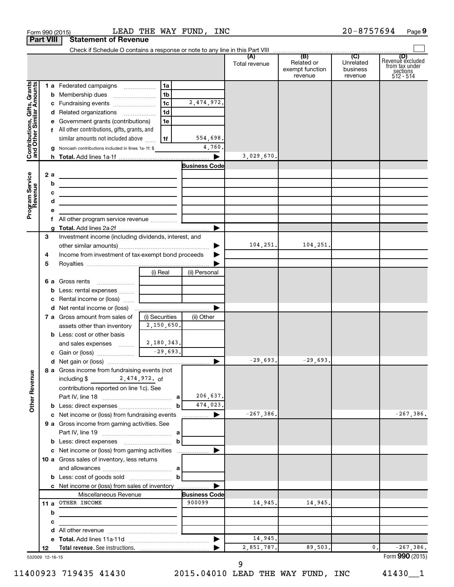|                                                           | <b>Part VIII</b> | <b>Statement of Revenue</b>                                                          |                |                                |               |                                          |                                  |                                                                    |
|-----------------------------------------------------------|------------------|--------------------------------------------------------------------------------------|----------------|--------------------------------|---------------|------------------------------------------|----------------------------------|--------------------------------------------------------------------|
|                                                           |                  |                                                                                      |                |                                |               |                                          |                                  |                                                                    |
|                                                           |                  |                                                                                      |                |                                | Total revenue | Related or<br>exempt function<br>revenue | Unrelated<br>business<br>revenue | (D)<br>Revenue excluded<br>from tax under<br>sections<br>512 - 514 |
|                                                           |                  | 1 a Federated campaigns                                                              | 1a             |                                |               |                                          |                                  |                                                                    |
| Contributions, Gifts, Grants<br>and Other Similar Amounts |                  |                                                                                      | 1b             |                                |               |                                          |                                  |                                                                    |
|                                                           |                  |                                                                                      | 1c             | 2,474,972.                     |               |                                          |                                  |                                                                    |
|                                                           |                  | d Related organizations                                                              | 1d             |                                |               |                                          |                                  |                                                                    |
|                                                           |                  | e Government grants (contributions)                                                  | 1e             |                                |               |                                          |                                  |                                                                    |
|                                                           |                  | f All other contributions, gifts, grants, and                                        |                |                                |               |                                          |                                  |                                                                    |
|                                                           |                  | similar amounts not included above                                                   | 1f             | 554,698.                       |               |                                          |                                  |                                                                    |
|                                                           |                  | g Noncash contributions included in lines 1a-1f: \$                                  |                | 4,760.                         |               |                                          |                                  |                                                                    |
|                                                           |                  |                                                                                      |                |                                | 3,029,670.    |                                          |                                  |                                                                    |
|                                                           |                  |                                                                                      |                | <b>Business Code</b>           |               |                                          |                                  |                                                                    |
|                                                           | 2 a              | <u> 1989 - Johann Barbara, martxa alemaniar a</u>                                    |                |                                |               |                                          |                                  |                                                                    |
| Program Service<br>Revenue                                |                  | b<br>the control of the control of the control of the control of the control of      |                |                                |               |                                          |                                  |                                                                    |
|                                                           |                  | c<br><u> 1989 - Johann Barbara, martxa alemaniar a</u><br>d                          |                |                                |               |                                          |                                  |                                                                    |
|                                                           |                  | <u> 1989 - Johann Barbara, martin amerikan basar da</u>                              |                |                                |               |                                          |                                  |                                                                    |
|                                                           |                  |                                                                                      |                |                                |               |                                          |                                  |                                                                    |
|                                                           |                  |                                                                                      |                |                                |               |                                          |                                  |                                                                    |
|                                                           | 3                | Investment income (including dividends, interest, and                                |                |                                |               |                                          |                                  |                                                                    |
|                                                           |                  |                                                                                      |                | ▶                              | 104,251.      | 104,251.                                 |                                  |                                                                    |
|                                                           | 4                | Income from investment of tax-exempt bond proceeds                                   |                |                                |               |                                          |                                  |                                                                    |
|                                                           | 5                |                                                                                      |                |                                |               |                                          |                                  |                                                                    |
|                                                           |                  |                                                                                      | (i) Real       | (ii) Personal                  |               |                                          |                                  |                                                                    |
|                                                           |                  | 6 a Gross rents                                                                      |                |                                |               |                                          |                                  |                                                                    |
|                                                           |                  | <b>b</b> Less: rental expenses                                                       |                |                                |               |                                          |                                  |                                                                    |
|                                                           |                  | c Rental income or (loss)                                                            |                |                                |               |                                          |                                  |                                                                    |
|                                                           |                  |                                                                                      |                |                                |               |                                          |                                  |                                                                    |
|                                                           |                  | <b>7 a</b> Gross amount from sales of                                                | (i) Securities | (ii) Other                     |               |                                          |                                  |                                                                    |
|                                                           |                  | assets other than inventory                                                          | 2,150,650.     |                                |               |                                          |                                  |                                                                    |
|                                                           |                  | <b>b</b> Less: cost or other basis                                                   |                |                                |               |                                          |                                  |                                                                    |
|                                                           |                  | and sales expenses  2, 180, 343.                                                     |                |                                |               |                                          |                                  |                                                                    |
|                                                           |                  |                                                                                      |                |                                | $-29,693.$    | $-29,693.$                               |                                  |                                                                    |
|                                                           |                  | <b>8 a</b> Gross income from fundraising events (not $\begin{bmatrix} \end{bmatrix}$ |                |                                |               |                                          |                                  |                                                                    |
| <b>Other Revenue</b>                                      |                  | 2,474,972. of<br>including \$                                                        |                |                                |               |                                          |                                  |                                                                    |
|                                                           |                  | contributions reported on line 1c). See                                              |                |                                |               |                                          |                                  |                                                                    |
|                                                           |                  |                                                                                      |                | 206,637.                       |               |                                          |                                  |                                                                    |
|                                                           |                  | <b>b</b> Less: direct expenses <b>contained b</b> Less: direct expenses              | b              | 474,023.                       |               |                                          |                                  |                                                                    |
|                                                           |                  | c Net income or (loss) from fundraising events                                       |                | ▶<br>.                         | $-267, 386.$  |                                          |                                  | $-267, 386.$                                                       |
|                                                           |                  | 9 a Gross income from gaming activities. See                                         |                |                                |               |                                          |                                  |                                                                    |
|                                                           |                  |                                                                                      |                |                                |               |                                          |                                  |                                                                    |
|                                                           |                  |                                                                                      | b              |                                |               |                                          |                                  |                                                                    |
|                                                           |                  |                                                                                      |                |                                |               |                                          |                                  |                                                                    |
|                                                           |                  | 10 a Gross sales of inventory, less returns                                          |                |                                |               |                                          |                                  |                                                                    |
|                                                           |                  |                                                                                      |                |                                |               |                                          |                                  |                                                                    |
|                                                           |                  |                                                                                      | $\mathbf{b}$   |                                |               |                                          |                                  |                                                                    |
|                                                           |                  | c Net income or (loss) from sales of inventory                                       |                |                                |               |                                          |                                  |                                                                    |
|                                                           |                  | Miscellaneous Revenue<br>11 a OTHER INCOME                                           |                | <b>Business Code</b><br>900099 | 14,945.       | 14,945.                                  |                                  |                                                                    |
|                                                           |                  | b                                                                                    |                |                                |               |                                          |                                  |                                                                    |
|                                                           |                  | с                                                                                    |                |                                |               |                                          |                                  |                                                                    |
|                                                           |                  |                                                                                      |                |                                |               |                                          |                                  |                                                                    |
|                                                           |                  |                                                                                      |                | ▶                              | 14,945.       |                                          |                                  |                                                                    |
|                                                           | 12               |                                                                                      |                |                                | 2,851,787.    | 89,503.                                  | 0.                               | $-267, 386.$                                                       |
|                                                           |                  | 532009 12-16-15                                                                      |                |                                |               |                                          |                                  | Form 990 (2015)                                                    |

Form 990 (2015)  $LEAD$  THE WAY FUND, INC  $20-8757694$  Page

11400923 719435 41430 2015.04010 LEAD THE WAY FUND, INC 41430\_\_1

9

20-8757694 Page 9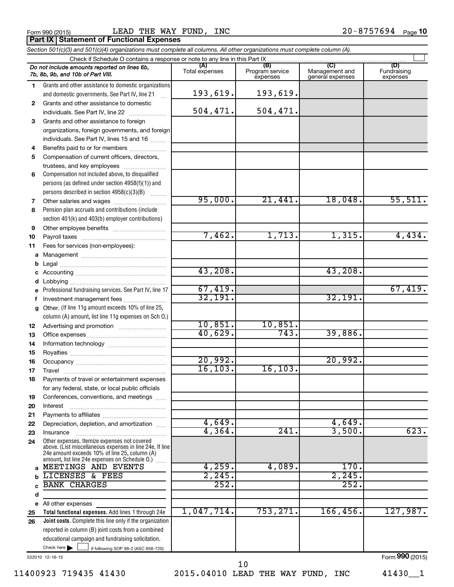Form 990 (2015) Page LEAD THE WAY FUND, INC 20-8757694 **Part IX Statement of Functional Expenses**

|          | Section 501(c)(3) and 501(c)(4) organizations must complete all columns. All other organizations must complete column (A).                                                                                    |                       |                                    |                                           |                                |
|----------|---------------------------------------------------------------------------------------------------------------------------------------------------------------------------------------------------------------|-----------------------|------------------------------------|-------------------------------------------|--------------------------------|
|          | Check if Schedule O contains a response or note to any line in this Part IX.                                                                                                                                  |                       |                                    |                                           |                                |
|          | Do not include amounts reported on lines 6b,<br>7b, 8b, 9b, and 10b of Part VIII.                                                                                                                             | (A)<br>Total expenses | (B)<br>Program service<br>expenses | (C)<br>Management and<br>general expenses | (D)<br>Fundraising<br>expenses |
| 1.       | Grants and other assistance to domestic organizations                                                                                                                                                         |                       |                                    |                                           |                                |
|          | and domestic governments. See Part IV, line 21                                                                                                                                                                | 193,619.              | 193,619.                           |                                           |                                |
| 2        | Grants and other assistance to domestic                                                                                                                                                                       |                       |                                    |                                           |                                |
|          | individuals. See Part IV, line 22                                                                                                                                                                             | 504,471.              | 504, 471.                          |                                           |                                |
| 3        | Grants and other assistance to foreign                                                                                                                                                                        |                       |                                    |                                           |                                |
|          | organizations, foreign governments, and foreign                                                                                                                                                               |                       |                                    |                                           |                                |
|          | individuals. See Part IV, lines 15 and 16                                                                                                                                                                     |                       |                                    |                                           |                                |
| 4        | Benefits paid to or for members                                                                                                                                                                               |                       |                                    |                                           |                                |
| 5        | Compensation of current officers, directors,                                                                                                                                                                  |                       |                                    |                                           |                                |
|          | trustees, and key employees                                                                                                                                                                                   |                       |                                    |                                           |                                |
| 6        | Compensation not included above, to disqualified                                                                                                                                                              |                       |                                    |                                           |                                |
|          | persons (as defined under section 4958(f)(1)) and                                                                                                                                                             |                       |                                    |                                           |                                |
|          | persons described in section 4958(c)(3)(B)                                                                                                                                                                    |                       |                                    |                                           |                                |
| 7        | Other salaries and wages                                                                                                                                                                                      | 95,000.               | 21,441.                            | 18,048.                                   | 55,511.                        |
| 8        | Pension plan accruals and contributions (include                                                                                                                                                              |                       |                                    |                                           |                                |
|          | section 401(k) and 403(b) employer contributions)                                                                                                                                                             |                       |                                    |                                           |                                |
| 9        |                                                                                                                                                                                                               | 7,462.                | 1,713.                             | 1,315.                                    | 4,434.                         |
| 10       |                                                                                                                                                                                                               |                       |                                    |                                           |                                |
| 11       | Fees for services (non-employees):                                                                                                                                                                            |                       |                                    |                                           |                                |
| a        |                                                                                                                                                                                                               |                       |                                    |                                           |                                |
| b        |                                                                                                                                                                                                               | 43,208.               |                                    | 43,208.                                   |                                |
|          |                                                                                                                                                                                                               |                       |                                    |                                           |                                |
| d        |                                                                                                                                                                                                               | 67,419.               |                                    |                                           | 67,419.                        |
|          | Professional fundraising services. See Part IV, line 17                                                                                                                                                       | 32,191.               |                                    | 32,191.                                   |                                |
|          | Investment management fees<br>Other. (If line 11g amount exceeds 10% of line 25,                                                                                                                              |                       |                                    |                                           |                                |
| a        | column (A) amount, list line 11g expenses on Sch O.)                                                                                                                                                          |                       |                                    |                                           |                                |
|          |                                                                                                                                                                                                               | 10,851.               | 10,851.                            |                                           |                                |
| 12<br>13 |                                                                                                                                                                                                               | 40,629.               | 743,                               | 39,886.                                   |                                |
| 14       |                                                                                                                                                                                                               |                       |                                    |                                           |                                |
| 15       |                                                                                                                                                                                                               |                       |                                    |                                           |                                |
| 16       |                                                                                                                                                                                                               | 20,992.               |                                    | 20,992.                                   |                                |
| 17       |                                                                                                                                                                                                               | 16, 103.              | 16, 103.                           |                                           |                                |
| 18       | Payments of travel or entertainment expenses                                                                                                                                                                  |                       |                                    |                                           |                                |
|          | for any federal, state, or local public officials                                                                                                                                                             |                       |                                    |                                           |                                |
| 19       | Conferences, conventions, and meetings                                                                                                                                                                        |                       |                                    |                                           |                                |
| 20       | Interest                                                                                                                                                                                                      |                       |                                    |                                           |                                |
| 21       |                                                                                                                                                                                                               |                       |                                    |                                           |                                |
| 22       | Depreciation, depletion, and amortization                                                                                                                                                                     | 4,649.                |                                    | 4,649.                                    |                                |
| 23       | Insurance                                                                                                                                                                                                     | 4,364.                | 241.                               | 3,500.                                    | 623.                           |
| 24       | Other expenses. Itemize expenses not covered<br>above. (List miscellaneous expenses in line 24e. If line<br>24e amount exceeds 10% of line 25, column (A)<br>amount, list line 24e expenses on Schedule O.) [ |                       |                                    |                                           |                                |
|          | a MEETINGS AND EVENTS                                                                                                                                                                                         | 4,259.                | 4,089.                             | 170.                                      |                                |
| b        | LICENSES & FEES                                                                                                                                                                                               | 2,245.                |                                    | 2,245                                     |                                |
|          | <b>BANK CHARGES</b>                                                                                                                                                                                           | 252.                  |                                    | 252.                                      |                                |
| d        |                                                                                                                                                                                                               |                       |                                    |                                           |                                |
|          | e All other expenses                                                                                                                                                                                          |                       |                                    |                                           |                                |
| 25       | Total functional expenses. Add lines 1 through 24e                                                                                                                                                            | 1,047,714.            | 753, 271.                          | 166, 456.                                 | 127,987.                       |
| 26       | Joint costs. Complete this line only if the organization                                                                                                                                                      |                       |                                    |                                           |                                |
|          | reported in column (B) joint costs from a combined                                                                                                                                                            |                       |                                    |                                           |                                |
|          | educational campaign and fundraising solicitation.                                                                                                                                                            |                       |                                    |                                           |                                |
|          | Check here $\blacktriangleright$<br>if following SOP 98-2 (ASC 958-720)                                                                                                                                       |                       |                                    |                                           |                                |

532010 12-16-15

11400923 719435 41430 2015.04010 LEAD THE WAY FUND, INC 41430\_\_1

10

Form (2015) **990**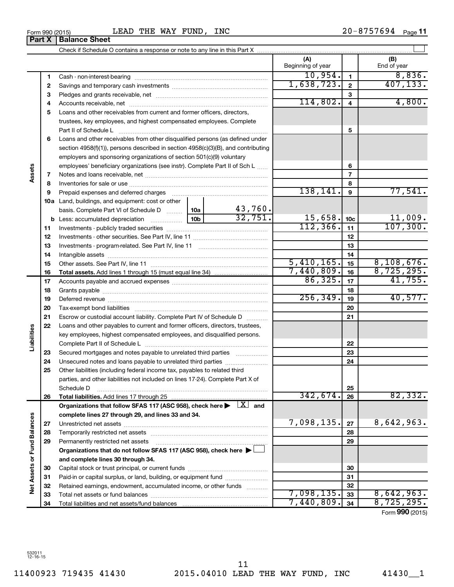11400923 719435 41430 2015.04010 LEAD THE WAY FUND, INC 41430\_\_1 11

|                                   |                                                                                                                         |                 |              | (A)<br>Beginning of year |                         | (B)<br>End of year       |
|-----------------------------------|-------------------------------------------------------------------------------------------------------------------------|-----------------|--------------|--------------------------|-------------------------|--------------------------|
| 1                                 |                                                                                                                         |                 |              | 10,954.                  | $\blacksquare$          | 8,836.                   |
| 2                                 |                                                                                                                         | 1,638,723.      | $\mathbf{2}$ | 407, 133.                |                         |                          |
| З                                 |                                                                                                                         |                 |              |                          |                         |                          |
| 4                                 |                                                                                                                         |                 |              | 114,802.                 | $\overline{\mathbf{4}}$ | 4,800.                   |
| 5                                 | Loans and other receivables from current and former officers, directors,                                                |                 |              |                          |                         |                          |
|                                   | trustees, key employees, and highest compensated employees. Complete                                                    |                 |              |                          |                         |                          |
|                                   | Part II of Schedule L                                                                                                   |                 | 5            |                          |                         |                          |
| 6                                 | Loans and other receivables from other disqualified persons (as defined under                                           |                 |              |                          |                         |                          |
|                                   | section 4958(f)(1)), persons described in section 4958(c)(3)(B), and contributing                                       |                 |              |                          |                         |                          |
|                                   | employers and sponsoring organizations of section 501(c)(9) voluntary                                                   |                 |              |                          |                         |                          |
|                                   | employees' beneficiary organizations (see instr). Complete Part II of Sch L                                             |                 |              |                          | 6                       |                          |
| Assets<br>7                       |                                                                                                                         |                 |              |                          | 7                       |                          |
| 8                                 |                                                                                                                         |                 |              |                          | 8                       |                          |
| 9                                 | Prepaid expenses and deferred charges                                                                                   |                 |              | 138, 141.                | 9                       | 77,541.                  |
|                                   | <b>10a</b> Land, buildings, and equipment: cost or other                                                                |                 |              |                          |                         |                          |
|                                   | basis. Complete Part VI of Schedule D                                                                                   | 10a             | 43,760.      |                          |                         |                          |
|                                   | <b>b</b> Less: accumulated depreciation                                                                                 | 10 <sub>b</sub> | 32.751.      | 15,658.                  | 10 <sub>c</sub>         | 11,009.                  |
| 11                                |                                                                                                                         |                 |              | 112, 366.                | 11                      | 107, 300.                |
| 12                                |                                                                                                                         |                 |              |                          | 12                      |                          |
| 13                                |                                                                                                                         |                 |              |                          | 13                      |                          |
| 14                                |                                                                                                                         |                 | 5,410,165.   | 14                       |                         |                          |
| 15                                |                                                                                                                         | 7,440,809.      | 15           | 8,108,676.<br>8,725,295. |                         |                          |
| 16                                |                                                                                                                         | 86, 325.        | 16           | 41,755.                  |                         |                          |
| 17                                |                                                                                                                         |                 | 17<br>18     |                          |                         |                          |
| 18<br>19                          |                                                                                                                         |                 |              | 256, 349.                | 19                      | 40,577.                  |
| 20                                |                                                                                                                         |                 |              |                          | 20                      |                          |
| 21                                | Escrow or custodial account liability. Complete Part IV of Schedule D                                                   |                 |              |                          | 21                      |                          |
| 22                                | Loans and other payables to current and former officers, directors, trustees,                                           |                 |              |                          |                         |                          |
| Liabilities                       | key employees, highest compensated employees, and disqualified persons.                                                 |                 |              |                          |                         |                          |
|                                   |                                                                                                                         |                 |              |                          | 22                      |                          |
| 23                                | Secured mortgages and notes payable to unrelated third parties                                                          |                 |              |                          | 23                      |                          |
| 24                                | Unsecured notes and loans payable to unrelated third parties                                                            |                 |              |                          | 24                      |                          |
| 25                                | Other liabilities (including federal income tax, payables to related third                                              |                 |              |                          |                         |                          |
|                                   | parties, and other liabilities not included on lines 17-24). Complete Part X of                                         |                 |              |                          |                         |                          |
|                                   | Schedule D                                                                                                              |                 |              |                          | 25                      |                          |
| 26                                |                                                                                                                         |                 |              | 342,674.                 | 26                      | 82,332.                  |
|                                   | Organizations that follow SFAS 117 (ASC 958), check here $\blacktriangleright \begin{array}{c} \perp X \end{array}$ and |                 |              |                          |                         |                          |
|                                   | complete lines 27 through 29, and lines 33 and 34.                                                                      |                 |              |                          |                         |                          |
| 27                                |                                                                                                                         |                 |              | 7,098,135.               | 27                      | 8,642,963.               |
| 28                                |                                                                                                                         |                 |              |                          | 28                      |                          |
| 29                                | Permanently restricted net assets                                                                                       |                 |              |                          | 29                      |                          |
|                                   | Organizations that do not follow SFAS 117 (ASC 958), check here ▶ □                                                     |                 |              |                          |                         |                          |
|                                   | and complete lines 30 through 34.                                                                                       |                 |              |                          |                         |                          |
| 30                                |                                                                                                                         |                 |              |                          | 30                      |                          |
| 31                                | Paid-in or capital surplus, or land, building, or equipment fund                                                        |                 |              |                          | 31                      |                          |
| Net Assets or Fund Balances<br>32 |                                                                                                                         |                 |              |                          | 32                      |                          |
|                                   | Retained earnings, endowment, accumulated income, or other funds                                                        |                 |              |                          |                         |                          |
| 33<br>34                          |                                                                                                                         |                 |              | 7,098,135.<br>7,440,809. | 33<br>34                | 8,642,963.<br>8,725,295. |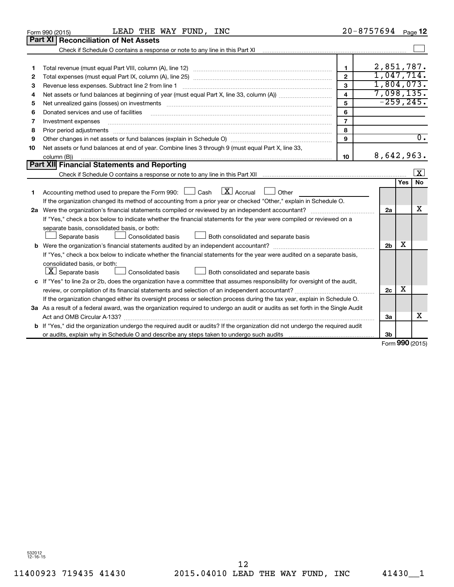|    | LEAD THE WAY FUND, INC<br>Form 990 (2015)                                                                                       |                         | $20 - 8757694$ |     | Page 12          |
|----|---------------------------------------------------------------------------------------------------------------------------------|-------------------------|----------------|-----|------------------|
|    | Part XI   Reconciliation of Net Assets                                                                                          |                         |                |     |                  |
|    |                                                                                                                                 |                         |                |     |                  |
|    |                                                                                                                                 |                         |                |     |                  |
| 1  |                                                                                                                                 | $\blacksquare$          | 2,851,787.     |     |                  |
| 2  |                                                                                                                                 | $\overline{2}$          | 1,047,714.     |     |                  |
| З  | Revenue less expenses. Subtract line 2 from line 1                                                                              | $\mathbf{3}$            | 1,804,073.     |     |                  |
| 4  |                                                                                                                                 | $\overline{\mathbf{4}}$ | 7,098,135.     |     |                  |
| 5  |                                                                                                                                 | 5                       | $-259, 245.$   |     |                  |
| 6  | Donated services and use of facilities                                                                                          | 6                       |                |     |                  |
| 7  | Investment expenses                                                                                                             | $\overline{7}$          |                |     |                  |
| 8  | Prior period adjustments                                                                                                        | 8                       |                |     |                  |
| 9  |                                                                                                                                 | 9                       |                |     | $\overline{0}$ . |
| 10 | Net assets or fund balances at end of year. Combine lines 3 through 9 (must equal Part X, line 33,                              |                         |                |     |                  |
|    | column (B))                                                                                                                     | 10                      | 8,642,963.     |     |                  |
|    | <b>Part XII</b> Financial Statements and Reporting                                                                              |                         |                |     |                  |
|    |                                                                                                                                 |                         |                |     | $\vert X \vert$  |
|    |                                                                                                                                 |                         |                | Yes | <b>No</b>        |
| 1  | $\mathbf{X}$ Accrual<br>Accounting method used to prepare the Form 990: [130] Cash<br>Other<br>$\mathbf{1}$                     |                         |                |     |                  |
|    | If the organization changed its method of accounting from a prior year or checked "Other," explain in Schedule O.               |                         |                |     |                  |
|    | 2a Were the organization's financial statements compiled or reviewed by an independent accountant?                              |                         | 2a             |     | x                |
|    | If "Yes," check a box below to indicate whether the financial statements for the year were compiled or reviewed on a            |                         |                |     |                  |
|    | separate basis, consolidated basis, or both:                                                                                    |                         |                |     |                  |
|    | Both consolidated and separate basis<br>Separate basis<br>Consolidated basis                                                    |                         |                |     |                  |
|    |                                                                                                                                 |                         | 2 <sub>b</sub> | X   |                  |
|    | If "Yes," check a box below to indicate whether the financial statements for the year were audited on a separate basis,         |                         |                |     |                  |
|    | consolidated basis, or both:                                                                                                    |                         |                |     |                  |
|    | $ \mathbf{X} $ Separate basis<br>Consolidated basis<br>Both consolidated and separate basis                                     |                         |                |     |                  |
|    | c If "Yes" to line 2a or 2b, does the organization have a committee that assumes responsibility for oversight of the audit,     |                         |                |     |                  |
|    | review, or compilation of its financial statements and selection of an independent accountant?                                  |                         | 2c             | х   |                  |
|    | If the organization changed either its oversight process or selection process during the tax year, explain in Schedule O.       |                         |                |     |                  |
|    | 3a As a result of a federal award, was the organization required to undergo an audit or audits as set forth in the Single Audit |                         |                |     |                  |
|    |                                                                                                                                 |                         | За             |     | x                |
|    | b If "Yes," did the organization undergo the required audit or audits? If the organization did not undergo the required audit   |                         |                |     |                  |
|    |                                                                                                                                 |                         | 3 <sub>b</sub> |     |                  |

Form (2015) **990**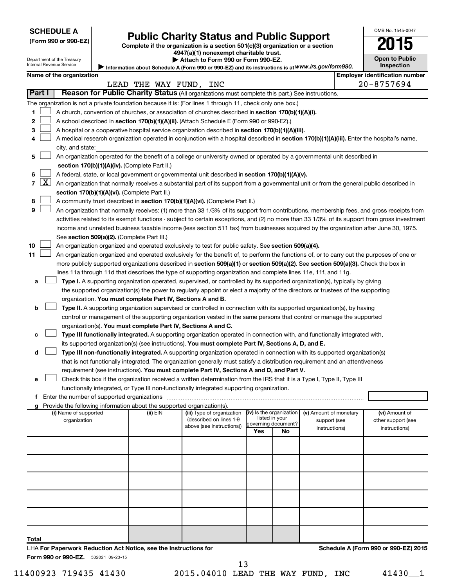Department of the Treasury Internal Revenue Service

| (Form 990 or 990-EZ |  |  |  |  |
|---------------------|--|--|--|--|
|---------------------|--|--|--|--|

# Form 990 or 990-EZ) **Public Charity Status and Public Support**<br>
Complete if the organization is a section 501(c)(3) organization or a section<br> **2015**

**4947(a)(1) nonexempt charitable trust.**

|                                                                                                   | Attach to Form 990 or Form 990-EZ. |  |
|---------------------------------------------------------------------------------------------------|------------------------------------|--|
| Information about Schedule A (Form 990 or 990-EZ) and its instructions is at WWW.irs.gov/form990. |                                    |  |

|                       | L          |  |
|-----------------------|------------|--|
| <b>Open to Public</b> | Inspection |  |
|                       |            |  |

OMB No. 1545-0047

| Name of the organization |                                                                                                                                     |                                                                                                                                                                                                                                                           |          |                            |                          | <b>Employer identification number</b> |                        |                    |
|--------------------------|-------------------------------------------------------------------------------------------------------------------------------------|-----------------------------------------------------------------------------------------------------------------------------------------------------------------------------------------------------------------------------------------------------------|----------|----------------------------|--------------------------|---------------------------------------|------------------------|--------------------|
|                          | LEAD THE WAY FUND, INC<br>Part I<br>Reason for Public Charity Status (All organizations must complete this part.) See instructions. |                                                                                                                                                                                                                                                           |          |                            |                          |                                       |                        | $20 - 8757694$     |
|                          |                                                                                                                                     |                                                                                                                                                                                                                                                           |          |                            |                          |                                       |                        |                    |
|                          |                                                                                                                                     | The organization is not a private foundation because it is: (For lines 1 through 11, check only one box.)                                                                                                                                                 |          |                            |                          |                                       |                        |                    |
| 1                        |                                                                                                                                     | A church, convention of churches, or association of churches described in section 170(b)(1)(A)(i).                                                                                                                                                        |          |                            |                          |                                       |                        |                    |
| 2                        |                                                                                                                                     | A school described in section 170(b)(1)(A)(ii). (Attach Schedule E (Form 990 or 990-EZ).)                                                                                                                                                                 |          |                            |                          |                                       |                        |                    |
| з                        |                                                                                                                                     | A hospital or a cooperative hospital service organization described in section 170(b)(1)(A)(iii).                                                                                                                                                         |          |                            |                          |                                       |                        |                    |
| 4                        |                                                                                                                                     | A medical research organization operated in conjunction with a hospital described in section 170(b)(1)(A)(iii). Enter the hospital's name,                                                                                                                |          |                            |                          |                                       |                        |                    |
|                          |                                                                                                                                     | city, and state:                                                                                                                                                                                                                                          |          |                            |                          |                                       |                        |                    |
| 5                        |                                                                                                                                     | An organization operated for the benefit of a college or university owned or operated by a governmental unit described in                                                                                                                                 |          |                            |                          |                                       |                        |                    |
|                          |                                                                                                                                     | section 170(b)(1)(A)(iv). (Complete Part II.)                                                                                                                                                                                                             |          |                            |                          |                                       |                        |                    |
| 6                        | $\lfloor x \rfloor$                                                                                                                 | A federal, state, or local government or governmental unit described in section 170(b)(1)(A)(v).                                                                                                                                                          |          |                            |                          |                                       |                        |                    |
| $\overline{7}$           |                                                                                                                                     | An organization that normally receives a substantial part of its support from a governmental unit or from the general public described in                                                                                                                 |          |                            |                          |                                       |                        |                    |
|                          |                                                                                                                                     | section 170(b)(1)(A)(vi). (Complete Part II.)                                                                                                                                                                                                             |          |                            |                          |                                       |                        |                    |
| 8                        |                                                                                                                                     | A community trust described in section 170(b)(1)(A)(vi). (Complete Part II.)                                                                                                                                                                              |          |                            |                          |                                       |                        |                    |
| 9                        |                                                                                                                                     | An organization that normally receives: (1) more than 33 1/3% of its support from contributions, membership fees, and gross receipts from                                                                                                                 |          |                            |                          |                                       |                        |                    |
|                          |                                                                                                                                     | activities related to its exempt functions - subject to certain exceptions, and (2) no more than 33 1/3% of its support from gross investment                                                                                                             |          |                            |                          |                                       |                        |                    |
|                          |                                                                                                                                     | income and unrelated business taxable income (less section 511 tax) from businesses acquired by the organization after June 30, 1975.                                                                                                                     |          |                            |                          |                                       |                        |                    |
|                          |                                                                                                                                     | See section 509(a)(2). (Complete Part III.)                                                                                                                                                                                                               |          |                            |                          |                                       |                        |                    |
| 10                       |                                                                                                                                     | An organization organized and operated exclusively to test for public safety. See section 509(a)(4).                                                                                                                                                      |          |                            |                          |                                       |                        |                    |
| 11                       |                                                                                                                                     | An organization organized and operated exclusively for the benefit of, to perform the functions of, or to carry out the purposes of one or                                                                                                                |          |                            |                          |                                       |                        |                    |
|                          |                                                                                                                                     | more publicly supported organizations described in section 509(a)(1) or section 509(a)(2). See section 509(a)(3). Check the box in                                                                                                                        |          |                            |                          |                                       |                        |                    |
|                          |                                                                                                                                     | lines 11a through 11d that describes the type of supporting organization and complete lines 11e, 11f, and 11g.                                                                                                                                            |          |                            |                          |                                       |                        |                    |
| a                        |                                                                                                                                     | Type I. A supporting organization operated, supervised, or controlled by its supported organization(s), typically by giving                                                                                                                               |          |                            |                          |                                       |                        |                    |
|                          |                                                                                                                                     | the supported organization(s) the power to regularly appoint or elect a majority of the directors or trustees of the supporting                                                                                                                           |          |                            |                          |                                       |                        |                    |
|                          |                                                                                                                                     | organization. You must complete Part IV, Sections A and B.                                                                                                                                                                                                |          |                            |                          |                                       |                        |                    |
| b                        |                                                                                                                                     | Type II. A supporting organization supervised or controlled in connection with its supported organization(s), by having                                                                                                                                   |          |                            |                          |                                       |                        |                    |
|                          |                                                                                                                                     | control or management of the supporting organization vested in the same persons that control or manage the supported                                                                                                                                      |          |                            |                          |                                       |                        |                    |
|                          |                                                                                                                                     | organization(s). You must complete Part IV, Sections A and C.                                                                                                                                                                                             |          |                            |                          |                                       |                        |                    |
| c                        |                                                                                                                                     | Type III functionally integrated. A supporting organization operated in connection with, and functionally integrated with,                                                                                                                                |          |                            |                          |                                       |                        |                    |
| d                        |                                                                                                                                     | its supported organization(s) (see instructions). You must complete Part IV, Sections A, D, and E.                                                                                                                                                        |          |                            |                          |                                       |                        |                    |
|                          |                                                                                                                                     | Type III non-functionally integrated. A supporting organization operated in connection with its supported organization(s)<br>that is not functionally integrated. The organization generally must satisfy a distribution requirement and an attentiveness |          |                            |                          |                                       |                        |                    |
|                          |                                                                                                                                     | requirement (see instructions). You must complete Part IV, Sections A and D, and Part V.                                                                                                                                                                  |          |                            |                          |                                       |                        |                    |
| е                        |                                                                                                                                     | Check this box if the organization received a written determination from the IRS that it is a Type I, Type II, Type III                                                                                                                                   |          |                            |                          |                                       |                        |                    |
|                          |                                                                                                                                     | functionally integrated, or Type III non-functionally integrated supporting organization.                                                                                                                                                                 |          |                            |                          |                                       |                        |                    |
|                          |                                                                                                                                     |                                                                                                                                                                                                                                                           |          |                            |                          |                                       |                        |                    |
|                          |                                                                                                                                     | g Provide the following information about the supported organization(s).                                                                                                                                                                                  |          |                            |                          |                                       |                        |                    |
|                          |                                                                                                                                     | (i) Name of supported                                                                                                                                                                                                                                     | (ii) EIN | (iii) Type of organization | (iv) Is the organization |                                       | (v) Amount of monetary | (vi) Amount of     |
|                          |                                                                                                                                     | organization                                                                                                                                                                                                                                              |          | (described on lines 1-9    | governing document?      | listed in your                        | support (see           | other support (see |
|                          |                                                                                                                                     |                                                                                                                                                                                                                                                           |          | above (see instructions))  | Yes                      | No                                    | instructions)          | instructions)      |
|                          |                                                                                                                                     |                                                                                                                                                                                                                                                           |          |                            |                          |                                       |                        |                    |
|                          |                                                                                                                                     |                                                                                                                                                                                                                                                           |          |                            |                          |                                       |                        |                    |
|                          |                                                                                                                                     |                                                                                                                                                                                                                                                           |          |                            |                          |                                       |                        |                    |
|                          |                                                                                                                                     |                                                                                                                                                                                                                                                           |          |                            |                          |                                       |                        |                    |
|                          |                                                                                                                                     |                                                                                                                                                                                                                                                           |          |                            |                          |                                       |                        |                    |
|                          |                                                                                                                                     |                                                                                                                                                                                                                                                           |          |                            |                          |                                       |                        |                    |
|                          |                                                                                                                                     |                                                                                                                                                                                                                                                           |          |                            |                          |                                       |                        |                    |
|                          |                                                                                                                                     |                                                                                                                                                                                                                                                           |          |                            |                          |                                       |                        |                    |
|                          |                                                                                                                                     |                                                                                                                                                                                                                                                           |          |                            |                          |                                       |                        |                    |

**Total** LHA **For Paperwork Reduction Act Notice, see the Instructions for** 

**Schedule A (Form 990 or 990-EZ) 2015**

Form 990 or 990-EZ. 532021 09-23-15

13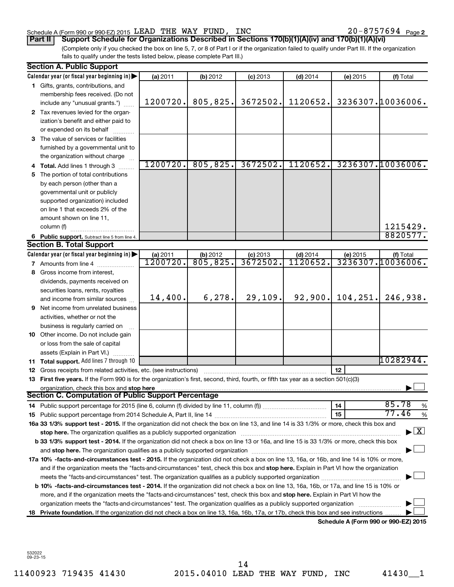#### Schedule A (Form 990 or 990-EZ) 2015  $\tt LEAD$  THE WAY FUND, INC  $\tt 20-8757694$  Page

(Complete only if you checked the box on line 5, 7, or 8 of Part I or if the organization failed to qualify under Part III. If the organization fails to qualify under the tests listed below, please complete Part III.) **Part II Support Schedule for Organizations Described in Sections 170(b)(1)(A)(iv) and 170(b)(1)(A)(vi)**

|    | <b>Section A. Public Support</b>                                                                                                                                                                                               |                      |                       |                        |                        |                                      |                                          |
|----|--------------------------------------------------------------------------------------------------------------------------------------------------------------------------------------------------------------------------------|----------------------|-----------------------|------------------------|------------------------|--------------------------------------|------------------------------------------|
|    | Calendar year (or fiscal year beginning in)                                                                                                                                                                                    | (a) 2011             | (b) 2012              | $(c)$ 2013             | $(d)$ 2014             | (e) 2015                             | (f) Total                                |
|    | 1 Gifts, grants, contributions, and                                                                                                                                                                                            |                      |                       |                        |                        |                                      |                                          |
|    | membership fees received. (Do not                                                                                                                                                                                              |                      |                       |                        |                        |                                      |                                          |
|    | include any "unusual grants.")                                                                                                                                                                                                 | 1200720.             | 805,825.              | 3672502.               | 1120652.               |                                      | 3236307.10036006.                        |
|    | 2 Tax revenues levied for the organ-                                                                                                                                                                                           |                      |                       |                        |                        |                                      |                                          |
|    | ization's benefit and either paid to                                                                                                                                                                                           |                      |                       |                        |                        |                                      |                                          |
|    | or expended on its behalf                                                                                                                                                                                                      |                      |                       |                        |                        |                                      |                                          |
| 3. | The value of services or facilities                                                                                                                                                                                            |                      |                       |                        |                        |                                      |                                          |
|    | furnished by a governmental unit to                                                                                                                                                                                            |                      |                       |                        |                        |                                      |                                          |
|    | the organization without charge                                                                                                                                                                                                |                      |                       |                        |                        |                                      |                                          |
|    | <b>Total.</b> Add lines 1 through 3                                                                                                                                                                                            | 1200720.             | 805,825.              | 3672502.               | 1120652.               |                                      | 3236307.10036006.                        |
| 5. | The portion of total contributions                                                                                                                                                                                             |                      |                       |                        |                        |                                      |                                          |
|    | by each person (other than a                                                                                                                                                                                                   |                      |                       |                        |                        |                                      |                                          |
|    | governmental unit or publicly                                                                                                                                                                                                  |                      |                       |                        |                        |                                      |                                          |
|    | supported organization) included                                                                                                                                                                                               |                      |                       |                        |                        |                                      |                                          |
|    | on line 1 that exceeds 2% of the                                                                                                                                                                                               |                      |                       |                        |                        |                                      |                                          |
|    | amount shown on line 11,                                                                                                                                                                                                       |                      |                       |                        |                        |                                      |                                          |
|    | column (f)                                                                                                                                                                                                                     |                      |                       |                        |                        |                                      | 1215429.                                 |
|    | 6 Public support. Subtract line 5 from line 4.                                                                                                                                                                                 |                      |                       |                        |                        |                                      | 8820577.                                 |
|    | <b>Section B. Total Support</b>                                                                                                                                                                                                |                      |                       |                        |                        |                                      |                                          |
|    | Calendar year (or fiscal year beginning in)                                                                                                                                                                                    | (a) 2011<br>1200720. | (b) 2012<br>805, 825. | $(c)$ 2013<br>3672502. | $(d)$ 2014<br>1120652. | (e) 2015                             | (f) Total<br>3236307.10036006.           |
|    | <b>7</b> Amounts from line 4                                                                                                                                                                                                   |                      |                       |                        |                        |                                      |                                          |
| 8. | Gross income from interest,                                                                                                                                                                                                    |                      |                       |                        |                        |                                      |                                          |
|    | dividends, payments received on                                                                                                                                                                                                |                      |                       |                        |                        |                                      |                                          |
|    | securities loans, rents, royalties                                                                                                                                                                                             |                      |                       | 29,109.                |                        | 104, 251.                            |                                          |
|    | and income from similar sources                                                                                                                                                                                                | 14,400.              | 6,278.                |                        | 92,900.                |                                      | 246,938.                                 |
| 9  | Net income from unrelated business                                                                                                                                                                                             |                      |                       |                        |                        |                                      |                                          |
|    | activities, whether or not the                                                                                                                                                                                                 |                      |                       |                        |                        |                                      |                                          |
|    | business is regularly carried on                                                                                                                                                                                               |                      |                       |                        |                        |                                      |                                          |
|    | 10 Other income. Do not include gain                                                                                                                                                                                           |                      |                       |                        |                        |                                      |                                          |
|    | or loss from the sale of capital                                                                                                                                                                                               |                      |                       |                        |                        |                                      |                                          |
|    | assets (Explain in Part VI.)                                                                                                                                                                                                   |                      |                       |                        |                        |                                      | 10282944.                                |
|    | 11 Total support. Add lines 7 through 10<br>12 Gross receipts from related activities, etc. (see instructions)                                                                                                                 |                      |                       |                        |                        | 12                                   |                                          |
|    | 13 First five years. If the Form 990 is for the organization's first, second, third, fourth, or fifth tax year as a section 501(c)(3)                                                                                          |                      |                       |                        |                        |                                      |                                          |
|    | organization, check this box and stop here                                                                                                                                                                                     |                      |                       |                        |                        |                                      |                                          |
|    | <b>Section C. Computation of Public Support Percentage</b>                                                                                                                                                                     |                      |                       |                        |                        |                                      |                                          |
|    |                                                                                                                                                                                                                                |                      |                       |                        |                        | 14                                   | 85.78<br>$\%$                            |
|    |                                                                                                                                                                                                                                |                      |                       |                        |                        | 15                                   | 77.46<br>$\%$                            |
|    | 16a 33 1/3% support test - 2015. If the organization did not check the box on line 13, and line 14 is 33 1/3% or more, check this box and                                                                                      |                      |                       |                        |                        |                                      |                                          |
|    | stop here. The organization qualifies as a publicly supported organization manufaction manufacture content and the state of the state of the state of the state of the state of the state of the state of the state of the sta |                      |                       |                        |                        |                                      | $\blacktriangleright$ $\boxed{\text{X}}$ |
|    | b 33 1/3% support test - 2014. If the organization did not check a box on line 13 or 16a, and line 15 is 33 1/3% or more, check this box                                                                                       |                      |                       |                        |                        |                                      |                                          |
|    |                                                                                                                                                                                                                                |                      |                       |                        |                        |                                      |                                          |
|    | 17a 10% -facts-and-circumstances test - 2015. If the organization did not check a box on line 13, 16a, or 16b, and line 14 is 10% or more,                                                                                     |                      |                       |                        |                        |                                      |                                          |
|    | and if the organization meets the "facts-and-circumstances" test, check this box and stop here. Explain in Part VI how the organization                                                                                        |                      |                       |                        |                        |                                      |                                          |
|    |                                                                                                                                                                                                                                |                      |                       |                        |                        |                                      |                                          |
|    | b 10% -facts-and-circumstances test - 2014. If the organization did not check a box on line 13, 16a, 16b, or 17a, and line 15 is 10% or                                                                                        |                      |                       |                        |                        |                                      |                                          |
|    | more, and if the organization meets the "facts-and-circumstances" test, check this box and stop here. Explain in Part VI how the                                                                                               |                      |                       |                        |                        |                                      |                                          |
|    | organization meets the "facts-and-circumstances" test. The organization qualifies as a publicly supported organization                                                                                                         |                      |                       |                        |                        |                                      |                                          |
| 18 | Private foundation. If the organization did not check a box on line 13, 16a, 16b, 17a, or 17b, check this box and see instructions                                                                                             |                      |                       |                        |                        |                                      |                                          |
|    |                                                                                                                                                                                                                                |                      |                       |                        |                        | Schedule A (Form 990 or 990-EZ) 2015 |                                          |

532022 09-23-15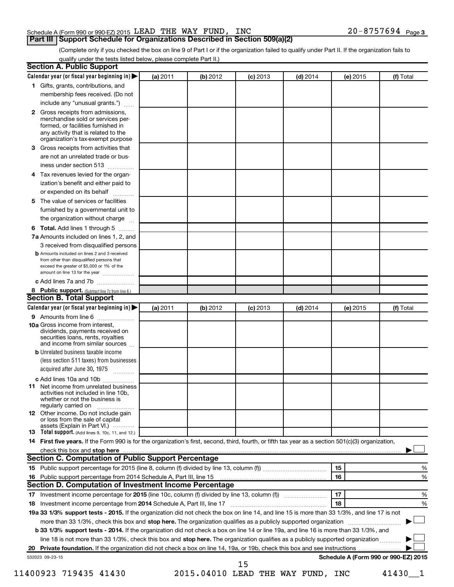#### Schedule A (Form 990 or 990-EZ) 2015  $\tt LEAD$  THE WAY FUND, INC  $\tt 20-8757694$  Page

**Part III Support Schedule for Organizations Described in Section 509(a)(2)** 

(Complete only if you checked the box on line 9 of Part I or if the organization failed to qualify under Part II. If the organization fails to qualify under the tests listed below, please complete Part II.)

| Calendar year (or fiscal year beginning in)                                                                                                                                                                                                                                                                                                                                                                  | (a) 2011 | (b) 2012 | $(c)$ 2013 | $(d)$ 2014 | (e) 2015 | (f) Total                            |
|--------------------------------------------------------------------------------------------------------------------------------------------------------------------------------------------------------------------------------------------------------------------------------------------------------------------------------------------------------------------------------------------------------------|----------|----------|------------|------------|----------|--------------------------------------|
| 1 Gifts, grants, contributions, and                                                                                                                                                                                                                                                                                                                                                                          |          |          |            |            |          |                                      |
| membership fees received. (Do not                                                                                                                                                                                                                                                                                                                                                                            |          |          |            |            |          |                                      |
| include any "unusual grants.")                                                                                                                                                                                                                                                                                                                                                                               |          |          |            |            |          |                                      |
| 2 Gross receipts from admissions,                                                                                                                                                                                                                                                                                                                                                                            |          |          |            |            |          |                                      |
| merchandise sold or services per-                                                                                                                                                                                                                                                                                                                                                                            |          |          |            |            |          |                                      |
| formed, or facilities furnished in<br>any activity that is related to the                                                                                                                                                                                                                                                                                                                                    |          |          |            |            |          |                                      |
| organization's tax-exempt purpose                                                                                                                                                                                                                                                                                                                                                                            |          |          |            |            |          |                                      |
| Gross receipts from activities that<br>з                                                                                                                                                                                                                                                                                                                                                                     |          |          |            |            |          |                                      |
| are not an unrelated trade or bus-                                                                                                                                                                                                                                                                                                                                                                           |          |          |            |            |          |                                      |
| iness under section 513                                                                                                                                                                                                                                                                                                                                                                                      |          |          |            |            |          |                                      |
| Tax revenues levied for the organ-<br>4                                                                                                                                                                                                                                                                                                                                                                      |          |          |            |            |          |                                      |
| ization's benefit and either paid to                                                                                                                                                                                                                                                                                                                                                                         |          |          |            |            |          |                                      |
| or expended on its behalf<br>.                                                                                                                                                                                                                                                                                                                                                                               |          |          |            |            |          |                                      |
| The value of services or facilities<br>5                                                                                                                                                                                                                                                                                                                                                                     |          |          |            |            |          |                                      |
| furnished by a governmental unit to                                                                                                                                                                                                                                                                                                                                                                          |          |          |            |            |          |                                      |
| the organization without charge                                                                                                                                                                                                                                                                                                                                                                              |          |          |            |            |          |                                      |
| Total. Add lines 1 through 5<br>6                                                                                                                                                                                                                                                                                                                                                                            |          |          |            |            |          |                                      |
| 7a Amounts included on lines 1, 2, and                                                                                                                                                                                                                                                                                                                                                                       |          |          |            |            |          |                                      |
| 3 received from disqualified persons                                                                                                                                                                                                                                                                                                                                                                         |          |          |            |            |          |                                      |
| <b>b</b> Amounts included on lines 2 and 3 received                                                                                                                                                                                                                                                                                                                                                          |          |          |            |            |          |                                      |
| from other than disqualified persons that                                                                                                                                                                                                                                                                                                                                                                    |          |          |            |            |          |                                      |
| exceed the greater of \$5,000 or 1% of the<br>amount on line 13 for the year                                                                                                                                                                                                                                                                                                                                 |          |          |            |            |          |                                      |
| c Add lines 7a and 7b                                                                                                                                                                                                                                                                                                                                                                                        |          |          |            |            |          |                                      |
| 8 Public support. (Subtract line 7c from line 6.)                                                                                                                                                                                                                                                                                                                                                            |          |          |            |            |          |                                      |
| <b>Section B. Total Support</b>                                                                                                                                                                                                                                                                                                                                                                              |          |          |            |            |          |                                      |
| Calendar year (or fiscal year beginning in)                                                                                                                                                                                                                                                                                                                                                                  | (a) 2011 | (b) 2012 | $(c)$ 2013 | $(d)$ 2014 | (e) 2015 | (f) Total                            |
| 9 Amounts from line 6                                                                                                                                                                                                                                                                                                                                                                                        |          |          |            |            |          |                                      |
| <b>10a</b> Gross income from interest,<br>dividends, payments received on<br>securities loans, rents, royalties<br>and income from similar sources                                                                                                                                                                                                                                                           |          |          |            |            |          |                                      |
| <b>b</b> Unrelated business taxable income                                                                                                                                                                                                                                                                                                                                                                   |          |          |            |            |          |                                      |
| (less section 511 taxes) from businesses                                                                                                                                                                                                                                                                                                                                                                     |          |          |            |            |          |                                      |
| acquired after June 30, 1975                                                                                                                                                                                                                                                                                                                                                                                 |          |          |            |            |          |                                      |
| c Add lines 10a and 10b                                                                                                                                                                                                                                                                                                                                                                                      |          |          |            |            |          |                                      |
| <b>11</b> Net income from unrelated business<br>activities not included in line 10b.                                                                                                                                                                                                                                                                                                                         |          |          |            |            |          |                                      |
| whether or not the business is<br>regularly carried on                                                                                                                                                                                                                                                                                                                                                       |          |          |            |            |          |                                      |
| 12 Other income. Do not include gain                                                                                                                                                                                                                                                                                                                                                                         |          |          |            |            |          |                                      |
| or loss from the sale of capital                                                                                                                                                                                                                                                                                                                                                                             |          |          |            |            |          |                                      |
| assets (Explain in Part VI.)<br>13 Total support. (Add lines 9, 10c, 11, and 12.)                                                                                                                                                                                                                                                                                                                            |          |          |            |            |          |                                      |
|                                                                                                                                                                                                                                                                                                                                                                                                              |          |          |            |            |          |                                      |
|                                                                                                                                                                                                                                                                                                                                                                                                              |          |          |            |            |          |                                      |
|                                                                                                                                                                                                                                                                                                                                                                                                              |          |          |            |            |          |                                      |
| 14 First five years. If the Form 990 is for the organization's first, second, third, fourth, or fifth tax year as a section 501(c)(3) organization,                                                                                                                                                                                                                                                          |          |          |            |            |          |                                      |
|                                                                                                                                                                                                                                                                                                                                                                                                              |          |          |            |            |          |                                      |
|                                                                                                                                                                                                                                                                                                                                                                                                              |          |          |            |            | 15       |                                      |
|                                                                                                                                                                                                                                                                                                                                                                                                              |          |          |            |            | 16       |                                      |
|                                                                                                                                                                                                                                                                                                                                                                                                              |          |          |            |            |          |                                      |
|                                                                                                                                                                                                                                                                                                                                                                                                              |          |          |            |            | 17       |                                      |
|                                                                                                                                                                                                                                                                                                                                                                                                              |          |          |            |            | 18       |                                      |
|                                                                                                                                                                                                                                                                                                                                                                                                              |          |          |            |            |          |                                      |
| more than 33 1/3%, check this box and stop here. The organization qualifies as a publicly supported organization <i>marroummanness</i>                                                                                                                                                                                                                                                                       |          |          |            |            |          |                                      |
| Section C. Computation of Public Support Percentage<br>Section D. Computation of Investment Income Percentage<br>18<br>19a 33 1/3% support tests - 2015. If the organization did not check the box on line 14, and line 15 is more than 33 1/3%, and line 17 is not<br>b 33 1/3% support tests - 2014. If the organization did not check a box on line 14 or line 19a, and line 16 is more than 33 1/3%, and |          |          |            |            |          |                                      |
| line 18 is not more than 33 1/3%, check this box and stop here. The organization qualifies as a publicly supported organization                                                                                                                                                                                                                                                                              |          |          |            |            |          | %<br>%<br>%<br>%                     |
|                                                                                                                                                                                                                                                                                                                                                                                                              |          |          |            |            |          |                                      |
| 532023 09-23-15                                                                                                                                                                                                                                                                                                                                                                                              |          |          | 15         |            |          | Schedule A (Form 990 or 990-EZ) 2015 |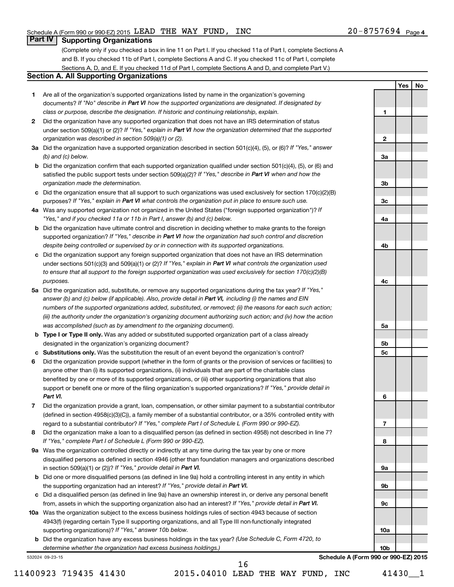**1**

**2**

**3a**

**3b**

**3c**

**4a**

**Yes No**

#### **Part IV Supporting Organizations**

(Complete only if you checked a box in line 11 on Part I. If you checked 11a of Part I, complete Sections A and B. If you checked 11b of Part I, complete Sections A and C. If you checked 11c of Part I, complete Sections A, D, and E. If you checked 11d of Part I, complete Sections A and D, and complete Part V.)

#### **Section A. All Supporting Organizations**

- **1** Are all of the organization's supported organizations listed by name in the organization's governing documents? If "No" describe in Part VI how the supported organizations are designated. If designated by *class or purpose, describe the designation. If historic and continuing relationship, explain.*
- **2** Did the organization have any supported organization that does not have an IRS determination of status under section 509(a)(1) or (2)? If "Yes," explain in Part VI how the organization determined that the supported *organization was described in section 509(a)(1) or (2).*
- **3a** Did the organization have a supported organization described in section 501(c)(4), (5), or (6)? If "Yes," answer *(b) and (c) below.*
- **b** Did the organization confirm that each supported organization qualified under section 501(c)(4), (5), or (6) and satisfied the public support tests under section 509(a)(2)? If "Yes," describe in Part VI when and how the *organization made the determination.*
- **c** Did the organization ensure that all support to such organizations was used exclusively for section 170(c)(2)(B) purposes? If "Yes," explain in Part VI what controls the organization put in place to ensure such use.
- **4 a** *If* Was any supported organization not organized in the United States ("foreign supported organization")? *"Yes," and if you checked 11a or 11b in Part I, answer (b) and (c) below.*
- **b** Did the organization have ultimate control and discretion in deciding whether to make grants to the foreign supported organization? If "Yes," describe in Part VI how the organization had such control and discretion *despite being controlled or supervised by or in connection with its supported organizations.*
- **c** Did the organization support any foreign supported organization that does not have an IRS determination under sections 501(c)(3) and 509(a)(1) or (2)? If "Yes," explain in Part VI what controls the organization used *to ensure that all support to the foreign supported organization was used exclusively for section 170(c)(2)(B) purposes.*
- **5a** Did the organization add, substitute, or remove any supported organizations during the tax year? If "Yes," answer (b) and (c) below (if applicable). Also, provide detail in Part VI, including (i) the names and EIN *numbers of the supported organizations added, substituted, or removed; (ii) the reasons for each such action; (iii) the authority under the organization's organizing document authorizing such action; and (iv) how the action was accomplished (such as by amendment to the organizing document).*
- **b** Type I or Type II only. Was any added or substituted supported organization part of a class already designated in the organization's organizing document?
- **c Substitutions only.**  Was the substitution the result of an event beyond the organization's control?
- **6** Did the organization provide support (whether in the form of grants or the provision of services or facilities) to support or benefit one or more of the filing organization's supported organizations? If "Yes," provide detail in anyone other than (i) its supported organizations, (ii) individuals that are part of the charitable class benefited by one or more of its supported organizations, or (iii) other supporting organizations that also *Part VI.*
- **7** Did the organization provide a grant, loan, compensation, or other similar payment to a substantial contributor regard to a substantial contributor? If "Yes," complete Part I of Schedule L (Form 990 or 990-EZ). (defined in section 4958(c)(3)(C)), a family member of a substantial contributor, or a 35% controlled entity with
- **8** Did the organization make a loan to a disqualified person (as defined in section 4958) not described in line 7? *If "Yes," complete Part I of Schedule L (Form 990 or 990-EZ).*
- **9 a** Was the organization controlled directly or indirectly at any time during the tax year by one or more in section 509(a)(1) or (2))? If "Yes," provide detail in Part VI. disqualified persons as defined in section 4946 (other than foundation managers and organizations described
- **b** Did one or more disqualified persons (as defined in line 9a) hold a controlling interest in any entity in which the supporting organization had an interest? If "Yes," provide detail in Part VI.
- **c** Did a disqualified person (as defined in line 9a) have an ownership interest in, or derive any personal benefit from, assets in which the supporting organization also had an interest? If "Yes," provide detail in Part VI.
- **10 a** Was the organization subject to the excess business holdings rules of section 4943 because of section supporting organizations)? If "Yes," answer 10b below. 4943(f) (regarding certain Type II supporting organizations, and all Type III non-functionally integrated
	- **b** Did the organization have any excess business holdings in the tax year? (Use Schedule C, Form 4720, to *determine whether the organization had excess business holdings.)*

532024 09-23-15

11400923 719435 41430 2015.04010 LEAD THE WAY FUND, INC 41430\_\_1

16

**4b 4c 5a 5b 5c 6 7 8 9a 9b 9c 10a 10b Schedule A (Form 990 or 990-EZ) 2015**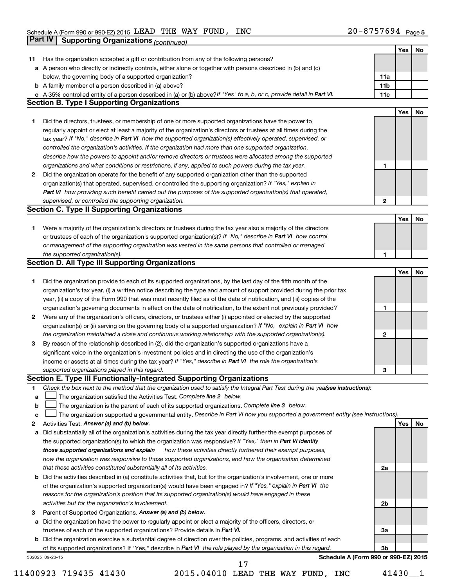|             | Part IV<br><b>Supporting Organizations (continued)</b>                                                                          |                 |            |    |
|-------------|---------------------------------------------------------------------------------------------------------------------------------|-----------------|------------|----|
|             |                                                                                                                                 |                 | Yes        | No |
| 11          | Has the organization accepted a gift or contribution from any of the following persons?                                         |                 |            |    |
|             | a A person who directly or indirectly controls, either alone or together with persons described in (b) and (c)                  |                 |            |    |
|             | below, the governing body of a supported organization?                                                                          | 11a             |            |    |
|             | <b>b</b> A family member of a person described in (a) above?                                                                    | 11 <sub>b</sub> |            |    |
|             | c A 35% controlled entity of a person described in (a) or (b) above? If "Yes" to a, b, or c, provide detail in Part VI.         | 11c             |            |    |
|             | <b>Section B. Type I Supporting Organizations</b>                                                                               |                 |            |    |
|             |                                                                                                                                 |                 | Yes        | No |
|             |                                                                                                                                 |                 |            |    |
| 1           | Did the directors, trustees, or membership of one or more supported organizations have the power to                             |                 |            |    |
|             | regularly appoint or elect at least a majority of the organization's directors or trustees at all times during the              |                 |            |    |
|             | tax year? If "No," describe in Part VI how the supported organization(s) effectively operated, supervised, or                   |                 |            |    |
|             | controlled the organization's activities. If the organization had more than one supported organization,                         |                 |            |    |
|             | describe how the powers to appoint and/or remove directors or trustees were allocated among the supported                       |                 |            |    |
|             | organizations and what conditions or restrictions, if any, applied to such powers during the tax year.                          | 1               |            |    |
| 2           | Did the organization operate for the benefit of any supported organization other than the supported                             |                 |            |    |
|             | organization(s) that operated, supervised, or controlled the supporting organization? If "Yes," explain in                      |                 |            |    |
|             | Part VI how providing such benefit carried out the purposes of the supported organization(s) that operated,                     |                 |            |    |
|             | supervised, or controlled the supporting organization.                                                                          | $\mathbf{2}$    |            |    |
|             | <b>Section C. Type II Supporting Organizations</b>                                                                              |                 |            |    |
|             |                                                                                                                                 |                 | Yes        | No |
| 1           | Were a majority of the organization's directors or trustees during the tax year also a majority of the directors                |                 |            |    |
|             | or trustees of each of the organization's supported organization(s)? If "No," describe in Part VI how control                   |                 |            |    |
|             | or management of the supporting organization was vested in the same persons that controlled or managed                          |                 |            |    |
|             | the supported organization(s).                                                                                                  | 1               |            |    |
|             | <b>Section D. All Type III Supporting Organizations</b>                                                                         |                 |            |    |
|             |                                                                                                                                 |                 | Yes        | No |
|             | Did the organization provide to each of its supported organizations, by the last day of the fifth month of the                  |                 |            |    |
| 1           |                                                                                                                                 |                 |            |    |
|             | organization's tax year, (i) a written notice describing the type and amount of support provided during the prior tax           |                 |            |    |
|             | year, (ii) a copy of the Form 990 that was most recently filed as of the date of notification, and (iii) copies of the          |                 |            |    |
|             | organization's governing documents in effect on the date of notification, to the extent not previously provided?                | 1               |            |    |
| 2           | Were any of the organization's officers, directors, or trustees either (i) appointed or elected by the supported                |                 |            |    |
|             | organization(s) or (ii) serving on the governing body of a supported organization? If "No," explain in Part VI how              |                 |            |    |
|             | the organization maintained a close and continuous working relationship with the supported organization(s).                     | 2               |            |    |
| 3           | By reason of the relationship described in (2), did the organization's supported organizations have a                           |                 |            |    |
|             | significant voice in the organization's investment policies and in directing the use of the organization's                      |                 |            |    |
|             | income or assets at all times during the tax year? If "Yes," describe in Part VI the role the organization's                    |                 |            |    |
|             | supported organizations played in this regard.                                                                                  | з               |            |    |
|             | Section E. Type III Functionally-Integrated Supporting Organizations                                                            |                 |            |    |
| 1           | Check the box next to the method that the organization used to satisfy the Integral Part Test during the yeafsee instructions): |                 |            |    |
| a           | The organization satisfied the Activities Test. Complete line 2 below.                                                          |                 |            |    |
| $\mathbf b$ | The organization is the parent of each of its supported organizations. Complete line 3 below.                                   |                 |            |    |
| c           | The organization supported a governmental entity. Describe in Part VI how you supported a government entity (see instructions). |                 |            |    |
| 2           | Activities Test. Answer (a) and (b) below.                                                                                      |                 | <b>Yes</b> | No |
| а           | Did substantially all of the organization's activities during the tax year directly further the exempt purposes of              |                 |            |    |
|             | the supported organization(s) to which the organization was responsive? If "Yes," then in Part VI identify                      |                 |            |    |
|             | how these activities directly furthered their exempt purposes,<br>those supported organizations and explain                     |                 |            |    |
|             | how the organization was responsive to those supported organizations, and how the organization determined                       |                 |            |    |
|             | that these activities constituted substantially all of its activities.                                                          | 2a              |            |    |
|             | <b>b</b> Did the activities described in (a) constitute activities that, but for the organization's involvement, one or more    |                 |            |    |
|             | of the organization's supported organization(s) would have been engaged in? If "Yes," explain in Part VI the                    |                 |            |    |
|             | reasons for the organization's position that its supported organization(s) would have engaged in these                          |                 |            |    |
|             | activities but for the organization's involvement.                                                                              | 2b              |            |    |
|             |                                                                                                                                 |                 |            |    |
| з           | Parent of Supported Organizations. Answer (a) and (b) below.                                                                    |                 |            |    |
| а           | Did the organization have the power to regularly appoint or elect a majority of the officers, directors, or                     |                 |            |    |
|             | trustees of each of the supported organizations? Provide details in Part VI.                                                    | За              |            |    |
|             | <b>b</b> Did the organization exercise a substantial degree of direction over the policies, programs, and activities of each    |                 |            |    |
|             | of its supported organizations? If "Yes," describe in Part VI the role played by the organization in this regard.               | 3b              |            |    |
|             | Schedule A (Form 990 or 990-EZ) 2015<br>532025 09-23-15<br>17                                                                   |                 |            |    |
|             |                                                                                                                                 |                 |            |    |

<sup>11400923 719435 41430 2015.04010</sup> LEAD THE WAY FUND, INC 41430\_\_1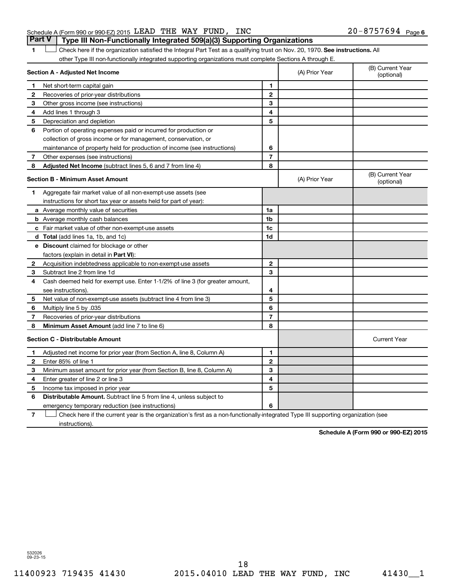#### Schedule A (Form 990 or 990-EZ) 2015  $\tt LEAD$  THE WAY FUND, INC  $\tt 20-8757694$  Page **Part V Type III Non-Functionally Integrated 509(a)(3) Supporting Organizations**

1 **Letter on Reck here if the organization satisfied the Integral Part Test as a qualifying trust on Nov. 20, 1970. See instructions. All** other Type III non-functionally integrated supporting organizations must complete Sections A through E.

|              | Section A - Adjusted Net Income                                              |                | (A) Prior Year | (B) Current Year<br>(optional) |
|--------------|------------------------------------------------------------------------------|----------------|----------------|--------------------------------|
| 1            | Net short-term capital gain                                                  | 1              |                |                                |
| $\mathbf{2}$ | Recoveries of prior-year distributions                                       | $\mathbf{2}$   |                |                                |
| 3            | Other gross income (see instructions)                                        | 3              |                |                                |
| 4            | Add lines 1 through 3                                                        | 4              |                |                                |
| 5            | Depreciation and depletion                                                   | 5              |                |                                |
| 6            | Portion of operating expenses paid or incurred for production or             |                |                |                                |
|              | collection of gross income or for management, conservation, or               |                |                |                                |
|              | maintenance of property held for production of income (see instructions)     | 6              |                |                                |
| 7            | Other expenses (see instructions)                                            | $\overline{7}$ |                |                                |
| 8            | Adjusted Net Income (subtract lines 5, 6 and 7 from line 4)                  | 8              |                |                                |
|              | <b>Section B - Minimum Asset Amount</b>                                      |                | (A) Prior Year | (B) Current Year<br>(optional) |
| 1            | Aggregate fair market value of all non-exempt-use assets (see                |                |                |                                |
|              | instructions for short tax year or assets held for part of year):            |                |                |                                |
|              | <b>a</b> Average monthly value of securities                                 | 1a             |                |                                |
|              | <b>b</b> Average monthly cash balances                                       | 1b             |                |                                |
|              | <b>c</b> Fair market value of other non-exempt-use assets                    | 1c             |                |                                |
|              | d Total (add lines 1a, 1b, and 1c)                                           | 1 <sub>d</sub> |                |                                |
|              | e Discount claimed for blockage or other                                     |                |                |                                |
|              | factors (explain in detail in Part VI):                                      |                |                |                                |
| 2            | Acquisition indebtedness applicable to non-exempt-use assets                 | $\mathbf{2}$   |                |                                |
| 3            | Subtract line 2 from line 1d                                                 | 3              |                |                                |
| 4            | Cash deemed held for exempt use. Enter 1-1/2% of line 3 (for greater amount, |                |                |                                |
|              | see instructions).                                                           | 4              |                |                                |
| 5            | Net value of non-exempt-use assets (subtract line 4 from line 3)             | 5              |                |                                |
| 6            | 035. Multiply line 5 by                                                      | 6              |                |                                |
| 7            | Recoveries of prior-year distributions                                       | $\overline{7}$ |                |                                |
| 8            | <b>Minimum Asset Amount (add line 7 to line 6)</b>                           | 8              |                |                                |
|              | <b>Section C - Distributable Amount</b>                                      |                |                | <b>Current Year</b>            |
| 1            | Adjusted net income for prior year (from Section A, line 8, Column A)        | 1              |                |                                |
| $\mathbf{2}$ | Enter 85% of line 1                                                          | $\mathbf{2}$   |                |                                |
| 3            | Minimum asset amount for prior year (from Section B, line 8, Column A)       | 3              |                |                                |
| 4            | Enter greater of line 2 or line 3                                            | 4              |                |                                |
| 5            | Income tax imposed in prior year                                             | 5              |                |                                |
| 6            | Distributable Amount. Subtract line 5 from line 4, unless subject to         |                |                |                                |
|              | emergency temporary reduction (see instructions)                             | 6              |                |                                |
|              | .                                                                            |                |                |                                |

**7** Check here if the current year is the organization's first as a non-functionally-integrated Type III supporting organization (see † instructions).

**Schedule A (Form 990 or 990-EZ) 2015**

532026 09-23-15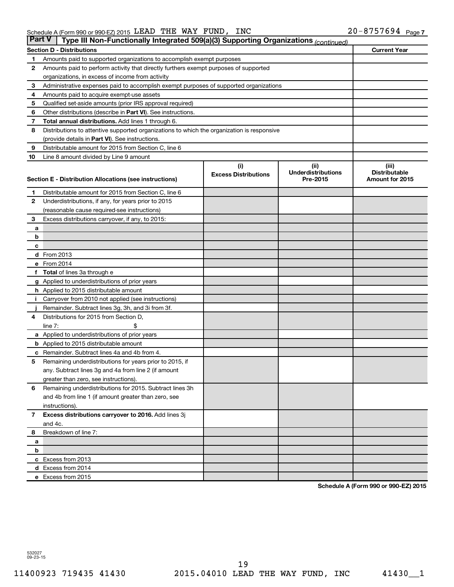| <b>Part V</b><br>Type III Non-Functionally Integrated 509(a)(3) Supporting Organizations (continued) |                                                                                             |                             |                                       |                                         |  |  |  |  |  |
|------------------------------------------------------------------------------------------------------|---------------------------------------------------------------------------------------------|-----------------------------|---------------------------------------|-----------------------------------------|--|--|--|--|--|
|                                                                                                      | <b>Section D - Distributions</b>                                                            |                             |                                       | <b>Current Year</b>                     |  |  |  |  |  |
| 1                                                                                                    | Amounts paid to supported organizations to accomplish exempt purposes                       |                             |                                       |                                         |  |  |  |  |  |
| $\mathbf{2}$                                                                                         | Amounts paid to perform activity that directly furthers exempt purposes of supported        |                             |                                       |                                         |  |  |  |  |  |
|                                                                                                      | organizations, in excess of income from activity                                            |                             |                                       |                                         |  |  |  |  |  |
| 3                                                                                                    | Administrative expenses paid to accomplish exempt purposes of supported organizations       |                             |                                       |                                         |  |  |  |  |  |
| 4                                                                                                    | Amounts paid to acquire exempt-use assets                                                   |                             |                                       |                                         |  |  |  |  |  |
| 5                                                                                                    | Qualified set-aside amounts (prior IRS approval required)                                   |                             |                                       |                                         |  |  |  |  |  |
| 6                                                                                                    | Other distributions (describe in Part VI). See instructions.                                |                             |                                       |                                         |  |  |  |  |  |
| 7                                                                                                    | <b>Total annual distributions.</b> Add lines 1 through 6.                                   |                             |                                       |                                         |  |  |  |  |  |
| 8                                                                                                    | Distributions to attentive supported organizations to which the organization is responsive  |                             |                                       |                                         |  |  |  |  |  |
|                                                                                                      | (provide details in Part VI). See instructions.                                             |                             |                                       |                                         |  |  |  |  |  |
| 9                                                                                                    | Distributable amount for 2015 from Section C, line 6                                        |                             |                                       |                                         |  |  |  |  |  |
| 10                                                                                                   | Line 8 amount divided by Line 9 amount                                                      |                             |                                       |                                         |  |  |  |  |  |
|                                                                                                      |                                                                                             | (i)                         | (ii)                                  | (iii)                                   |  |  |  |  |  |
|                                                                                                      | Section E - Distribution Allocations (see instructions)                                     | <b>Excess Distributions</b> | <b>Underdistributions</b><br>Pre-2015 | <b>Distributable</b><br>Amount for 2015 |  |  |  |  |  |
|                                                                                                      |                                                                                             |                             |                                       |                                         |  |  |  |  |  |
| 1                                                                                                    | Distributable amount for 2015 from Section C, line 6                                        |                             |                                       |                                         |  |  |  |  |  |
| $\mathbf{2}$                                                                                         | Underdistributions, if any, for years prior to 2015                                         |                             |                                       |                                         |  |  |  |  |  |
|                                                                                                      | (reasonable cause required-see instructions)                                                |                             |                                       |                                         |  |  |  |  |  |
| 3                                                                                                    | Excess distributions carryover, if any, to 2015:                                            |                             |                                       |                                         |  |  |  |  |  |
| а                                                                                                    |                                                                                             |                             |                                       |                                         |  |  |  |  |  |
| b                                                                                                    |                                                                                             |                             |                                       |                                         |  |  |  |  |  |
| с                                                                                                    |                                                                                             |                             |                                       |                                         |  |  |  |  |  |
|                                                                                                      | d From 2013                                                                                 |                             |                                       |                                         |  |  |  |  |  |
|                                                                                                      | e From 2014                                                                                 |                             |                                       |                                         |  |  |  |  |  |
|                                                                                                      | f Total of lines 3a through e                                                               |                             |                                       |                                         |  |  |  |  |  |
|                                                                                                      | <b>g</b> Applied to underdistributions of prior years                                       |                             |                                       |                                         |  |  |  |  |  |
|                                                                                                      | h Applied to 2015 distributable amount                                                      |                             |                                       |                                         |  |  |  |  |  |
| Ť.                                                                                                   | Carryover from 2010 not applied (see instructions)                                          |                             |                                       |                                         |  |  |  |  |  |
|                                                                                                      | Remainder. Subtract lines 3g, 3h, and 3i from 3f.<br>Distributions for 2015 from Section D, |                             |                                       |                                         |  |  |  |  |  |
| 4                                                                                                    | line $7:$                                                                                   |                             |                                       |                                         |  |  |  |  |  |
|                                                                                                      | a Applied to underdistributions of prior years                                              |                             |                                       |                                         |  |  |  |  |  |
|                                                                                                      | <b>b</b> Applied to 2015 distributable amount                                               |                             |                                       |                                         |  |  |  |  |  |
| c                                                                                                    | Remainder. Subtract lines 4a and 4b from 4.                                                 |                             |                                       |                                         |  |  |  |  |  |
| 5                                                                                                    | Remaining underdistributions for years prior to 2015, if                                    |                             |                                       |                                         |  |  |  |  |  |
|                                                                                                      | any. Subtract lines 3g and 4a from line 2 (if amount                                        |                             |                                       |                                         |  |  |  |  |  |
|                                                                                                      | greater than zero, see instructions).                                                       |                             |                                       |                                         |  |  |  |  |  |
| 6                                                                                                    | Remaining underdistributions for 2015. Subtract lines 3h                                    |                             |                                       |                                         |  |  |  |  |  |
|                                                                                                      | and 4b from line 1 (if amount greater than zero, see                                        |                             |                                       |                                         |  |  |  |  |  |
|                                                                                                      | instructions).                                                                              |                             |                                       |                                         |  |  |  |  |  |
| $\overline{7}$                                                                                       | Excess distributions carryover to 2016. Add lines 3j                                        |                             |                                       |                                         |  |  |  |  |  |
|                                                                                                      | and 4c.                                                                                     |                             |                                       |                                         |  |  |  |  |  |
| 8                                                                                                    | Breakdown of line 7:                                                                        |                             |                                       |                                         |  |  |  |  |  |
| а                                                                                                    |                                                                                             |                             |                                       |                                         |  |  |  |  |  |
| b                                                                                                    |                                                                                             |                             |                                       |                                         |  |  |  |  |  |
|                                                                                                      | c Excess from 2013                                                                          |                             |                                       |                                         |  |  |  |  |  |
|                                                                                                      | d Excess from 2014                                                                          |                             |                                       |                                         |  |  |  |  |  |
|                                                                                                      | e Excess from 2015                                                                          |                             |                                       |                                         |  |  |  |  |  |

**Schedule A (Form 990 or 990-EZ) 2015**

532027 09-23-15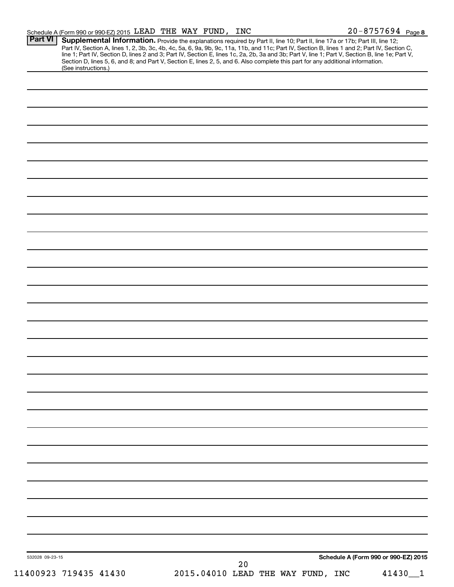|                 |                       | Schedule A (Form 990 or 990-EZ) 2015 LEAD THE WAY FUND, INC                                                                                                                                                                                                                                                                                                                                                                                                                                                                                                         |  |    |                                   | $20 - 8757694$ Page 8                |
|-----------------|-----------------------|---------------------------------------------------------------------------------------------------------------------------------------------------------------------------------------------------------------------------------------------------------------------------------------------------------------------------------------------------------------------------------------------------------------------------------------------------------------------------------------------------------------------------------------------------------------------|--|----|-----------------------------------|--------------------------------------|
| <b>Part VI</b>  | (See instructions.)   | Supplemental Information. Provide the explanations required by Part II, line 10; Part II, line 17a or 17b; Part III, line 12;<br>Part IV, Section A, lines 1, 2, 3b, 3c, 4b, 4c, 5a, 6, 9a, 9b, 9c, 11a, 11b, and 11c; Part IV, Section B, lines 1 and 2; Part IV, Section C,<br>line 1; Part IV, Section D, lines 2 and 3; Part IV, Section E, lines 1c, 2a, 2b, 3a and 3b; Part V, line 1; Part V, Section B, line 1e; Part V,<br>Section D, lines 5, 6, and 8; and Part V, Section E, lines 2, 5, and 6. Also complete this part for any additional information. |  |    |                                   |                                      |
|                 |                       |                                                                                                                                                                                                                                                                                                                                                                                                                                                                                                                                                                     |  |    |                                   |                                      |
|                 |                       |                                                                                                                                                                                                                                                                                                                                                                                                                                                                                                                                                                     |  |    |                                   |                                      |
|                 |                       |                                                                                                                                                                                                                                                                                                                                                                                                                                                                                                                                                                     |  |    |                                   |                                      |
|                 |                       |                                                                                                                                                                                                                                                                                                                                                                                                                                                                                                                                                                     |  |    |                                   |                                      |
|                 |                       |                                                                                                                                                                                                                                                                                                                                                                                                                                                                                                                                                                     |  |    |                                   |                                      |
|                 |                       |                                                                                                                                                                                                                                                                                                                                                                                                                                                                                                                                                                     |  |    |                                   |                                      |
|                 |                       |                                                                                                                                                                                                                                                                                                                                                                                                                                                                                                                                                                     |  |    |                                   |                                      |
|                 |                       |                                                                                                                                                                                                                                                                                                                                                                                                                                                                                                                                                                     |  |    |                                   |                                      |
|                 |                       |                                                                                                                                                                                                                                                                                                                                                                                                                                                                                                                                                                     |  |    |                                   |                                      |
|                 |                       |                                                                                                                                                                                                                                                                                                                                                                                                                                                                                                                                                                     |  |    |                                   |                                      |
|                 |                       |                                                                                                                                                                                                                                                                                                                                                                                                                                                                                                                                                                     |  |    |                                   |                                      |
|                 |                       |                                                                                                                                                                                                                                                                                                                                                                                                                                                                                                                                                                     |  |    |                                   |                                      |
|                 |                       |                                                                                                                                                                                                                                                                                                                                                                                                                                                                                                                                                                     |  |    |                                   |                                      |
|                 |                       |                                                                                                                                                                                                                                                                                                                                                                                                                                                                                                                                                                     |  |    |                                   |                                      |
|                 |                       |                                                                                                                                                                                                                                                                                                                                                                                                                                                                                                                                                                     |  |    |                                   |                                      |
|                 |                       |                                                                                                                                                                                                                                                                                                                                                                                                                                                                                                                                                                     |  |    |                                   |                                      |
|                 |                       |                                                                                                                                                                                                                                                                                                                                                                                                                                                                                                                                                                     |  |    |                                   |                                      |
|                 |                       |                                                                                                                                                                                                                                                                                                                                                                                                                                                                                                                                                                     |  |    |                                   |                                      |
|                 |                       |                                                                                                                                                                                                                                                                                                                                                                                                                                                                                                                                                                     |  |    |                                   |                                      |
|                 |                       |                                                                                                                                                                                                                                                                                                                                                                                                                                                                                                                                                                     |  |    |                                   |                                      |
|                 |                       |                                                                                                                                                                                                                                                                                                                                                                                                                                                                                                                                                                     |  |    |                                   |                                      |
|                 |                       |                                                                                                                                                                                                                                                                                                                                                                                                                                                                                                                                                                     |  |    |                                   |                                      |
|                 |                       |                                                                                                                                                                                                                                                                                                                                                                                                                                                                                                                                                                     |  |    |                                   |                                      |
|                 |                       |                                                                                                                                                                                                                                                                                                                                                                                                                                                                                                                                                                     |  |    |                                   |                                      |
|                 |                       |                                                                                                                                                                                                                                                                                                                                                                                                                                                                                                                                                                     |  |    |                                   |                                      |
|                 |                       |                                                                                                                                                                                                                                                                                                                                                                                                                                                                                                                                                                     |  |    |                                   |                                      |
|                 |                       |                                                                                                                                                                                                                                                                                                                                                                                                                                                                                                                                                                     |  |    |                                   |                                      |
|                 |                       |                                                                                                                                                                                                                                                                                                                                                                                                                                                                                                                                                                     |  |    |                                   |                                      |
|                 |                       |                                                                                                                                                                                                                                                                                                                                                                                                                                                                                                                                                                     |  |    |                                   |                                      |
|                 |                       |                                                                                                                                                                                                                                                                                                                                                                                                                                                                                                                                                                     |  |    |                                   |                                      |
|                 |                       |                                                                                                                                                                                                                                                                                                                                                                                                                                                                                                                                                                     |  |    |                                   |                                      |
|                 |                       |                                                                                                                                                                                                                                                                                                                                                                                                                                                                                                                                                                     |  |    |                                   |                                      |
|                 |                       |                                                                                                                                                                                                                                                                                                                                                                                                                                                                                                                                                                     |  |    |                                   |                                      |
|                 |                       |                                                                                                                                                                                                                                                                                                                                                                                                                                                                                                                                                                     |  |    |                                   |                                      |
| 532028 09-23-15 |                       |                                                                                                                                                                                                                                                                                                                                                                                                                                                                                                                                                                     |  | 20 |                                   | Schedule A (Form 990 or 990-EZ) 2015 |
|                 | 11400923 719435 41430 |                                                                                                                                                                                                                                                                                                                                                                                                                                                                                                                                                                     |  |    | 2015.04010 LEAD THE WAY FUND, INC | 41430_1                              |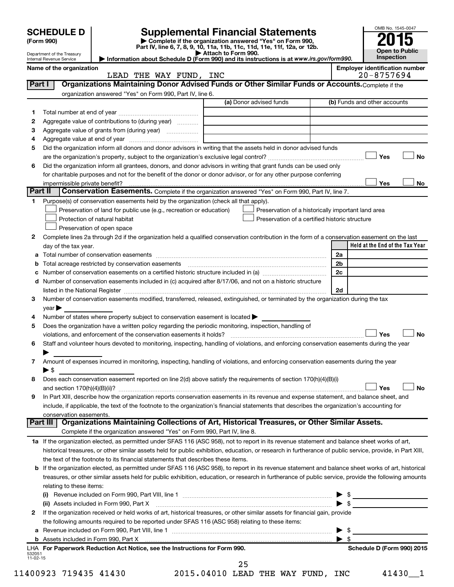|          |                                                        |                                                                                                                                                              |                     |                                                    |                          | OMB No. 1545-0047                     |
|----------|--------------------------------------------------------|--------------------------------------------------------------------------------------------------------------------------------------------------------------|---------------------|----------------------------------------------------|--------------------------|---------------------------------------|
|          | <b>SCHEDULE D</b><br>(Form 990)                        | <b>Supplemental Financial Statements</b><br>Complete if the organization answered "Yes" on Form 990,                                                         |                     |                                                    |                          |                                       |
|          |                                                        | Part IV, line 6, 7, 8, 9, 10, 11a, 11b, 11c, 11d, 11e, 11f, 12a, or 12b.                                                                                     |                     |                                                    |                          | <b>Open to Public</b>                 |
|          | Department of the Treasury<br>Internal Revenue Service | Information about Schedule D (Form 990) and its instructions is at www.irs.gov/form990.                                                                      | Attach to Form 990. |                                                    |                          | Inspection                            |
|          | Name of the organization                               |                                                                                                                                                              |                     |                                                    |                          | <b>Employer identification number</b> |
|          |                                                        | LEAD THE WAY FUND, INC                                                                                                                                       |                     |                                                    |                          | 20-8757694                            |
| Part I   |                                                        | Organizations Maintaining Donor Advised Funds or Other Similar Funds or Accounts. Complete if the                                                            |                     |                                                    |                          |                                       |
|          |                                                        | organization answered "Yes" on Form 990, Part IV, line 6.                                                                                                    |                     | (a) Donor advised funds                            |                          | (b) Funds and other accounts          |
| 1        |                                                        |                                                                                                                                                              |                     |                                                    |                          |                                       |
| 2        |                                                        | Aggregate value of contributions to (during year)                                                                                                            |                     |                                                    |                          |                                       |
| З        |                                                        |                                                                                                                                                              |                     |                                                    |                          |                                       |
| 4        |                                                        |                                                                                                                                                              |                     |                                                    |                          |                                       |
| 5        |                                                        | Did the organization inform all donors and donor advisors in writing that the assets held in donor advised funds                                             |                     |                                                    |                          |                                       |
|          |                                                        |                                                                                                                                                              |                     |                                                    |                          | Yes<br><b>No</b>                      |
| 6        |                                                        | Did the organization inform all grantees, donors, and donor advisors in writing that grant funds can be used only                                            |                     |                                                    |                          |                                       |
|          |                                                        | for charitable purposes and not for the benefit of the donor or donor advisor, or for any other purpose conferring                                           |                     |                                                    |                          |                                       |
| Part II  | impermissible private benefit?                         |                                                                                                                                                              |                     |                                                    |                          | No<br>Yes                             |
|          |                                                        | <b>Conservation Easements.</b> Complete if the organization answered "Yes" on Form 990, Part IV, line 7.                                                     |                     |                                                    |                          |                                       |
| 1.       |                                                        | Purpose(s) of conservation easements held by the organization (check all that apply).<br>Preservation of land for public use (e.g., recreation or education) |                     | Preservation of a historically important land area |                          |                                       |
|          |                                                        | Protection of natural habitat                                                                                                                                |                     | Preservation of a certified historic structure     |                          |                                       |
|          |                                                        | Preservation of open space                                                                                                                                   |                     |                                                    |                          |                                       |
| 2        |                                                        | Complete lines 2a through 2d if the organization held a qualified conservation contribution in the form of a conservation easement on the last               |                     |                                                    |                          |                                       |
|          | day of the tax year.                                   |                                                                                                                                                              |                     |                                                    |                          | Held at the End of the Tax Year       |
|          |                                                        |                                                                                                                                                              |                     |                                                    | 2a                       |                                       |
|          |                                                        | Total acreage restricted by conservation easements                                                                                                           |                     |                                                    | 2 <sub>b</sub>           |                                       |
|          |                                                        | Number of conservation easements on a certified historic structure included in (a) manufacture included in (a)                                               |                     |                                                    | 2c                       |                                       |
|          |                                                        | d Number of conservation easements included in (c) acquired after 8/17/06, and not on a historic structure                                                   |                     |                                                    |                          |                                       |
|          |                                                        | listed in the National Register [111] [12] The Management of the National Property of the National Register [11                                              |                     |                                                    | 2d                       |                                       |
| 3        |                                                        | Number of conservation easements modified, transferred, released, extinguished, or terminated by the organization during the tax                             |                     |                                                    |                          |                                       |
|          | $\vee$ ear $\blacktriangleright$                       |                                                                                                                                                              |                     |                                                    |                          |                                       |
| 4        |                                                        | Number of states where property subject to conservation easement is located >                                                                                |                     |                                                    |                          |                                       |
| 5        |                                                        | Does the organization have a written policy regarding the periodic monitoring, inspection, handling of                                                       |                     |                                                    |                          |                                       |
|          |                                                        | violations, and enforcement of the conservation easements it holds?                                                                                          |                     |                                                    |                          | <b>No</b><br>Yes                      |
| 6        |                                                        | Staff and volunteer hours devoted to monitoring, inspecting, handling of violations, and enforcing conservation easements during the year                    |                     |                                                    |                          |                                       |
|          |                                                        |                                                                                                                                                              |                     |                                                    |                          |                                       |
| 7        |                                                        | Amount of expenses incurred in monitoring, inspecting, handling of violations, and enforcing conservation easements during the year                          |                     |                                                    |                          |                                       |
|          | $\blacktriangleright$ \$                               | Does each conservation easement reported on line 2(d) above satisfy the requirements of section 170(h)(4)(B)(i)                                              |                     |                                                    |                          |                                       |
| 8        |                                                        |                                                                                                                                                              |                     |                                                    |                          | Yes<br><b>No</b>                      |
| 9        |                                                        | In Part XIII, describe how the organization reports conservation easements in its revenue and expense statement, and balance sheet, and                      |                     |                                                    |                          |                                       |
|          |                                                        | include, if applicable, the text of the footnote to the organization's financial statements that describes the organization's accounting for                 |                     |                                                    |                          |                                       |
|          | conservation easements.                                |                                                                                                                                                              |                     |                                                    |                          |                                       |
|          | Part III                                               | Organizations Maintaining Collections of Art, Historical Treasures, or Other Similar Assets.                                                                 |                     |                                                    |                          |                                       |
|          |                                                        | Complete if the organization answered "Yes" on Form 990, Part IV, line 8.                                                                                    |                     |                                                    |                          |                                       |
|          |                                                        | 1a If the organization elected, as permitted under SFAS 116 (ASC 958), not to report in its revenue statement and balance sheet works of art,                |                     |                                                    |                          |                                       |
|          |                                                        | historical treasures, or other similar assets held for public exhibition, education, or research in furtherance of public service, provide, in Part XIII,    |                     |                                                    |                          |                                       |
|          |                                                        | the text of the footnote to its financial statements that describes these items.                                                                             |                     |                                                    |                          |                                       |
|          |                                                        | b If the organization elected, as permitted under SFAS 116 (ASC 958), to report in its revenue statement and balance sheet works of art, historical          |                     |                                                    |                          |                                       |
|          |                                                        | treasures, or other similar assets held for public exhibition, education, or research in furtherance of public service, provide the following amounts        |                     |                                                    |                          |                                       |
|          | relating to these items:                               |                                                                                                                                                              |                     |                                                    |                          |                                       |
|          |                                                        |                                                                                                                                                              |                     |                                                    |                          |                                       |
|          |                                                        |                                                                                                                                                              |                     |                                                    | $\blacktriangleright$ \$ |                                       |
| 2        |                                                        | If the organization received or held works of art, historical treasures, or other similar assets for financial gain, provide                                 |                     |                                                    |                          |                                       |
|          |                                                        | the following amounts required to be reported under SFAS 116 (ASC 958) relating to these items:                                                              |                     |                                                    |                          |                                       |
|          |                                                        |                                                                                                                                                              |                     |                                                    |                          |                                       |
|          |                                                        | b Assets included in Form 990, Part X [11] matter contract the contract of Assets included in Form 990, Part X                                               |                     |                                                    | $\blacktriangleright$ s  | Schedule D (Form 990) 2015            |
| 532051   |                                                        | LHA For Paperwork Reduction Act Notice, see the Instructions for Form 990.                                                                                   |                     |                                                    |                          |                                       |
| 11-02-15 |                                                        |                                                                                                                                                              | 25                  |                                                    |                          |                                       |

11400923 719435 41430 2015.04010 LEAD THE WAY FUND, INC 41430\_\_1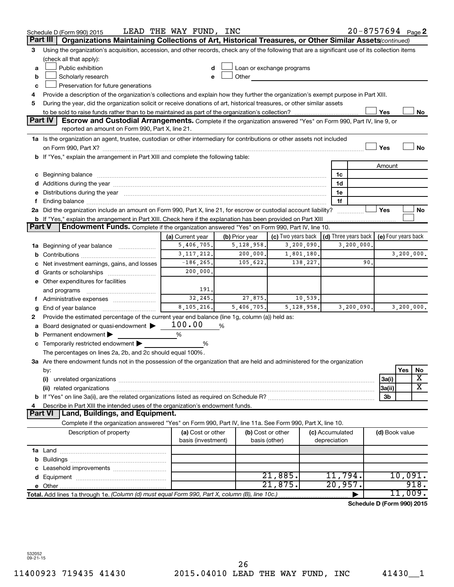|                | Schedule D (Form 990) 2015                                                                                                                                                                                                     | LEAD THE WAY FUND, INC |                |                                                                                                                                                                                                                               |                 | $20 - 8757694$ Page 2      |                     |            |                       |  |
|----------------|--------------------------------------------------------------------------------------------------------------------------------------------------------------------------------------------------------------------------------|------------------------|----------------|-------------------------------------------------------------------------------------------------------------------------------------------------------------------------------------------------------------------------------|-----------------|----------------------------|---------------------|------------|-----------------------|--|
|                | Organizations Maintaining Collections of Art, Historical Treasures, or Other Similar Assets (continued)<br>Part III                                                                                                            |                        |                |                                                                                                                                                                                                                               |                 |                            |                     |            |                       |  |
| 3              | Using the organization's acquisition, accession, and other records, check any of the following that are a significant use of its collection items<br>(check all that apply):                                                   |                        |                |                                                                                                                                                                                                                               |                 |                            |                     |            |                       |  |
| a              | Public exhibition                                                                                                                                                                                                              |                        |                | Loan or exchange programs                                                                                                                                                                                                     |                 |                            |                     |            |                       |  |
| b              | Scholarly research                                                                                                                                                                                                             | е                      |                | Other and the contract of the contract of the contract of the contract of the contract of the contract of the contract of the contract of the contract of the contract of the contract of the contract of the contract of the |                 |                            |                     |            |                       |  |
| c              | Preservation for future generations                                                                                                                                                                                            |                        |                |                                                                                                                                                                                                                               |                 |                            |                     |            |                       |  |
| 4              | Provide a description of the organization's collections and explain how they further the organization's exempt purpose in Part XIII.                                                                                           |                        |                |                                                                                                                                                                                                                               |                 |                            |                     |            |                       |  |
| 5              | During the year, did the organization solicit or receive donations of art, historical treasures, or other similar assets                                                                                                       |                        |                |                                                                                                                                                                                                                               |                 |                            |                     |            |                       |  |
|                |                                                                                                                                                                                                                                |                        |                |                                                                                                                                                                                                                               |                 |                            | Yes                 |            | No                    |  |
| <b>Part IV</b> | <b>Escrow and Custodial Arrangements.</b> Complete if the organization answered "Yes" on Form 990, Part IV, line 9, or<br>reported an amount on Form 990, Part X, line 21.                                                     |                        |                |                                                                                                                                                                                                                               |                 |                            |                     |            |                       |  |
|                | 1a Is the organization an agent, trustee, custodian or other intermediary for contributions or other assets not included                                                                                                       |                        |                |                                                                                                                                                                                                                               |                 |                            |                     |            |                       |  |
|                |                                                                                                                                                                                                                                |                        |                |                                                                                                                                                                                                                               |                 |                            | Yes                 |            | <b>No</b>             |  |
|                | b If "Yes," explain the arrangement in Part XIII and complete the following table:                                                                                                                                             |                        |                |                                                                                                                                                                                                                               |                 |                            |                     |            |                       |  |
|                |                                                                                                                                                                                                                                |                        |                |                                                                                                                                                                                                                               |                 |                            | Amount              |            |                       |  |
|                | c Beginning balance measurements and the contract of the contract of the contract of the contract of the contract of the contract of the contract of the contract of the contract of the contract of the contract of the contr |                        |                |                                                                                                                                                                                                                               | 1c              |                            |                     |            |                       |  |
|                | d Additions during the year manufactured and an account of the year manufactured and account of the year manufactured and account of the year manufactured and account of the year manufactured and account of the year manufa |                        |                |                                                                                                                                                                                                                               | 1d              |                            |                     |            |                       |  |
|                | e Distributions during the year manufactured and a control of the year manufactured and a control of the year                                                                                                                  |                        |                |                                                                                                                                                                                                                               | 1e              |                            |                     |            |                       |  |
| f.             |                                                                                                                                                                                                                                |                        |                |                                                                                                                                                                                                                               | 1f              |                            |                     |            |                       |  |
|                | 2a Did the organization include an amount on Form 990, Part X, line 21, for escrow or custodial account liability?                                                                                                             |                        |                |                                                                                                                                                                                                                               |                 |                            | Yes                 |            | <b>No</b>             |  |
|                |                                                                                                                                                                                                                                |                        |                |                                                                                                                                                                                                                               |                 |                            |                     |            |                       |  |
| <b>Part V</b>  | Endowment Funds. Complete if the organization answered "Yes" on Form 990, Part IV, line 10.                                                                                                                                    |                        |                |                                                                                                                                                                                                                               |                 |                            |                     |            |                       |  |
|                |                                                                                                                                                                                                                                | (a) Current year       | (b) Prior year | (c) Two years back (d) Three years back                                                                                                                                                                                       |                 |                            | (e) Four years back |            |                       |  |
|                | 1a Beginning of year balance                                                                                                                                                                                                   | 5,406,705.             | 5, 128, 958.   | 3,200,090.                                                                                                                                                                                                                    |                 | 3,200,000,                 |                     |            |                       |  |
|                |                                                                                                                                                                                                                                | 3, 117, 212.           | 200,000.       | 1,801,180.                                                                                                                                                                                                                    |                 |                            |                     | 3,200,000. |                       |  |
|                | c Net investment earnings, gains, and losses                                                                                                                                                                                   | $-186, 265.$           | 105,622.       | 138,227.                                                                                                                                                                                                                      |                 | 90.                        |                     |            |                       |  |
|                | d Grants or scholarships                                                                                                                                                                                                       | 200,000.               |                |                                                                                                                                                                                                                               |                 |                            |                     |            |                       |  |
|                | e Other expenditures for facilities                                                                                                                                                                                            |                        |                |                                                                                                                                                                                                                               |                 |                            |                     |            |                       |  |
|                | and programs                                                                                                                                                                                                                   | 191.                   |                |                                                                                                                                                                                                                               |                 |                            |                     |            |                       |  |
|                | f Administrative expenses                                                                                                                                                                                                      | 32,245.                | 27,875.        | 10,539.                                                                                                                                                                                                                       |                 |                            |                     |            |                       |  |
| g              |                                                                                                                                                                                                                                | 8, 105, 216.           | 5,406,705.     | 5, 128, 958.                                                                                                                                                                                                                  |                 | 3,200,090.                 |                     | 3,200,000. |                       |  |
| 2              | Provide the estimated percentage of the current year end balance (line 1g, column (a)) held as:                                                                                                                                | 100.00                 |                |                                                                                                                                                                                                                               |                 |                            |                     |            |                       |  |
| а              | Board designated or quasi-endowment                                                                                                                                                                                            |                        | %              |                                                                                                                                                                                                                               |                 |                            |                     |            |                       |  |
| b              | Permanent endowment                                                                                                                                                                                                            | %                      |                |                                                                                                                                                                                                                               |                 |                            |                     |            |                       |  |
|                | <b>c</b> Temporarily restricted endowment $\blacktriangleright$                                                                                                                                                                | %                      |                |                                                                                                                                                                                                                               |                 |                            |                     |            |                       |  |
|                | The percentages on lines 2a, 2b, and 2c should equal 100%.                                                                                                                                                                     |                        |                |                                                                                                                                                                                                                               |                 |                            |                     |            |                       |  |
|                | 3a Are there endowment funds not in the possession of the organization that are held and administered for the organization<br>by:                                                                                              |                        |                |                                                                                                                                                                                                                               |                 |                            |                     | Yes        | No                    |  |
|                | (i)                                                                                                                                                                                                                            |                        |                |                                                                                                                                                                                                                               |                 |                            | 3a(i)               |            | X                     |  |
|                |                                                                                                                                                                                                                                |                        |                |                                                                                                                                                                                                                               |                 |                            | 3a(ii)              |            | $\overline{\text{X}}$ |  |
|                |                                                                                                                                                                                                                                |                        |                |                                                                                                                                                                                                                               |                 |                            | 3b                  |            |                       |  |
| 4              | Describe in Part XIII the intended uses of the organization's endowment funds.                                                                                                                                                 |                        |                |                                                                                                                                                                                                                               |                 |                            |                     |            |                       |  |
|                | Land, Buildings, and Equipment.<br>Part VI                                                                                                                                                                                     |                        |                |                                                                                                                                                                                                                               |                 |                            |                     |            |                       |  |
|                | Complete if the organization answered "Yes" on Form 990, Part IV, line 11a. See Form 990, Part X, line 10.                                                                                                                     |                        |                |                                                                                                                                                                                                                               |                 |                            |                     |            |                       |  |
|                | Description of property                                                                                                                                                                                                        | (a) Cost or other      |                | (b) Cost or other                                                                                                                                                                                                             | (c) Accumulated |                            | (d) Book value      |            |                       |  |
|                |                                                                                                                                                                                                                                | basis (investment)     |                | basis (other)                                                                                                                                                                                                                 | depreciation    |                            |                     |            |                       |  |
|                |                                                                                                                                                                                                                                |                        |                |                                                                                                                                                                                                                               |                 |                            |                     |            |                       |  |
|                |                                                                                                                                                                                                                                |                        |                |                                                                                                                                                                                                                               |                 |                            |                     |            |                       |  |
|                |                                                                                                                                                                                                                                |                        |                |                                                                                                                                                                                                                               |                 |                            |                     |            |                       |  |
|                |                                                                                                                                                                                                                                |                        |                | 21,885.                                                                                                                                                                                                                       | 11,794.         |                            |                     | 10,091.    |                       |  |
|                |                                                                                                                                                                                                                                |                        |                | 21,875.                                                                                                                                                                                                                       | 20,957.         |                            |                     |            | 918.                  |  |
|                | Total. Add lines 1a through 1e. (Column (d) must equal Form 990, Part X, column (B), line 10c.)                                                                                                                                |                        |                |                                                                                                                                                                                                                               |                 |                            |                     | 11,009.    |                       |  |
|                |                                                                                                                                                                                                                                |                        |                |                                                                                                                                                                                                                               |                 | Schedule D (Form 990) 2015 |                     |            |                       |  |

532052 09-21-15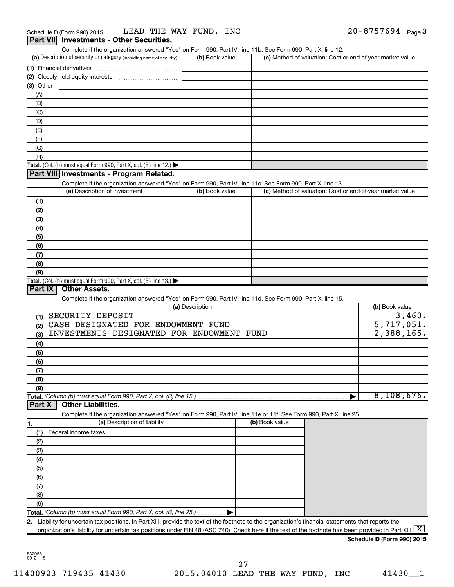| Part VIII Investments - Other Securities.                                                                  |                |                                                           |
|------------------------------------------------------------------------------------------------------------|----------------|-----------------------------------------------------------|
| Complete if the organization answered "Yes" on Form 990, Part IV, line 11b. See Form 990, Part X, line 12. |                |                                                           |
| (a) Description of security or category (including name of security)                                       | (b) Book value | (c) Method of valuation: Cost or end-of-year market value |
| (1) Financial derivatives                                                                                  |                |                                                           |
|                                                                                                            |                |                                                           |
| $(3)$ Other                                                                                                |                |                                                           |
| (A)                                                                                                        |                |                                                           |
| (B)                                                                                                        |                |                                                           |
| (C)                                                                                                        |                |                                                           |
| (D)                                                                                                        |                |                                                           |
| (E)                                                                                                        |                |                                                           |
| (F)                                                                                                        |                |                                                           |
| (G)                                                                                                        |                |                                                           |
| (H)                                                                                                        |                |                                                           |
| Total. (Col. (b) must equal Form 990, Part X, col. (B) line $12$ .)                                        |                |                                                           |
| Part VIII Investments - Program Related.                                                                   |                |                                                           |
| Complete if the organization answered "Yes" on Form 990, Part IV, line 11c. See Form 990, Part X, line 13. |                |                                                           |
| (a) Description of investment                                                                              | (b) Book value | (c) Method of valuation: Cost or end-of-year market value |
| (1)                                                                                                        |                |                                                           |
| (2)                                                                                                        |                |                                                           |
| (3)                                                                                                        |                |                                                           |
| (4)                                                                                                        |                |                                                           |
| (5)                                                                                                        |                |                                                           |
| $\overline{\phantom{a}}$                                                                                   |                |                                                           |

| ັ<br>(a) Description of investment                                  | (b) Book value | (c) Method of valuation: Cost or end-of-year market value |
|---------------------------------------------------------------------|----------------|-----------------------------------------------------------|
| (1)                                                                 |                |                                                           |
| (2)                                                                 |                |                                                           |
| (3)                                                                 |                |                                                           |
| (4)                                                                 |                |                                                           |
| (5)                                                                 |                |                                                           |
| (6)                                                                 |                |                                                           |
| (7)                                                                 |                |                                                           |
| (8)                                                                 |                |                                                           |
| (9)                                                                 |                |                                                           |
| Total. (Col. (b) must equal Form 990, Part X, col. (B) line $13.$ ) |                |                                                           |

### **Part IX Other Assets.**

Complete if the organization answered "Yes" on Form 990, Part IV, line 11d. See Form 990, Part X, line 15.

| (a) Description                                  | (b) Book value |
|--------------------------------------------------|----------------|
| SECURITY DEPOSIT<br>(1)                          | 3,460.         |
| CASH DESIGNATED FOR ENDOWMENT<br>FUND<br>(2)     | 5,717,051.     |
| INVESTMENTS DESIGNATED FOR ENDOWMENT FUND<br>(3) | 2,388,165.     |
| (4)                                              |                |
| (5)                                              |                |
| (6)                                              |                |
| (7)                                              |                |
| (8)                                              |                |
| (9)                                              |                |
|                                                  | 8,108,676.     |

#### **Part X Other Liabilities.**

Complete if the organization answered "Yes" on Form 990, Part IV, line 11e or 11f. See Form 990, Part X, line 25.

|     | (a) Description of liability                                       | (b) Book value |
|-----|--------------------------------------------------------------------|----------------|
|     | Federal income taxes                                               |                |
| (2) |                                                                    |                |
| (3) |                                                                    |                |
| (4) |                                                                    |                |
| (5) |                                                                    |                |
| (6) |                                                                    |                |
|     |                                                                    |                |
| (8) |                                                                    |                |
| (9) |                                                                    |                |
|     | Total. (Column (b) must equal Form 990, Part X, col. (B) line 25.) |                |

**2.** Liability for uncertain tax positions. In Part XIII, provide the text of the footnote to the organization's financial statements that reports the organization's liability for uncertain tax positions under FIN 48 (ASC 740). Check here if the text of the footnote has been provided in Part XIII  $\boxed{\text{X}}$ 

#### **Schedule D (Form 990) 2015**

532053 09-21-15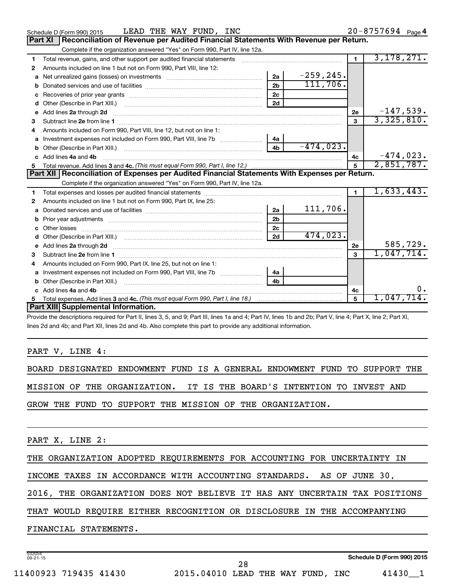|    | LEAD THE WAY FUND, INC<br>Schedule D (Form 990) 2015                                                                            |                |              |                | $20 - 8757694$ Page 4 |
|----|---------------------------------------------------------------------------------------------------------------------------------|----------------|--------------|----------------|-----------------------|
|    | Reconciliation of Revenue per Audited Financial Statements With Revenue per Return.<br><b>Part XI</b>                           |                |              |                |                       |
|    | Complete if the organization answered "Yes" on Form 990, Part IV, line 12a.                                                     |                |              |                |                       |
| 1  | Total revenue, gains, and other support per audited financial statements [[[[[[[[[[[[[[[[[[[[[[[]]]]]]]]]]]]]                   |                |              | $\blacksquare$ | 3,178,271.            |
| 2  | Amounts included on line 1 but not on Form 990, Part VIII, line 12:                                                             |                |              |                |                       |
| a  | Net unrealized gains (losses) on investments [111] [12] matter was uncontracted by the unrealized gains (losses) on investments | 2a             | $-259, 245.$ |                |                       |
| b  |                                                                                                                                 | 2 <sub>b</sub> | 111,706.     |                |                       |
| c  | Recoveries of prior year grants [11,111] [12] Recoveries of prior year grants [11] [12] Recoveries [12] [12] [                  | 2c             |              |                |                       |
| d  |                                                                                                                                 | 2d             |              |                |                       |
| е  | Add lines 2a through 2d                                                                                                         |                |              | 2e             | $-147,539.$           |
| 3  |                                                                                                                                 |                |              | $\mathbf{a}$   | 3,325,810.            |
| 4  | Amounts included on Form 990, Part VIII, line 12, but not on line 1:                                                            |                |              |                |                       |
| a  | Investment expenses not included on Form 990, Part VIII, line 7b                                                                | 4a             |              |                |                       |
| b  |                                                                                                                                 | 4 <sub>h</sub> | $-474,023.$  |                |                       |
| c. | Add lines 4a and 4b                                                                                                             |                |              | 4c             | $-474,023.$           |
| 5  |                                                                                                                                 |                |              | 5              | 2,851,787.            |
|    |                                                                                                                                 |                |              |                |                       |
|    | Part XII   Reconciliation of Expenses per Audited Financial Statements With Expenses per Return.                                |                |              |                |                       |
|    | Complete if the organization answered "Yes" on Form 990, Part IV, line 12a.                                                     |                |              |                |                       |
| 1  |                                                                                                                                 |                |              | $\blacksquare$ | 1,633,443.            |
| 2  | Amounts included on line 1 but not on Form 990, Part IX, line 25:                                                               |                |              |                |                       |
| a  |                                                                                                                                 | 2a             | 111,706.     |                |                       |
| b  |                                                                                                                                 | 2 <sub>b</sub> |              |                |                       |
| c  |                                                                                                                                 | 2c             |              |                |                       |
|    |                                                                                                                                 | 2d             | 474,023.     |                |                       |
|    | Add lines 2a through 2d                                                                                                         |                |              | 2e             | 585,729.              |
| з  |                                                                                                                                 |                |              | $\mathbf{a}$   | 1,047,714.            |
| 4  | Amounts included on Form 990, Part IX, line 25, but not on line 1:                                                              |                |              |                |                       |
| a  | Investment expenses not included on Form 990, Part VIII, line 7b                                                                | 4a             |              |                |                       |
|    |                                                                                                                                 | 4 <sub>h</sub> |              |                |                       |
| c  | Add lines 4a and 4b                                                                                                             |                |              | 4c             | 0.                    |
|    | Part XIII Supplemental Information.                                                                                             |                |              | 5              | 1,047,714.            |

Provide the descriptions required for Part II, lines 3, 5, and 9; Part III, lines 1a and 4; Part IV, lines 1b and 2b; Part V, line 4; Part X, line 2; Part XI, lines 2d and 4b; and Part XII, lines 2d and 4b. Also complete this part to provide any additional information.

#### PART V, LINE 4:

BOARD DESIGNATED ENDOWMENT FUND IS A GENERAL ENDOWMENT FUND TO SUPPORT THE MISSION OF THE ORGANIZATION. IT IS THE BOARD'S INTENTION TO INVEST AND

GROW THE FUND TO SUPPORT THE MISSION OF THE ORGANIZATION.

PART X, LINE 2:

THE ORGANIZATION ADOPTED REQUIREMENTS FOR ACCOUNTING FOR UNCERTAINTY IN

INCOME TAXES IN ACCORDANCE WITH ACCOUNTING STANDARDS. AS OF JUNE 30,

2016, THE ORGANIZATION DOES NOT BELIEVE IT HAS ANY UNCERTAIN TAX POSITIONS

#### THAT WOULD REQUIRE EITHER RECOGNITION OR DISCLOSURE IN THE ACCOMPANYING

FINANCIAL STATEMENTS.

28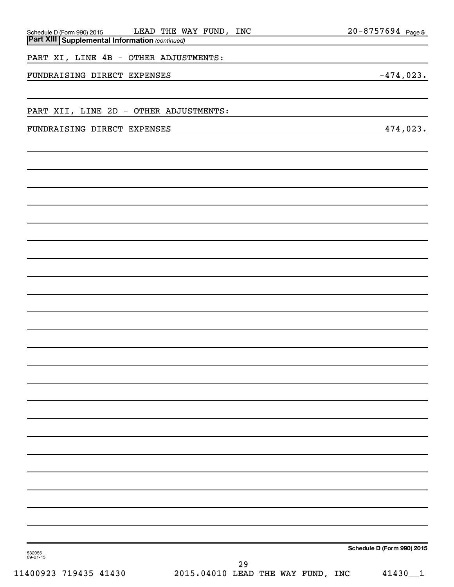| <b>Part XIII Supplemental Information (continued)</b> |                                   |    |  |  |                            |
|-------------------------------------------------------|-----------------------------------|----|--|--|----------------------------|
| PART XI, LINE 4B - OTHER ADJUSTMENTS:                 |                                   |    |  |  |                            |
| FUNDRAISING DIRECT EXPENSES                           |                                   |    |  |  | $-474,023.$                |
|                                                       |                                   |    |  |  |                            |
| PART XII, LINE 2D - OTHER ADJUSTMENTS:                |                                   |    |  |  |                            |
| FUNDRAISING DIRECT EXPENSES                           |                                   |    |  |  | 474,023.                   |
|                                                       |                                   |    |  |  |                            |
|                                                       |                                   |    |  |  |                            |
|                                                       |                                   |    |  |  |                            |
|                                                       |                                   |    |  |  |                            |
|                                                       |                                   |    |  |  |                            |
|                                                       |                                   |    |  |  |                            |
|                                                       |                                   |    |  |  |                            |
|                                                       |                                   |    |  |  |                            |
|                                                       |                                   |    |  |  |                            |
|                                                       |                                   |    |  |  |                            |
|                                                       |                                   |    |  |  |                            |
|                                                       |                                   |    |  |  |                            |
|                                                       |                                   |    |  |  |                            |
|                                                       |                                   |    |  |  |                            |
|                                                       |                                   |    |  |  |                            |
|                                                       |                                   |    |  |  |                            |
|                                                       |                                   |    |  |  |                            |
|                                                       |                                   |    |  |  |                            |
|                                                       |                                   |    |  |  |                            |
|                                                       |                                   |    |  |  |                            |
|                                                       |                                   |    |  |  |                            |
|                                                       |                                   |    |  |  |                            |
|                                                       |                                   |    |  |  |                            |
| 532055<br>09-21-15                                    |                                   |    |  |  | Schedule D (Form 990) 2015 |
| 11400923 719435 41430                                 | 2015.04010 LEAD THE WAY FUND, INC | 29 |  |  | 41430_1                    |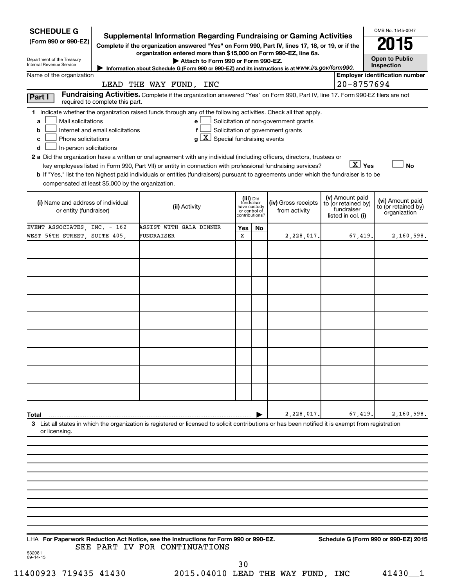| <b>SCHEDULE G</b>                                                                                                                                                                                                                                                                                                                                                                                                                                                                                                                                                           | <b>Supplemental Information Regarding Fundraising or Gaming Activities</b>                                                                                                                        |                                                                            |    |                                                                            |                                                                            | OMB No. 1545-0047                                       |
|-----------------------------------------------------------------------------------------------------------------------------------------------------------------------------------------------------------------------------------------------------------------------------------------------------------------------------------------------------------------------------------------------------------------------------------------------------------------------------------------------------------------------------------------------------------------------------|---------------------------------------------------------------------------------------------------------------------------------------------------------------------------------------------------|----------------------------------------------------------------------------|----|----------------------------------------------------------------------------|----------------------------------------------------------------------------|---------------------------------------------------------|
| (Form 990 or 990-EZ)                                                                                                                                                                                                                                                                                                                                                                                                                                                                                                                                                        | Complete if the organization answered "Yes" on Form 990, Part IV, lines 17, 18, or 19, or if the                                                                                                  |                                                                            |    |                                                                            |                                                                            |                                                         |
| Department of the Treasury<br>Internal Revenue Service                                                                                                                                                                                                                                                                                                                                                                                                                                                                                                                      | organization entered more than \$15,000 on Form 990-EZ, line 6a.<br>Attach to Form 990 or Form 990-EZ.                                                                                            |                                                                            |    |                                                                            |                                                                            | <b>Open to Public</b><br>Inspection                     |
| Name of the organization                                                                                                                                                                                                                                                                                                                                                                                                                                                                                                                                                    | Information about Schedule G (Form 990 or 990-EZ) and its instructions is at www.irs.gov/form990.                                                                                                 |                                                                            |    |                                                                            |                                                                            | <b>Employer identification number</b>                   |
|                                                                                                                                                                                                                                                                                                                                                                                                                                                                                                                                                                             | LEAD THE WAY FUND, INC                                                                                                                                                                            |                                                                            |    |                                                                            | $20 - 8757694$                                                             |                                                         |
| Part I<br>required to complete this part.                                                                                                                                                                                                                                                                                                                                                                                                                                                                                                                                   | Fundraising Activities. Complete if the organization answered "Yes" on Form 990, Part IV, line 17. Form 990-EZ filers are not                                                                     |                                                                            |    |                                                                            |                                                                            |                                                         |
| 1 Indicate whether the organization raised funds through any of the following activities. Check all that apply.<br>Mail solicitations<br>a<br>Internet and email solicitations<br>b<br>Phone solicitations<br>c<br>In-person solicitations<br>d<br>2 a Did the organization have a written or oral agreement with any individual (including officers, directors, trustees or<br>b If "Yes," list the ten highest paid individuals or entities (fundraisers) pursuant to agreements under which the fundraiser is to be<br>compensated at least \$5,000 by the organization. | e<br>f<br>$g\left[\frac{\mathbf{X}}{\mathbf{X}}\right]$ Special fundraising events<br>key employees listed in Form 990, Part VII) or entity in connection with professional fundraising services? |                                                                            |    | Solicitation of non-government grants<br>Solicitation of government grants | $\boxed{\text{X}}$ Yes                                                     | <b>No</b>                                               |
| (i) Name and address of individual<br>or entity (fundraiser)                                                                                                                                                                                                                                                                                                                                                                                                                                                                                                                | (ii) Activity                                                                                                                                                                                     | (iii) Did<br>fundraiser<br>have custody<br>or control of<br>?contributions |    | (iv) Gross receipts<br>from activity                                       | (v) Amount paid<br>to (or retained by)<br>fundraiser<br>listed in col. (i) | (vi) Amount paid<br>to (or retained by)<br>organization |
| EVENT ASSOCIATES, INC. - 162                                                                                                                                                                                                                                                                                                                                                                                                                                                                                                                                                | ASSIST WITH GALA DINNER                                                                                                                                                                           | Yes                                                                        | No |                                                                            |                                                                            |                                                         |
| WEST 56TH STREET, SUITE 405,                                                                                                                                                                                                                                                                                                                                                                                                                                                                                                                                                | FUNDRAISER                                                                                                                                                                                        | x                                                                          |    | 2,228,017.                                                                 | 67,419.                                                                    | 2,160,598.                                              |
|                                                                                                                                                                                                                                                                                                                                                                                                                                                                                                                                                                             |                                                                                                                                                                                                   |                                                                            |    |                                                                            |                                                                            |                                                         |
|                                                                                                                                                                                                                                                                                                                                                                                                                                                                                                                                                                             |                                                                                                                                                                                                   |                                                                            |    |                                                                            |                                                                            |                                                         |
|                                                                                                                                                                                                                                                                                                                                                                                                                                                                                                                                                                             |                                                                                                                                                                                                   |                                                                            |    |                                                                            |                                                                            |                                                         |
|                                                                                                                                                                                                                                                                                                                                                                                                                                                                                                                                                                             |                                                                                                                                                                                                   |                                                                            |    |                                                                            |                                                                            |                                                         |
|                                                                                                                                                                                                                                                                                                                                                                                                                                                                                                                                                                             |                                                                                                                                                                                                   |                                                                            |    |                                                                            |                                                                            |                                                         |
|                                                                                                                                                                                                                                                                                                                                                                                                                                                                                                                                                                             |                                                                                                                                                                                                   |                                                                            |    |                                                                            |                                                                            |                                                         |
|                                                                                                                                                                                                                                                                                                                                                                                                                                                                                                                                                                             |                                                                                                                                                                                                   |                                                                            |    |                                                                            |                                                                            |                                                         |
|                                                                                                                                                                                                                                                                                                                                                                                                                                                                                                                                                                             |                                                                                                                                                                                                   |                                                                            |    |                                                                            |                                                                            |                                                         |
|                                                                                                                                                                                                                                                                                                                                                                                                                                                                                                                                                                             |                                                                                                                                                                                                   |                                                                            |    |                                                                            |                                                                            |                                                         |
|                                                                                                                                                                                                                                                                                                                                                                                                                                                                                                                                                                             |                                                                                                                                                                                                   |                                                                            |    |                                                                            |                                                                            |                                                         |
|                                                                                                                                                                                                                                                                                                                                                                                                                                                                                                                                                                             |                                                                                                                                                                                                   |                                                                            |    |                                                                            |                                                                            |                                                         |
|                                                                                                                                                                                                                                                                                                                                                                                                                                                                                                                                                                             |                                                                                                                                                                                                   |                                                                            |    |                                                                            |                                                                            |                                                         |
| Total                                                                                                                                                                                                                                                                                                                                                                                                                                                                                                                                                                       |                                                                                                                                                                                                   |                                                                            |    | 2,228,017                                                                  | 67,419                                                                     | 2,160,598.                                              |
| 3 List all states in which the organization is registered or licensed to solicit contributions or has been notified it is exempt from registration<br>or licensing.                                                                                                                                                                                                                                                                                                                                                                                                         |                                                                                                                                                                                                   |                                                                            |    |                                                                            |                                                                            |                                                         |
|                                                                                                                                                                                                                                                                                                                                                                                                                                                                                                                                                                             |                                                                                                                                                                                                   |                                                                            |    |                                                                            |                                                                            |                                                         |
|                                                                                                                                                                                                                                                                                                                                                                                                                                                                                                                                                                             |                                                                                                                                                                                                   |                                                                            |    |                                                                            |                                                                            |                                                         |
|                                                                                                                                                                                                                                                                                                                                                                                                                                                                                                                                                                             |                                                                                                                                                                                                   |                                                                            |    |                                                                            |                                                                            |                                                         |
|                                                                                                                                                                                                                                                                                                                                                                                                                                                                                                                                                                             |                                                                                                                                                                                                   |                                                                            |    |                                                                            |                                                                            |                                                         |
|                                                                                                                                                                                                                                                                                                                                                                                                                                                                                                                                                                             |                                                                                                                                                                                                   |                                                                            |    |                                                                            |                                                                            |                                                         |
|                                                                                                                                                                                                                                                                                                                                                                                                                                                                                                                                                                             |                                                                                                                                                                                                   |                                                                            |    |                                                                            |                                                                            |                                                         |
|                                                                                                                                                                                                                                                                                                                                                                                                                                                                                                                                                                             |                                                                                                                                                                                                   |                                                                            |    |                                                                            |                                                                            |                                                         |
| LHA For Paperwork Reduction Act Notice, see the Instructions for Form 990 or 990-EZ.                                                                                                                                                                                                                                                                                                                                                                                                                                                                                        | SEE PART IV FOR CONTINUATIONS                                                                                                                                                                     |                                                                            |    |                                                                            |                                                                            | Schedule G (Form 990 or 990-EZ) 2015                    |

532081 09-14-15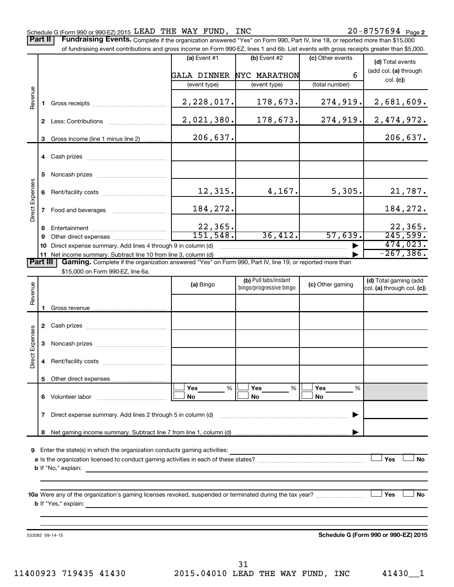Part II | Fundraising Events. Complete if the organization answered "Yes" on Form 990, Part IV, line 18, or reported more than \$15,000

|                 |              | of fundraising event contributions and gross income on Form 990-EZ, lines 1 and 6b. List events with gross receipts greater than \$5,000.                                   |                    |                                                  |                  |                                                     |
|-----------------|--------------|-----------------------------------------------------------------------------------------------------------------------------------------------------------------------------|--------------------|--------------------------------------------------|------------------|-----------------------------------------------------|
|                 |              |                                                                                                                                                                             | $(a)$ Event #1     | $(b)$ Event #2                                   | (c) Other events | (d) Total events                                    |
|                 |              |                                                                                                                                                                             | <b>GALA DINNER</b> | NYC MARATHON                                     | 6                | (add col. (a) through                               |
|                 |              |                                                                                                                                                                             | (event type)       | (event type)                                     | (total number)   | col. (c)                                            |
| Revenue         | 1.           |                                                                                                                                                                             | 2,228,017.         | 178,673.                                         | 274,919.         | 2,681,609.                                          |
|                 |              |                                                                                                                                                                             | 2,021,380.         | 178,673.                                         | 274,919.         | 2,474,972.                                          |
|                 | 3            | Gross income (line 1 minus line 2)                                                                                                                                          | 206,637.           |                                                  |                  | 206,637.                                            |
|                 |              |                                                                                                                                                                             |                    |                                                  |                  |                                                     |
|                 | 5            |                                                                                                                                                                             |                    |                                                  |                  |                                                     |
| Direct Expenses |              |                                                                                                                                                                             | 12,315.            | 4,167.                                           | 5,305.           | 21,787.                                             |
|                 | $\mathbf{7}$ | Food and beverages                                                                                                                                                          | 184,272.           |                                                  |                  | 184,272.                                            |
|                 | 8            |                                                                                                                                                                             | 22, 365.           |                                                  |                  | 22,365.                                             |
|                 | 9            |                                                                                                                                                                             | 151,548.           | 36,412.                                          | 57,639.          | 245,599.                                            |
|                 | 10           | Direct expense summary. Add lines 4 through 9 in column (d)                                                                                                                 |                    |                                                  |                  | 474,023.                                            |
| <b>Part III</b> |              | 11 Net income summary. Subtract line 10 from line 3, column (d)<br>Gaming. Complete if the organization answered "Yes" on Form 990, Part IV, line 19, or reported more than |                    |                                                  |                  | $-267, 386.$                                        |
|                 |              | \$15,000 on Form 990-EZ, line 6a.                                                                                                                                           |                    |                                                  |                  |                                                     |
| Revenue         |              |                                                                                                                                                                             | (a) Bingo          | (b) Pull tabs/instant<br>bingo/progressive bingo | (c) Other gaming | (d) Total gaming (add<br>col. (a) through col. (c)) |
|                 |              |                                                                                                                                                                             |                    |                                                  |                  |                                                     |
|                 |              |                                                                                                                                                                             |                    |                                                  |                  |                                                     |
|                 |              |                                                                                                                                                                             |                    |                                                  |                  |                                                     |
| Direct Expenses | 3            |                                                                                                                                                                             |                    |                                                  |                  |                                                     |
|                 | 4            |                                                                                                                                                                             |                    |                                                  |                  |                                                     |
|                 |              | 5 Other direct expenses                                                                                                                                                     |                    |                                                  |                  |                                                     |
|                 |              | 6 Volunteer labor                                                                                                                                                           | %<br>Yes<br>No     | %<br>Yes<br>No                                   | Yes<br>%<br>No   |                                                     |
|                 | 7            | Direct expense summary. Add lines 2 through 5 in column (d)                                                                                                                 |                    |                                                  |                  |                                                     |
|                 |              |                                                                                                                                                                             |                    |                                                  |                  |                                                     |
|                 |              |                                                                                                                                                                             |                    |                                                  |                  |                                                     |
|                 |              | 9 Enter the state(s) in which the organization conducts gaming activities:                                                                                                  |                    |                                                  |                  |                                                     |
|                 |              | <b>b</b> If "No," explain:<br><u> 1989 - Johann Stoff, deutscher Stoff, der Stoff, der Stoff, der Stoff, der Stoff, der Stoff, der Stoff, der S</u>                         |                    |                                                  |                  | Yes<br>No                                           |
|                 |              |                                                                                                                                                                             |                    |                                                  |                  |                                                     |
|                 |              | 10a Were any of the organization's gaming licenses revoked, suspended or terminated during the tax year?                                                                    |                    |                                                  |                  | Yes<br>No                                           |
|                 |              |                                                                                                                                                                             |                    |                                                  |                  |                                                     |
|                 |              |                                                                                                                                                                             |                    |                                                  |                  |                                                     |
|                 |              | 532082 09-14-15                                                                                                                                                             |                    |                                                  |                  | Schedule G (Form 990 or 990-EZ) 2015                |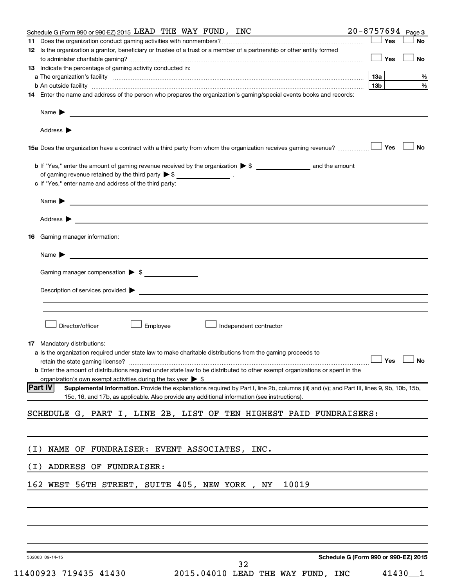| Schedule G (Form 990 or 990-EZ) 2015 LEAD THE WAY FUND, INC                                                                                                                                                                                                   |                                      | $20 - 8757694$ Page 3 |           |
|---------------------------------------------------------------------------------------------------------------------------------------------------------------------------------------------------------------------------------------------------------------|--------------------------------------|-----------------------|-----------|
| 11.                                                                                                                                                                                                                                                           |                                      | 」Yes                  | <b>No</b> |
| 12 Is the organization a grantor, beneficiary or trustee of a trust or a member of a partnership or other entity formed                                                                                                                                       |                                      | $\Box$ Yes            | <b>No</b> |
| <b>13</b> Indicate the percentage of gaming activity conducted in:                                                                                                                                                                                            |                                      |                       |           |
|                                                                                                                                                                                                                                                               |                                      | 13a                   | %         |
|                                                                                                                                                                                                                                                               |                                      | 13b l                 | $\%$      |
| 14 Enter the name and address of the person who prepares the organization's gaming/special events books and records:                                                                                                                                          |                                      |                       |           |
|                                                                                                                                                                                                                                                               |                                      |                       |           |
|                                                                                                                                                                                                                                                               |                                      |                       |           |
| <b>15a</b> Does the organization have a contract with a third party from whom the organization receives gaming revenue? $\ldots$                                                                                                                              |                                      |                       | <b>No</b> |
|                                                                                                                                                                                                                                                               |                                      |                       |           |
| of gaming revenue retained by the third party $\triangleright$ \$ __________________.                                                                                                                                                                         |                                      |                       |           |
| c If "Yes," enter name and address of the third party:                                                                                                                                                                                                        |                                      |                       |           |
|                                                                                                                                                                                                                                                               |                                      |                       |           |
| Address $\blacktriangleright$                                                                                                                                                                                                                                 |                                      |                       |           |
| Gaming manager information:<br>16.                                                                                                                                                                                                                            |                                      |                       |           |
|                                                                                                                                                                                                                                                               |                                      |                       |           |
| <u> 1980 - Johann Barbara, martin amerikan basal dan berasal dalam basal dalam basal dalam basal dalam basal dala</u><br>Name $\blacktriangleright$                                                                                                           |                                      |                       |           |
| Gaming manager compensation > \$                                                                                                                                                                                                                              |                                      |                       |           |
|                                                                                                                                                                                                                                                               |                                      |                       |           |
|                                                                                                                                                                                                                                                               |                                      |                       |           |
|                                                                                                                                                                                                                                                               |                                      |                       |           |
| Director/officer<br>Employee<br>Independent contractor                                                                                                                                                                                                        |                                      |                       |           |
| 17 Mandatory distributions:                                                                                                                                                                                                                                   |                                      |                       |           |
| <b>a</b> Is the organization required under state law to make charitable distributions from the gaming proceeds to                                                                                                                                            |                                      |                       |           |
| retain the state gaming license? $\Box$ No                                                                                                                                                                                                                    |                                      |                       |           |
| <b>b</b> Enter the amount of distributions required under state law to be distributed to other exempt organizations or spent in the                                                                                                                           |                                      |                       |           |
| organization's own exempt activities during the tax year $\triangleright$ \$                                                                                                                                                                                  |                                      |                       |           |
| <b>Part IV</b><br>Supplemental Information. Provide the explanations required by Part I, line 2b, columns (iii) and (v); and Part III, lines 9, 9b, 10b, 15b,<br>15c, 16, and 17b, as applicable. Also provide any additional information (see instructions). |                                      |                       |           |
|                                                                                                                                                                                                                                                               |                                      |                       |           |
| SCHEDULE G, PART I, LINE 2B, LIST OF TEN HIGHEST PAID FUNDRAISERS:                                                                                                                                                                                            |                                      |                       |           |
| NAME OF FUNDRAISER: EVENT ASSOCIATES, INC.<br>( I )                                                                                                                                                                                                           |                                      |                       |           |
|                                                                                                                                                                                                                                                               |                                      |                       |           |
| ADDRESS OF FUNDRAISER:<br>( I )                                                                                                                                                                                                                               |                                      |                       |           |
| 162 WEST 56TH STREET, SUITE 405, NEW YORK, NY<br>10019                                                                                                                                                                                                        |                                      |                       |           |
|                                                                                                                                                                                                                                                               |                                      |                       |           |
|                                                                                                                                                                                                                                                               |                                      |                       |           |
|                                                                                                                                                                                                                                                               |                                      |                       |           |
| 532083 09-14-15                                                                                                                                                                                                                                               | Schedule G (Form 990 or 990-EZ) 2015 |                       |           |
| 32                                                                                                                                                                                                                                                            |                                      |                       |           |

11400923 719435 41430 2015.04010 LEAD THE WAY FUND, INC 41430\_\_1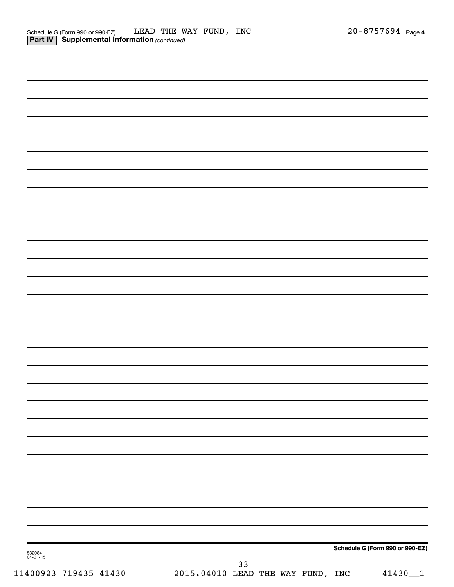| 532084<br>04-01-15 |      | Schedule G (Form 990 or 990-EZ) |
|--------------------|------|---------------------------------|
|                    | $33$ |                                 |

11400923 719435 41430 2015.04010 LEAD THE WAY FUND, INC 41430\_\_1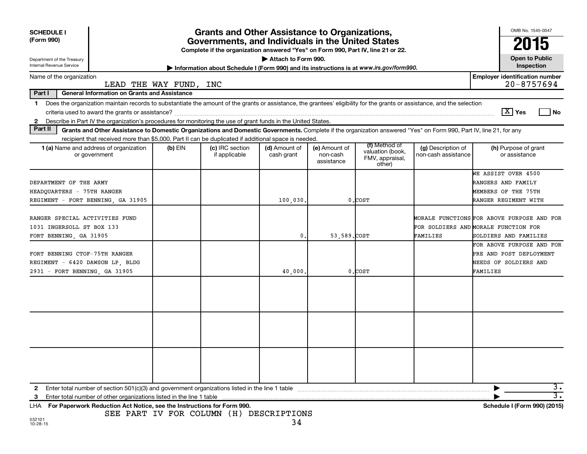| <b>SCHEDULE I</b><br>(Form 990)   |                                                                                                                                                                            |                        | <b>Grants and Other Assistance to Organizations,</b><br>Governments, and Individuals in the United States |                             |                                         |                                                                                         |                                            |                                           | OMB No. 1545-0047<br>2015 |
|-----------------------------------|----------------------------------------------------------------------------------------------------------------------------------------------------------------------------|------------------------|-----------------------------------------------------------------------------------------------------------|-----------------------------|-----------------------------------------|-----------------------------------------------------------------------------------------|--------------------------------------------|-------------------------------------------|---------------------------|
| Department of the Treasury        |                                                                                                                                                                            |                        | Complete if the organization answered "Yes" on Form 990, Part IV, line 21 or 22.                          | Attach to Form 990.         |                                         |                                                                                         |                                            |                                           | <b>Open to Public</b>     |
| Internal Revenue Service          |                                                                                                                                                                            |                        |                                                                                                           |                             |                                         | Information about Schedule I (Form 990) and its instructions is at www.irs.gov/form990. |                                            |                                           | Inspection                |
| Name of the organization          |                                                                                                                                                                            | LEAD THE WAY FUND, INC |                                                                                                           |                             |                                         |                                                                                         |                                            | <b>Employer identification number</b>     | $20 - 8757694$            |
| Part I                            | <b>General Information on Grants and Assistance</b>                                                                                                                        |                        |                                                                                                           |                             |                                         |                                                                                         |                                            |                                           |                           |
|                                   | 1 Does the organization maintain records to substantiate the amount of the grants or assistance, the grantees' eligibility for the grants or assistance, and the selection |                        |                                                                                                           |                             |                                         |                                                                                         |                                            |                                           |                           |
|                                   |                                                                                                                                                                            |                        |                                                                                                           |                             |                                         |                                                                                         |                                            | $\lceil \text{X} \rceil$ Yes              | l No                      |
| $\mathbf{2}$                      | Describe in Part IV the organization's procedures for monitoring the use of grant funds in the United States.                                                              |                        |                                                                                                           |                             |                                         |                                                                                         |                                            |                                           |                           |
| Part II                           | Grants and Other Assistance to Domestic Organizations and Domestic Governments. Complete if the organization answered "Yes" on Form 990, Part IV, line 21, for any         |                        |                                                                                                           |                             |                                         |                                                                                         |                                            |                                           |                           |
|                                   | recipient that received more than \$5,000. Part II can be duplicated if additional space is needed.                                                                        |                        |                                                                                                           |                             |                                         |                                                                                         |                                            |                                           |                           |
|                                   | 1 (a) Name and address of organization<br>or government                                                                                                                    | (b) EIN                | (c) IRC section<br>if applicable                                                                          | (d) Amount of<br>cash grant | (e) Amount of<br>non-cash<br>assistance | (f) Method of<br>valuation (book,<br>FMV, appraisal,<br>other)                          | (g) Description of<br>non-cash assistance  | (h) Purpose of grant<br>or assistance     |                           |
| DEPARTMENT OF THE ARMY            |                                                                                                                                                                            |                        |                                                                                                           |                             |                                         |                                                                                         |                                            | WE ASSIST OVER 4500<br>RANGERS AND FAMILY |                           |
| HEADQUARTERS - 75TH RANGER        |                                                                                                                                                                            |                        |                                                                                                           |                             |                                         |                                                                                         |                                            | MEMBERS OF THE 75TH                       |                           |
| REGIMENT - FORT BENNING, GA 31905 |                                                                                                                                                                            |                        |                                                                                                           | 100,030                     |                                         | 0.C                                                                                     |                                            | RANGER REGIMENT WITH                      |                           |
|                                   |                                                                                                                                                                            |                        |                                                                                                           |                             |                                         |                                                                                         |                                            |                                           |                           |
| RANGER SPECIAL ACTIVITIES FUND    |                                                                                                                                                                            |                        |                                                                                                           |                             |                                         |                                                                                         | MORALE FUNCTIONS FOR ABOVE PURPOSE AND FOR |                                           |                           |
| 1031 INGERSOLL ST BOX 133         |                                                                                                                                                                            |                        |                                                                                                           |                             |                                         |                                                                                         | FOR SOLDIERS AND MORALE FUNCTION FOR       |                                           |                           |
| FORT BENNING, GA 31905            |                                                                                                                                                                            |                        |                                                                                                           | $\mathbf{0}$                | 53,589.COST                             |                                                                                         | <b>FAMILIES</b>                            | SOLDIERS AND FAMILIES                     |                           |
|                                   |                                                                                                                                                                            |                        |                                                                                                           |                             |                                         |                                                                                         |                                            | FOR ABOVE PURPOSE AND FOR                 |                           |
| FORT BENNING CTOF-75TH RANGER     |                                                                                                                                                                            |                        |                                                                                                           |                             |                                         |                                                                                         |                                            | PRE AND POST DEPLOYMENT                   |                           |
| REGIMENT - 6420 DAWSON LP, BLDG   |                                                                                                                                                                            |                        |                                                                                                           |                             |                                         |                                                                                         |                                            | NEEDS OF SOLDIERS AND                     |                           |
| 2931 - FORT BENNING, GA 31905     |                                                                                                                                                                            |                        |                                                                                                           | 40,000                      |                                         | 0.COST                                                                                  |                                            | FAMILIES                                  |                           |
|                                   |                                                                                                                                                                            |                        |                                                                                                           |                             |                                         |                                                                                         |                                            |                                           |                           |
|                                   |                                                                                                                                                                            |                        |                                                                                                           |                             |                                         |                                                                                         |                                            |                                           |                           |
|                                   |                                                                                                                                                                            |                        |                                                                                                           |                             |                                         |                                                                                         |                                            |                                           |                           |
| $\mathbf{2}$                      |                                                                                                                                                                            |                        |                                                                                                           |                             |                                         |                                                                                         |                                            |                                           | з.                        |
| 3                                 | Enter total number of other organizations listed in the line 1 table                                                                                                       |                        |                                                                                                           |                             |                                         |                                                                                         |                                            |                                           | $\overline{3}$ .          |
|                                   | LHA For Paperwork Reduction Act Notice, see the Instructions for Form 990.                                                                                                 |                        |                                                                                                           |                             |                                         |                                                                                         |                                            | Schedule I (Form 990) (2015)              |                           |

SEE PART IV FOR COLUMN (H) DESCRIPTIONS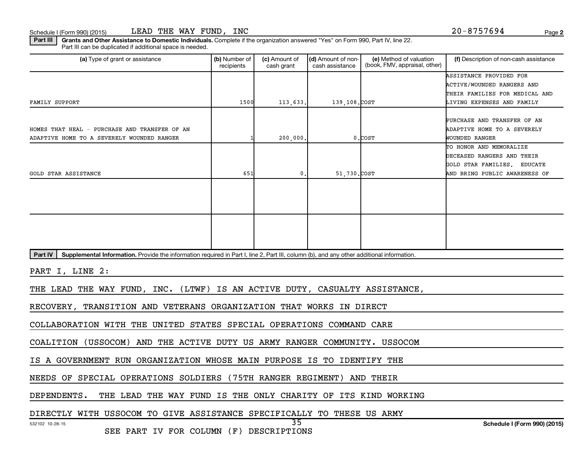Schedule I (Form 990) (2015)  $\qquad \qquad$  LEAD THE WAY FUND, INC  $\qquad \qquad 20-8757694$  Page

**2**

Part III | Grants and Other Assistance to Domestic Individuals. Complete if the organization answered "Yes" on Form 990, Part IV, line 22. Part III can be duplicated if additional space is needed.

| (a) Type of grant or assistance                                                                                                                      | (b) Number of<br>recipients | (c) Amount of<br>cash grant | (d) Amount of non-<br>cash assistance | (e) Method of valuation<br>(book, FMV, appraisal, other) | (f) Description of non-cash assistance                                                                                       |
|------------------------------------------------------------------------------------------------------------------------------------------------------|-----------------------------|-----------------------------|---------------------------------------|----------------------------------------------------------|------------------------------------------------------------------------------------------------------------------------------|
| FAMILY SUPPORT                                                                                                                                       | 1500                        |                             | 139,108.COST                          |                                                          | ASSISTANCE PROVIDED FOR<br><b>ACTIVE/WOUNDED RANGERS AND</b><br>THEIR FAMILIES FOR MEDICAL AND<br>LIVING EXPENSES AND FAMILY |
|                                                                                                                                                      |                             | 113,633.                    |                                       |                                                          |                                                                                                                              |
| HOMES THAT HEAL - PURCHASE AND TRANSFER OF AN<br>ADAPTIVE HOME TO A SEVERELY WOUNDED RANGER                                                          |                             | 200,000.                    |                                       | 0.COST                                                   | PURCHASE AND TRANSFER OF AN<br>ADAPTIVE HOME TO A SEVERELY<br>WOUNDED RANGER                                                 |
| GOLD STAR ASSISTANCE                                                                                                                                 | 651                         | $\mathbf{0}$                | 51,730.COST                           |                                                          | TO HONOR AND MEMORALIZE<br>DECEASED RANGERS AND THEIR<br>GOLD STAR FAMILIES. EDUCATE<br>AND BRING PUBLIC AWARENESS OF        |
|                                                                                                                                                      |                             |                             |                                       |                                                          |                                                                                                                              |
|                                                                                                                                                      |                             |                             |                                       |                                                          |                                                                                                                              |
| Supplemental Information. Provide the information required in Part I, line 2, Part III, column (b), and any other additional information.<br>Part IV |                             |                             |                                       |                                                          |                                                                                                                              |
| PART I, LINE 2:                                                                                                                                      |                             |                             |                                       |                                                          |                                                                                                                              |
| THE LEAD THE WAY FUND, INC. (LTWF) IS AN ACTIVE DUTY, CASUALTY ASSISTANCE,                                                                           |                             |                             |                                       |                                                          |                                                                                                                              |
| RECOVERY, TRANSITION AND VETERANS ORGANIZATION THAT WORKS IN DIRECT                                                                                  |                             |                             |                                       |                                                          |                                                                                                                              |
| COLLABORATION WITH THE UNITED STATES SPECIAL OPERATIONS COMMAND CARE                                                                                 |                             |                             |                                       |                                                          |                                                                                                                              |
| (USSOCOM) AND THE ACTIVE DUTY US ARMY RANGER COMMUNITY.<br>COALITION                                                                                 |                             |                             |                                       | USSOCOM                                                  |                                                                                                                              |
| IS A GOVERNMENT RUN ORGANIZATION WHOSE MAIN PURPOSE IS TO IDENTIFY THE                                                                               |                             |                             |                                       |                                                          |                                                                                                                              |
| NEEDS OF SPECIAL OPERATIONS SOLDIERS (75TH RANGER REGIMENT) AND THEIR                                                                                |                             |                             |                                       |                                                          |                                                                                                                              |
| THE LEAD THE WAY FUND IS THE ONLY CHARITY OF ITS KIND WORKING<br>DEPENDENTS.                                                                         |                             |                             |                                       |                                                          |                                                                                                                              |
| DIRECTLY WITH USSOCOM TO GIVE ASSISTANCE SPECIFICALLY TO THESE US ARMY                                                                               |                             |                             |                                       |                                                          |                                                                                                                              |
| 532102 10-28-15                                                                                                                                      |                             | 35                          |                                       |                                                          | Schedule I (Form 990) (2015)                                                                                                 |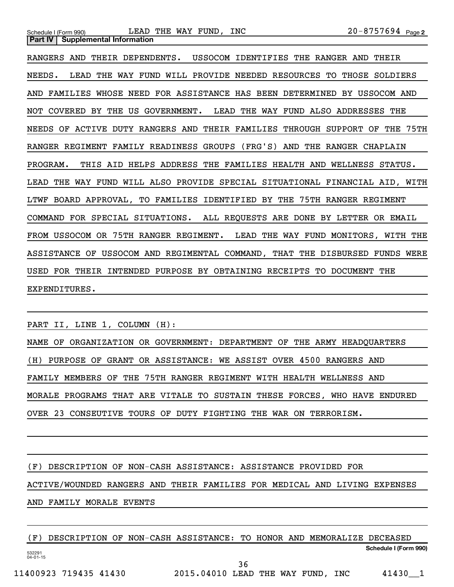|  | Schedule I (Form 990) LEAD THE WAY FUND, INC                                |  |  |  |  |  |  | 20-8757694 Page 2 |  |
|--|-----------------------------------------------------------------------------|--|--|--|--|--|--|-------------------|--|
|  | <b>Part IV   Supplemental Information</b>                                   |  |  |  |  |  |  |                   |  |
|  | RANGERS AND THEIR DEPENDENTS. USSOCOM IDENTIFIES THE RANGER AND THEIR       |  |  |  |  |  |  |                   |  |
|  | NEEDS. LEAD THE WAY FUND WILL PROVIDE NEEDED RESOURCES TO THOSE SOLDIERS    |  |  |  |  |  |  |                   |  |
|  | AND FAMILIES WHOSE NEED FOR ASSISTANCE HAS BEEN DETERMINED BY USSOCOM AND   |  |  |  |  |  |  |                   |  |
|  | NOT COVERED BY THE US GOVERNMENT. LEAD THE WAY FUND ALSO ADDRESSES THE      |  |  |  |  |  |  |                   |  |
|  | NEEDS OF ACTIVE DUTY RANGERS AND THEIR FAMILIES THROUGH SUPPORT OF THE 75TH |  |  |  |  |  |  |                   |  |
|  | RANGER REGIMENT FAMILY READINESS GROUPS (FRG'S) AND THE RANGER CHAPLAIN     |  |  |  |  |  |  |                   |  |
|  | PROGRAM. THIS AID HELPS ADDRESS THE FAMILIES HEALTH AND WELLNESS STATUS.    |  |  |  |  |  |  |                   |  |
|  | LEAD THE WAY FUND WILL ALSO PROVIDE SPECIAL SITUATIONAL FINANCIAL AID, WITH |  |  |  |  |  |  |                   |  |
|  | LTWF BOARD APPROVAL, TO FAMILIES IDENTIFIED BY THE 75TH RANGER REGIMENT     |  |  |  |  |  |  |                   |  |
|  | COMMAND FOR SPECIAL SITUATIONS. ALL REQUESTS ARE DONE BY LETTER OR EMAIL    |  |  |  |  |  |  |                   |  |
|  | FROM USSOCOM OR 75TH RANGER REGIMENT. LEAD THE WAY FUND MONITORS, WITH THE  |  |  |  |  |  |  |                   |  |

ASSISTANCE OF USSOCOM AND REGIMENTAL COMMAND, THAT THE DISBURSED FUNDS WERE USED FOR THEIR INTENDED PURPOSE BY OBTAINING RECEIPTS TO DOCUMENT THE EXPENDITURES.

PART II, LINE 1, COLUMN (H):

NAME OF ORGANIZATION OR GOVERNMENT: DEPARTMENT OF THE ARMY HEADQUARTERS (H) PURPOSE OF GRANT OR ASSISTANCE: WE ASSIST OVER 4500 RANGERS AND FAMILY MEMBERS OF THE 75TH RANGER REGIMENT WITH HEALTH WELLNESS AND MORALE PROGRAMS THAT ARE VITALE TO SUSTAIN THESE FORCES, WHO HAVE ENDURED OVER 23 CONSEUTIVE TOURS OF DUTY FIGHTING THE WAR ON TERRORISM.

(F) DESCRIPTION OF NON-CASH ASSISTANCE: ASSISTANCE PROVIDED FOR ACTIVE/WOUNDED RANGERS AND THEIR FAMILIES FOR MEDICAL AND LIVING EXPENSES

532291 04-01-15 **Schedule I (Form 990)** (F) DESCRIPTION OF NON-CASH ASSISTANCE: TO HONOR AND MEMORALIZE DECEASED

AND FAMILY MORALE EVENTS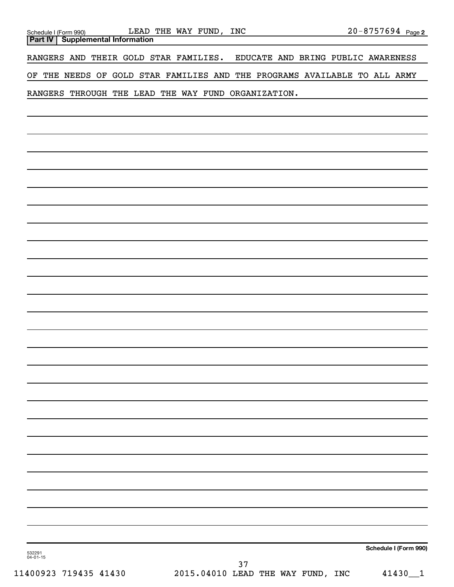| Schedule I (Form 990)<br><b>Part IV   Supplemental Information</b> | LEAD THE WAY FUND, INC                                                    | $20 - 8757694$ Page 2              |
|--------------------------------------------------------------------|---------------------------------------------------------------------------|------------------------------------|
| RANGERS AND THEIR GOLD STAR FAMILIES.                              |                                                                           | EDUCATE AND BRING PUBLIC AWARENESS |
|                                                                    | OF THE NEEDS OF GOLD STAR FAMILIES AND THE PROGRAMS AVAILABLE TO ALL ARMY |                                    |
|                                                                    | RANGERS THROUGH THE LEAD THE WAY FUND ORGANIZATION.                       |                                    |
|                                                                    |                                                                           |                                    |
|                                                                    |                                                                           |                                    |
|                                                                    |                                                                           |                                    |
|                                                                    |                                                                           |                                    |
|                                                                    |                                                                           |                                    |
|                                                                    |                                                                           |                                    |
|                                                                    |                                                                           |                                    |
|                                                                    |                                                                           |                                    |
|                                                                    |                                                                           |                                    |
|                                                                    |                                                                           |                                    |
|                                                                    |                                                                           |                                    |
|                                                                    |                                                                           |                                    |
|                                                                    |                                                                           |                                    |
|                                                                    |                                                                           |                                    |
|                                                                    |                                                                           |                                    |
|                                                                    |                                                                           |                                    |
|                                                                    |                                                                           |                                    |
|                                                                    |                                                                           |                                    |
|                                                                    |                                                                           |                                    |
|                                                                    |                                                                           |                                    |
|                                                                    |                                                                           |                                    |
|                                                                    |                                                                           |                                    |
|                                                                    |                                                                           |                                    |
|                                                                    |                                                                           |                                    |
|                                                                    |                                                                           |                                    |
|                                                                    |                                                                           | Schedule I (Form 990)              |
| 532291<br>04-01-15                                                 | 37                                                                        |                                    |
| 11400923 719435 41430                                              | 2015.04010 LEAD THE WAY FUND, INC                                         | 41430<br>$\mathbf{1}$              |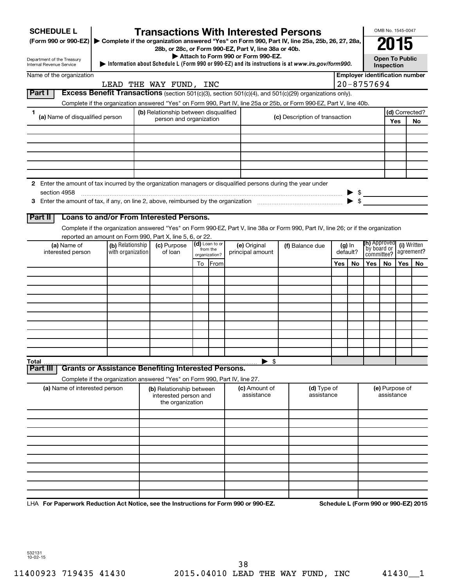| <b>SCHEDULE L</b><br>(Form 990 or 990-EZ) ▶ Complete if the organization answered "Yes" on Form 990, Part IV, line 25a, 25b, 26, 27, 28a,<br>Department of the Treasury<br>Internal Revenue Service |                                       | <b>Transactions With Interested Persons</b><br>28b, or 28c, or Form 990-EZ, Part V, line 38a or 40b. |                            | Attach to Form 990 or Form 990-EZ. | Information about Schedule L (Form 990 or 990-EZ) and its instructions is at www.irs.gov/form990.                                  |           |                      |                                       | Inspection | OMB No. 1545-0047<br>2015<br><b>Open To Public</b> |                           |
|-----------------------------------------------------------------------------------------------------------------------------------------------------------------------------------------------------|---------------------------------------|------------------------------------------------------------------------------------------------------|----------------------------|------------------------------------|------------------------------------------------------------------------------------------------------------------------------------|-----------|----------------------|---------------------------------------|------------|----------------------------------------------------|---------------------------|
| Name of the organization                                                                                                                                                                            |                                       |                                                                                                      |                            |                                    |                                                                                                                                    |           |                      | <b>Employer identification number</b> |            |                                                    |                           |
|                                                                                                                                                                                                     |                                       | LEAD THE WAY FUND, INC                                                                               |                            |                                    |                                                                                                                                    |           |                      | $20 - 8757694$                        |            |                                                    |                           |
| Part I                                                                                                                                                                                              |                                       |                                                                                                      |                            |                                    | <b>Excess Benefit Transactions</b> (section 501(c)(3), section 501(c)(4), and $501(c)(29)$ organizations only).                    |           |                      |                                       |            |                                                    |                           |
|                                                                                                                                                                                                     |                                       |                                                                                                      |                            |                                    | Complete if the organization answered "Yes" on Form 990, Part IV, line 25a or 25b, or Form 990-EZ, Part V, line 40b.               |           |                      |                                       |            |                                                    |                           |
| 1.<br>(a) Name of disqualified person                                                                                                                                                               |                                       | (b) Relationship between disqualified<br>person and organization                                     |                            |                                    | (c) Description of transaction                                                                                                     |           |                      |                                       |            |                                                    | (d) Corrected?            |
|                                                                                                                                                                                                     |                                       |                                                                                                      |                            |                                    |                                                                                                                                    |           |                      |                                       |            | Yes                                                | No                        |
|                                                                                                                                                                                                     |                                       |                                                                                                      |                            |                                    |                                                                                                                                    |           |                      |                                       |            |                                                    |                           |
|                                                                                                                                                                                                     |                                       |                                                                                                      |                            |                                    |                                                                                                                                    |           |                      |                                       |            |                                                    |                           |
|                                                                                                                                                                                                     |                                       |                                                                                                      |                            |                                    |                                                                                                                                    |           |                      |                                       |            |                                                    |                           |
|                                                                                                                                                                                                     |                                       |                                                                                                      |                            |                                    |                                                                                                                                    |           |                      |                                       |            |                                                    |                           |
|                                                                                                                                                                                                     |                                       |                                                                                                      |                            |                                    |                                                                                                                                    |           |                      |                                       |            |                                                    |                           |
| 2 Enter the amount of tax incurred by the organization managers or disqualified persons during the year under<br>section 4958                                                                       |                                       |                                                                                                      |                            |                                    |                                                                                                                                    |           |                      | $\blacktriangleright$ \$              |            |                                                    |                           |
| 3 Enter the amount of tax, if any, on line 2, above, reimbursed by the organization match match the amount of tax, if any, on line 2, above, reimbursed by the organization                         |                                       |                                                                                                      |                            |                                    |                                                                                                                                    |           |                      |                                       |            |                                                    |                           |
|                                                                                                                                                                                                     |                                       |                                                                                                      |                            |                                    |                                                                                                                                    |           |                      |                                       |            |                                                    |                           |
| Part II                                                                                                                                                                                             |                                       | Loans to and/or From Interested Persons.                                                             |                            |                                    |                                                                                                                                    |           |                      |                                       |            |                                                    |                           |
|                                                                                                                                                                                                     |                                       |                                                                                                      |                            |                                    | Complete if the organization answered "Yes" on Form 990-EZ, Part V, line 38a or Form 990, Part IV, line 26; or if the organization |           |                      |                                       |            |                                                    |                           |
|                                                                                                                                                                                                     |                                       | reported an amount on Form 990, Part X, line 5, 6, or 22.                                            |                            |                                    |                                                                                                                                    |           |                      | (h) Approved                          |            |                                                    |                           |
| (a) Name of<br>interested person                                                                                                                                                                    | (b) Relationship<br>with organization | (c) Purpose<br>of loan                                                                               | (d) Loan to or<br>from the | (e) Original<br>principal amount   | (f) Balance due                                                                                                                    |           | $(g)$ In<br>default? | by board or                           |            |                                                    | (i) Written<br>agreement? |
|                                                                                                                                                                                                     |                                       |                                                                                                      | organization?              |                                    |                                                                                                                                    | Yes<br>No |                      | committee?<br>Yes l                   |            | Yes                                                |                           |
|                                                                                                                                                                                                     |                                       |                                                                                                      | To From                    |                                    |                                                                                                                                    |           |                      |                                       | No.        |                                                    | No                        |
|                                                                                                                                                                                                     |                                       |                                                                                                      |                            |                                    |                                                                                                                                    |           |                      |                                       |            |                                                    |                           |
|                                                                                                                                                                                                     |                                       |                                                                                                      |                            |                                    |                                                                                                                                    |           |                      |                                       |            |                                                    |                           |
|                                                                                                                                                                                                     |                                       |                                                                                                      |                            |                                    |                                                                                                                                    |           |                      |                                       |            |                                                    |                           |
|                                                                                                                                                                                                     |                                       |                                                                                                      |                            |                                    |                                                                                                                                    |           |                      |                                       |            |                                                    |                           |
|                                                                                                                                                                                                     |                                       |                                                                                                      |                            |                                    |                                                                                                                                    |           |                      |                                       |            |                                                    |                           |
|                                                                                                                                                                                                     |                                       |                                                                                                      |                            |                                    |                                                                                                                                    |           |                      |                                       |            |                                                    |                           |
|                                                                                                                                                                                                     |                                       |                                                                                                      |                            |                                    |                                                                                                                                    |           |                      |                                       |            |                                                    |                           |
|                                                                                                                                                                                                     |                                       |                                                                                                      |                            |                                    |                                                                                                                                    |           |                      |                                       |            |                                                    |                           |
| Total                                                                                                                                                                                               |                                       |                                                                                                      |                            | $\blacktriangleright$ \$           |                                                                                                                                    |           |                      |                                       |            |                                                    |                           |
| Part III                                                                                                                                                                                            |                                       | <b>Grants or Assistance Benefiting Interested Persons.</b>                                           |                            |                                    |                                                                                                                                    |           |                      |                                       |            |                                                    |                           |
|                                                                                                                                                                                                     |                                       | Complete if the organization answered "Yes" on Form 990, Part IV, line 27.                           |                            |                                    |                                                                                                                                    |           |                      |                                       |            |                                                    |                           |
| (a) Name of interested person                                                                                                                                                                       |                                       | (b) Relationship between<br>interested person and<br>the organization                                |                            | (c) Amount of<br>assistance        | (d) Type of<br>assistance                                                                                                          |           |                      |                                       | assistance | (e) Purpose of                                     |                           |
|                                                                                                                                                                                                     |                                       |                                                                                                      |                            |                                    |                                                                                                                                    |           |                      |                                       |            |                                                    |                           |
|                                                                                                                                                                                                     |                                       |                                                                                                      |                            |                                    |                                                                                                                                    |           |                      |                                       |            |                                                    |                           |
|                                                                                                                                                                                                     |                                       |                                                                                                      |                            |                                    |                                                                                                                                    |           |                      |                                       |            |                                                    |                           |
|                                                                                                                                                                                                     |                                       |                                                                                                      |                            |                                    |                                                                                                                                    |           |                      |                                       |            |                                                    |                           |
|                                                                                                                                                                                                     |                                       |                                                                                                      |                            |                                    |                                                                                                                                    |           |                      |                                       |            |                                                    |                           |
|                                                                                                                                                                                                     |                                       |                                                                                                      |                            |                                    |                                                                                                                                    |           |                      |                                       |            |                                                    |                           |
|                                                                                                                                                                                                     |                                       |                                                                                                      |                            |                                    |                                                                                                                                    |           |                      |                                       |            |                                                    |                           |
|                                                                                                                                                                                                     |                                       |                                                                                                      |                            |                                    |                                                                                                                                    |           |                      |                                       |            |                                                    |                           |
|                                                                                                                                                                                                     |                                       |                                                                                                      |                            |                                    |                                                                                                                                    |           |                      |                                       |            |                                                    |                           |

LHA For Paperwork Reduction Act Notice, see the Instructions for Form 990 or 990-EZ. Schedule L (Form 990 or 990-EZ) 2015

532131 10-02-15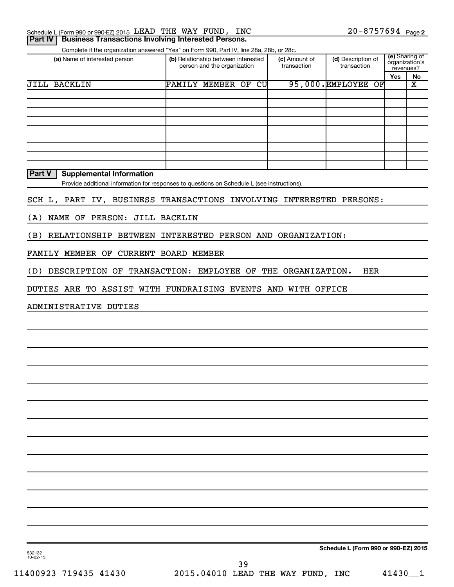|  | Schedule L (Form 990 or 990-EZ) 2015 LEAD THE WAY FUND, INC          |  |  | $20 - 8757694$ Page 2 |  |
|--|----------------------------------------------------------------------|--|--|-----------------------|--|
|  | <b>Part IV   Business Transactions Involving Interested Persons.</b> |  |  |                       |  |

Complete if the organization answered "Yes" on Form 990, Part IV, line 28a, 28b, or 28c.

| (a) Name of interested person |        | (b) Relationship between interested<br>person and the organization |    | (c) Amount of<br>transaction | (d) Description of<br>transaction |            |    |
|-------------------------------|--------|--------------------------------------------------------------------|----|------------------------------|-----------------------------------|------------|----|
|                               |        |                                                                    |    |                              |                                   | <b>Yes</b> | No |
| JILL BACKLIN                  | FAMILY | MEMBER OF                                                          | CU |                              | 95,000. EMPLOYEE OF               |            | х  |
|                               |        |                                                                    |    |                              |                                   |            |    |
|                               |        |                                                                    |    |                              |                                   |            |    |
|                               |        |                                                                    |    |                              |                                   |            |    |
|                               |        |                                                                    |    |                              |                                   |            |    |
|                               |        |                                                                    |    |                              |                                   |            |    |
|                               |        |                                                                    |    |                              |                                   |            |    |
|                               |        |                                                                    |    |                              |                                   |            |    |
|                               |        |                                                                    |    |                              |                                   |            |    |
|                               |        |                                                                    |    |                              |                                   |            |    |

**Part V Supplemental Information**

Provide additional information for responses to questions on Schedule L (see instructions).

SCH L, PART IV, BUSINESS TRANSACTIONS INVOLVING INTERESTED PERSONS:

(A) NAME OF PERSON: JILL BACKLIN

(B) RELATIONSHIP BETWEEN INTERESTED PERSON AND ORGANIZATION:

FAMILY MEMBER OF CURRENT BOARD MEMBER

(D) DESCRIPTION OF TRANSACTION: EMPLOYEE OF THE ORGANIZATION. HER

DUTIES ARE TO ASSIST WITH FUNDRAISING EVENTS AND WITH OFFICE

ADMINISTRATIVE DUTIES

**Schedule L (Form 990 or 990-EZ) 2015**

11400923 719435 41430 2015.04010 LEAD THE WAY FUND, INC 41430\_\_1 39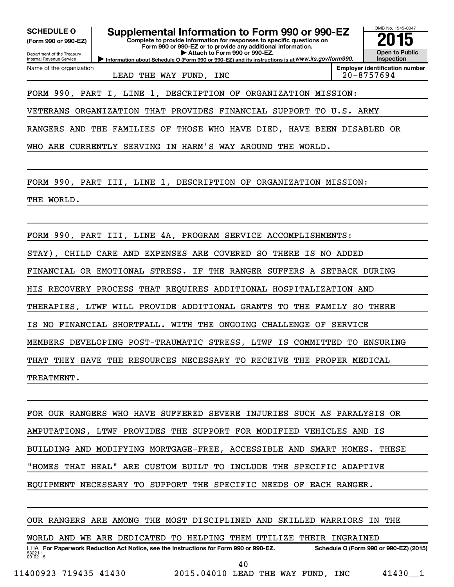| <b>SCHEDULE O</b><br>(Form 990 or 990-EZ)<br>Department of the Treasury<br>Internal Revenue Service | Supplemental Information to Form 990 or 990-EZ<br>Complete to provide information for responses to specific questions on<br>Form 990 or 990-EZ or to provide any additional information.<br>Attach to Form 990 or 990-EZ.<br>Information about Schedule O (Form 990 or 990-EZ) and its instructions is at WWW.irs.gov/form990. | OMB No. 1545-0047<br><b>Open to Public</b><br><b>Inspection</b> |  |  |  |  |  |  |
|-----------------------------------------------------------------------------------------------------|--------------------------------------------------------------------------------------------------------------------------------------------------------------------------------------------------------------------------------------------------------------------------------------------------------------------------------|-----------------------------------------------------------------|--|--|--|--|--|--|
| Name of the organization                                                                            | LEAD THE WAY FUND, INC                                                                                                                                                                                                                                                                                                         | <b>Employer identification number</b><br>20-8757694             |  |  |  |  |  |  |
|                                                                                                     | FORM 990, PART I, LINE 1, DESCRIPTION OF ORGANIZATION MISSION:                                                                                                                                                                                                                                                                 |                                                                 |  |  |  |  |  |  |
|                                                                                                     | VETERANS ORGANIZATION THAT PROVIDES FINANCIAL SUPPORT TO U.S. ARMY                                                                                                                                                                                                                                                             |                                                                 |  |  |  |  |  |  |
| RANGERS AND THE FAMILIES OF THOSE WHO HAVE DIED, HAVE BEEN DISABLED OR                              |                                                                                                                                                                                                                                                                                                                                |                                                                 |  |  |  |  |  |  |
|                                                                                                     | WHO ARE CURRENTLY SERVING IN HARM'S WAY AROUND THE WORLD.                                                                                                                                                                                                                                                                      |                                                                 |  |  |  |  |  |  |
|                                                                                                     |                                                                                                                                                                                                                                                                                                                                |                                                                 |  |  |  |  |  |  |
|                                                                                                     | FORM 990, PART III, LINE 1, DESCRIPTION OF ORGANIZATION MISSION:                                                                                                                                                                                                                                                               |                                                                 |  |  |  |  |  |  |
| THE WORLD.                                                                                          |                                                                                                                                                                                                                                                                                                                                |                                                                 |  |  |  |  |  |  |
|                                                                                                     |                                                                                                                                                                                                                                                                                                                                |                                                                 |  |  |  |  |  |  |
|                                                                                                     | FORM 990, PART III, LINE 4A, PROGRAM SERVICE ACCOMPLISHMENTS:                                                                                                                                                                                                                                                                  |                                                                 |  |  |  |  |  |  |
|                                                                                                     | STAY), CHILD CARE AND EXPENSES ARE COVERED SO THERE IS NO ADDED                                                                                                                                                                                                                                                                |                                                                 |  |  |  |  |  |  |
|                                                                                                     | FINANCIAL OR EMOTIONAL STRESS. IF THE RANGER SUFFERS A SETBACK DURING                                                                                                                                                                                                                                                          |                                                                 |  |  |  |  |  |  |
|                                                                                                     | HIS RECOVERY PROCESS THAT REQUIRES ADDITIONAL HOSPITALIZATION AND                                                                                                                                                                                                                                                              |                                                                 |  |  |  |  |  |  |
|                                                                                                     | THERAPIES, LTWF WILL PROVIDE ADDITIONAL GRANTS TO THE FAMILY SO THERE                                                                                                                                                                                                                                                          |                                                                 |  |  |  |  |  |  |
| IS.                                                                                                 | NO FINANCIAL SHORTFALL. WITH THE ONGOING CHALLENGE OF SERVICE                                                                                                                                                                                                                                                                  |                                                                 |  |  |  |  |  |  |
|                                                                                                     | MEMBERS DEVELOPING POST-TRAUMATIC STRESS, LTWF IS COMMITTED TO ENSURING                                                                                                                                                                                                                                                        |                                                                 |  |  |  |  |  |  |
|                                                                                                     | THAT THEY HAVE THE RESOURCES NECESSARY TO RECEIVE THE PROPER MEDICAL                                                                                                                                                                                                                                                           |                                                                 |  |  |  |  |  |  |
| TREATMENT.                                                                                          |                                                                                                                                                                                                                                                                                                                                |                                                                 |  |  |  |  |  |  |
|                                                                                                     |                                                                                                                                                                                                                                                                                                                                |                                                                 |  |  |  |  |  |  |
|                                                                                                     | FOR OUR RANGERS WHO HAVE SUFFERED SEVERE INJURIES SUCH AS PARALYSIS OR                                                                                                                                                                                                                                                         |                                                                 |  |  |  |  |  |  |
| AMPUTATIONS, LTWF PROVIDES THE SUPPORT FOR MODIFIED VEHICLES AND IS                                 |                                                                                                                                                                                                                                                                                                                                |                                                                 |  |  |  |  |  |  |
|                                                                                                     | BUILDING AND MODIFYING MORTGAGE-FREE, ACCESSIBLE AND SMART HOMES. THESE                                                                                                                                                                                                                                                        |                                                                 |  |  |  |  |  |  |

"HOMES THAT HEAL" ARE CUSTOM BUILT TO INCLUDE THE SPECIFIC ADAPTIVE

EQUIPMENT NECESSARY TO SUPPORT THE SPECIFIC NEEDS OF EACH RANGER.

532211 09-02-15 LHA For Paperwork Reduction Act Notice, see the Instructions for Form 990 or 990-EZ. Schedule O (Form 990 or 990-EZ) (2015) OUR RANGERS ARE AMONG THE MOST DISCIPLINED AND SKILLED WARRIORS IN THE WORLD AND WE ARE DEDICATED TO HELPING THEM UTILIZE THEIR INGRAINED 11400923 719435 41430 2015.04010 LEAD THE WAY FUND, INC 41430\_\_1 40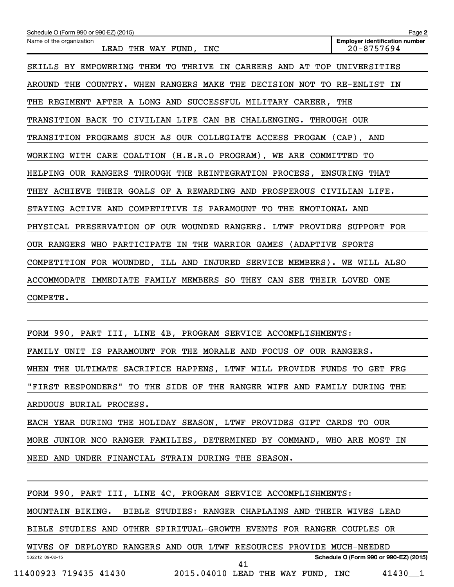| Schedule O (Form 990 or 990-EZ) (2015)                                  | Page 2                                                  |
|-------------------------------------------------------------------------|---------------------------------------------------------|
| Name of the organization<br>LEAD THE WAY FUND, INC                      | <b>Employer identification number</b><br>$20 - 8757694$ |
| SKILLS BY EMPOWERING THEM TO THRIVE IN CAREERS AND AT TOP UNIVERSITIES  |                                                         |
| AROUND THE COUNTRY. WHEN RANGERS MAKE THE DECISION NOT TO RE-ENLIST IN  |                                                         |
| THE REGIMENT AFTER A LONG AND SUCCESSFUL MILITARY CAREER, THE           |                                                         |
| TRANSITION BACK TO CIVILIAN LIFE CAN BE CHALLENGING. THROUGH OUR        |                                                         |
| TRANSITION PROGRAMS SUCH AS OUR COLLEGIATE ACCESS PROGAM (CAP), AND     |                                                         |
| WORKING WITH CARE COALTION (H.E.R.O PROGRAM), WE ARE COMMITTED TO       |                                                         |
| HELPING OUR RANGERS THROUGH THE REINTEGRATION PROCESS, ENSURING THAT    |                                                         |
| THEY ACHIEVE THEIR GOALS OF A REWARDING AND PROSPEROUS CIVILIAN LIFE.   |                                                         |
| STAYING ACTIVE AND COMPETITIVE IS PARAMOUNT TO THE EMOTIONAL AND        |                                                         |
| PHYSICAL PRESERVATION OF OUR WOUNDED RANGERS. LTWF PROVIDES SUPPORT FOR |                                                         |
| OUR RANGERS WHO PARTICIPATE IN THE WARRIOR GAMES (ADAPTIVE SPORTS       |                                                         |
| COMPETITION FOR WOUNDED, ILL AND INJURED SERVICE MEMBERS). WE WILL ALSO |                                                         |
| ACCOMMODATE IMMEDIATE FAMILY MEMBERS SO THEY CAN SEE THEIR LOVED ONE    |                                                         |
| COMPETE.                                                                |                                                         |

FORM 990, PART III, LINE 4B, PROGRAM SERVICE ACCOMPLISHMENTS:

FAMILY UNIT IS PARAMOUNT FOR THE MORALE AND FOCUS OF OUR RANGERS.

WHEN THE ULTIMATE SACRIFICE HAPPENS, LTWF WILL PROVIDE FUNDS TO GET FRG "FIRST RESPONDERS" TO THE SIDE OF THE RANGER WIFE AND FAMILY DURING THE

ARDUOUS BURIAL PROCESS.

EACH YEAR DURING THE HOLIDAY SEASON, LTWF PROVIDES GIFT CARDS TO OUR MORE JUNIOR NCO RANGER FAMILIES, DETERMINED BY COMMAND, WHO ARE MOST IN NEED AND UNDER FINANCIAL STRAIN DURING THE SEASON.

FORM 990, PART III, LINE 4C, PROGRAM SERVICE ACCOMPLISHMENTS:

MOUNTAIN BIKING. BIBLE STUDIES: RANGER CHAPLAINS AND THEIR WIVES LEAD

BIBLE STUDIES AND OTHER SPIRITUAL-GROWTH EVENTS FOR RANGER COUPLES OR

532212 09-02-15 **Schedule O (Form 990 or 990-EZ) (2015)** WIVES OF DEPLOYED RANGERS AND OUR LTWF RESOURCES PROVIDE MUCH-NEEDED 11400923 719435 41430 2015.04010 LEAD THE WAY FUND, INC 41430\_\_1 41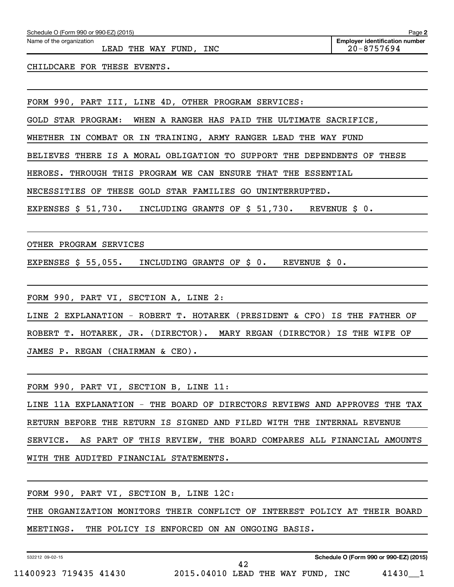Name of the organization

LEAD THE WAY FUND, INC  $20-8757694$ 

**Employer identification number**

CHILDCARE FOR THESE EVENTS.

FORM 990, PART III, LINE 4D, OTHER PROGRAM SERVICES:

GOLD STAR PROGRAM: WHEN A RANGER HAS PAID THE ULTIMATE SACRIFICE,

WHETHER IN COMBAT OR IN TRAINING, ARMY RANGER LEAD THE WAY FUND

BELIEVES THERE IS A MORAL OBLIGATION TO SUPPORT THE DEPENDENTS OF THESE

HEROES. THROUGH THIS PROGRAM WE CAN ENSURE THAT THE ESSENTIAL

NECESSITIES OF THESE GOLD STAR FAMILIES GO UNINTERRUPTED.

EXPENSES \$ 51,730. INCLUDING GRANTS OF \$ 51,730. REVENUE \$ 0.

OTHER PROGRAM SERVICES

EXPENSES \$ 55,055. INCLUDING GRANTS OF \$ 0. REVENUE \$ 0.

FORM 990, PART VI, SECTION A, LINE 2:

LINE 2 EXPLANATION - ROBERT T. HOTAREK (PRESIDENT & CFO) IS THE FATHER OF

ROBERT T. HOTAREK, JR. (DIRECTOR). MARY REGAN (DIRECTOR) IS THE WIFE OF

JAMES P. REGAN (CHAIRMAN & CEO).

FORM 990, PART VI, SECTION B, LINE 11:

LINE 11A EXPLANATION - THE BOARD OF DIRECTORS REVIEWS AND APPROVES THE TAX RETURN BEFORE THE RETURN IS SIGNED AND FILED WITH THE INTERNAL REVENUE SERVICE. AS PART OF THIS REVIEW, THE BOARD COMPARES ALL FINANCIAL AMOUNTS WITH THE AUDITED FINANCIAL STATEMENTS.

FORM 990, PART VI, SECTION B, LINE 12C:

THE ORGANIZATION MONITORS THEIR CONFLICT OF INTEREST POLICY AT THEIR BOARD

42

MEETINGS. THE POLICY IS ENFORCED ON AN ONGOING BASIS.

532212 09-02-15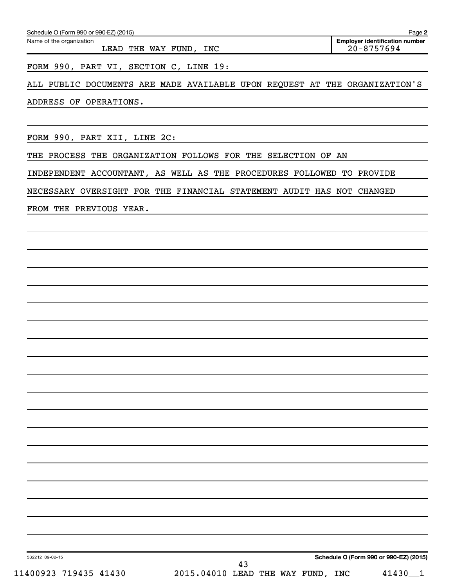Name of the organization

**Employer identification number** LEAD THE WAY FUND, INC  $20-8757694$ 

FORM 990, PART VI, SECTION C, LINE 19:

ALL PUBLIC DOCUMENTS ARE MADE AVAILABLE UPON REQUEST AT THE ORGANIZATION'S

ADDRESS OF OPERATIONS.

FORM 990, PART XII, LINE 2C:

THE PROCESS THE ORGANIZATION FOLLOWS FOR THE SELECTION OF AN

INDEPENDENT ACCOUNTANT, AS WELL AS THE PROCEDURES FOLLOWED TO PROVIDE

NECESSARY OVERSIGHT FOR THE FINANCIAL STATEMENT AUDIT HAS NOT CHANGED

FROM THE PREVIOUS YEAR.

**Schedule O (Form 990 or 990-EZ) (2015)**

532212 09-02-15

11400923 719435 41430 2015.04010 LEAD THE WAY FUND, INC 41430\_\_1

43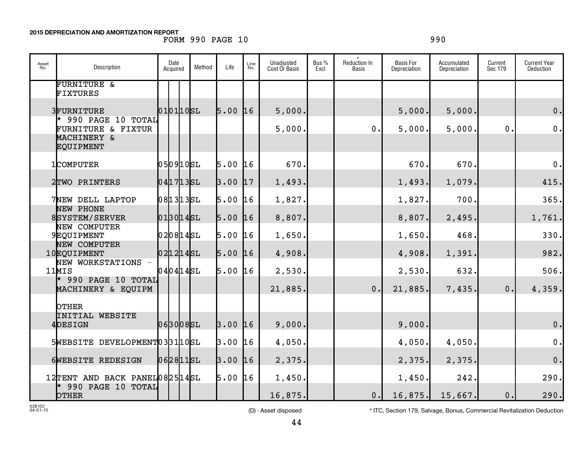#### **2015 DEPRECIATION AND AMORTIZATION REPORT**

### FORM 990 PAGE 10 990

| Asset<br>No. | Description                                 | Date<br>Acquired | Method | Life      | Line<br>No. | Unadjusted<br>Cost Or Basis | Bus %<br>Excl | Reduction In<br><b>Basis</b> | <b>Basis For</b><br>Depreciation | Accumulated<br>Depreciation | Current<br>Sec 179 | <b>Current Year</b><br>Deduction |
|--------------|---------------------------------------------|------------------|--------|-----------|-------------|-----------------------------|---------------|------------------------------|----------------------------------|-----------------------------|--------------------|----------------------------------|
|              | <b>FURNITURE &amp;</b><br>FIXTURES          |                  |        |           |             |                             |               |                              |                                  |                             |                    |                                  |
|              | 3FURNITURE                                  | 010110           |        | $5.00$ 16 |             | 5,000.                      |               |                              | 5,000.                           | 5,000.                      |                    | 0.                               |
|              | * 990 PAGE 10 TOTAL<br>FURNITURE & FIXTUR   |                  |        |           |             | 5,000.                      |               | 0.                           | 5,000.                           | 5,000.                      | 0.                 | $\mathbf 0$ .                    |
|              | MACHINERY &<br><b>EQUIPMENT</b>             |                  |        |           |             |                             |               |                              |                                  |                             |                    |                                  |
|              | 1COMPUTER                                   | 0509105L         |        | $5.00$ 16 |             | 670.                        |               |                              | 670.                             | 670.                        |                    | 0.                               |
|              | 2TWO PRINTERS                               | 0417135L         |        | 3.00      | 17          | 1,493.                      |               |                              | 1,493.                           | 1,079.                      |                    | 415.                             |
|              | 7NEW DELL LAPTOP                            | 0813135L         |        | 5.00      | 16          | 1,827.                      |               |                              | 1,827.                           | 700.                        |                    | 365.                             |
|              | <b>NEW PHONE</b><br>8SYSTEM/SERVER          | $013014$ SL      |        | $5.00$ 16 |             | 8,807.                      |               |                              | 8,807.                           | 2,495.                      |                    | 1,761.                           |
|              | <b>NEW COMPUTER</b><br>9EQUIPMENT           | 0208145L         |        | $5.00$ 16 |             | 1,650.                      |               |                              | 1,650.                           | 468.                        |                    | 330.                             |
|              | NEW COMPUTER<br>10EQUIPMENT                 | $ 02 12 14$ SL   |        | $5.00$ 16 |             | 4,908.                      |               |                              | 4,908.                           | 1,391.                      |                    | 982.                             |
|              | NEW WORKSTATIONS -<br>11MIS                 | $040414$ SL      |        | $5.00$ 16 |             | 2,530.                      |               |                              | 2,530.                           | 632.                        |                    | 506.                             |
|              | $*$ 990 PAGE 10 TOTAL<br>MACHINERY & EQUIPM |                  |        |           |             | 21,885.                     |               | 0.                           | 21,885.                          | 7,435.                      | 0.                 | 4,359.                           |
|              | <b>OTHER</b>                                |                  |        |           |             |                             |               |                              |                                  |                             |                    |                                  |
|              | <b>INITIAL WEBSITE</b><br>4DESIGN           | 063008SL         |        | $3.00$ 16 |             | 9,000.                      |               |                              | 9,000.                           |                             |                    | 0.                               |
|              | 5WEBSITE DEVELOPMENT033110SL                |                  |        | $3.00$ 16 |             | 4,050.                      |               |                              | 4,050.                           | 4,050.                      |                    | $\mathbf 0$                      |
|              | 6WEBSITE REDESIGN                           | $062811$ SL      |        | $3.00$ 16 |             | 2,375.                      |               |                              | 2,375.                           | 2,375.                      |                    | 0.                               |
|              | 12TENT AND BACK PANEL082514SL               |                  |        | 5.00      | 16          | 1,450.                      |               |                              | 1,450.                           | 242.                        |                    | 290.                             |
|              | 990 PAGE 10 TOTAL<br>OTHER                  |                  |        |           |             | 16,875.                     |               | 0.1                          | 16,875.                          | 15,667.                     | 0.                 | 290.                             |

(D) - Asset disposed \* ITC, Section 179, Salvage, Bonus, Commercial Revitalization Deduction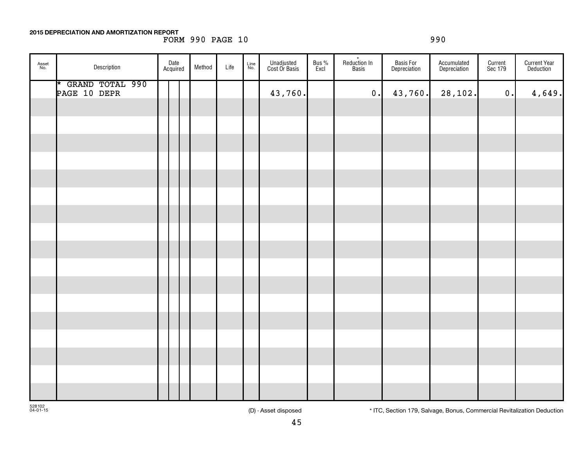#### **2015 DEPRECIATION AND AMORTIZATION REPORT**

### FORM 990 PAGE 10 990

| Asset<br>No. | Description                       | Date<br>Acquired |  | Method | Life | Line<br>No. | Unadjusted<br>Cost Or Basis | Bus %<br>Excl | Reduction In<br>Basis | Basis For<br>Depreciation | Accumulated<br>Depreciation | Current<br>Sec 179 | <b>Current Year</b><br>Deduction |
|--------------|-----------------------------------|------------------|--|--------|------|-------------|-----------------------------|---------------|-----------------------|---------------------------|-----------------------------|--------------------|----------------------------------|
|              | * GRAND TOTAL 990<br>PAGE 10 DEPR |                  |  |        |      |             | 43,760.                     |               | $\mathbf 0$ .         | 43,760.                   | 28,102.                     | $\mathfrak o$ .    | 4,649.                           |
|              |                                   |                  |  |        |      |             |                             |               |                       |                           |                             |                    |                                  |
|              |                                   |                  |  |        |      |             |                             |               |                       |                           |                             |                    |                                  |
|              |                                   |                  |  |        |      |             |                             |               |                       |                           |                             |                    |                                  |
|              |                                   |                  |  |        |      |             |                             |               |                       |                           |                             |                    |                                  |
|              |                                   |                  |  |        |      |             |                             |               |                       |                           |                             |                    |                                  |
|              |                                   |                  |  |        |      |             |                             |               |                       |                           |                             |                    |                                  |
|              |                                   |                  |  |        |      |             |                             |               |                       |                           |                             |                    |                                  |
|              |                                   |                  |  |        |      |             |                             |               |                       |                           |                             |                    |                                  |
|              |                                   |                  |  |        |      |             |                             |               |                       |                           |                             |                    |                                  |
|              |                                   |                  |  |        |      |             |                             |               |                       |                           |                             |                    |                                  |
|              |                                   |                  |  |        |      |             |                             |               |                       |                           |                             |                    |                                  |
|              |                                   |                  |  |        |      |             |                             |               |                       |                           |                             |                    |                                  |
|              |                                   |                  |  |        |      |             |                             |               |                       |                           |                             |                    |                                  |
|              |                                   |                  |  |        |      |             |                             |               |                       |                           |                             |                    |                                  |
|              |                                   |                  |  |        |      |             |                             |               |                       |                           |                             |                    |                                  |
|              |                                   |                  |  |        |      |             |                             |               |                       |                           |                             |                    |                                  |
|              |                                   |                  |  |        |      |             |                             |               |                       |                           |                             |                    |                                  |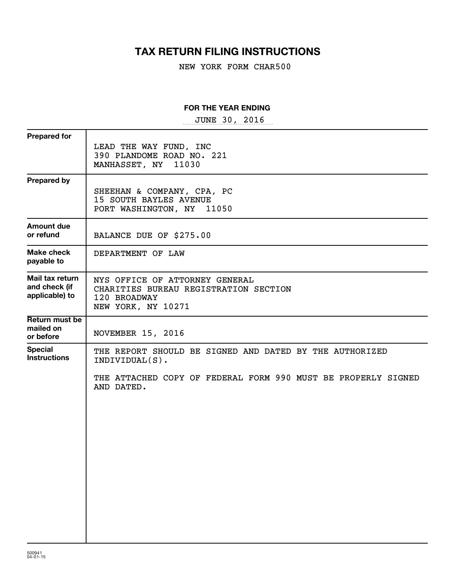## **TAX RETURN FILING INSTRUCTIONS**

NEW YORK FORM CHAR500

#### **FOR THE YEAR ENDING**

~~~~~~~~~~~~~~~~~ JUNE 30, 2016

| <b>Prepared for</b>                                |                                                                                                                                                          |
|----------------------------------------------------|----------------------------------------------------------------------------------------------------------------------------------------------------------|
|                                                    | LEAD THE WAY FUND, INC<br>390 PLANDOME ROAD NO. 221<br><b>MANHASSET, NY</b><br>11030                                                                     |
| <b>Prepared by</b>                                 | SHEEHAN & COMPANY, CPA, PC<br>15 SOUTH BAYLES AVENUE<br>PORT WASHINGTON, NY 11050                                                                        |
| <b>Amount due</b><br>or refund                     | BALANCE DUE OF \$275.00                                                                                                                                  |
| <b>Make check</b><br>payable to                    | DEPARTMENT OF LAW                                                                                                                                        |
| Mail tax return<br>and check (if<br>applicable) to | NYS OFFICE OF ATTORNEY GENERAL<br>CHARITIES BUREAU REGISTRATION SECTION<br>120 BROADWAY<br>NEW YORK, NY 10271                                            |
| Return must be<br>mailed on<br>or before           | NOVEMBER 15, 2016                                                                                                                                        |
| <b>Special</b><br><b>Instructions</b>              | THE REPORT SHOULD BE SIGNED AND DATED BY THE AUTHORIZED<br>INDIVIDUAL(S).<br>THE ATTACHED COPY OF FEDERAL FORM 990 MUST BE PROPERLY SIGNED<br>AND DATED. |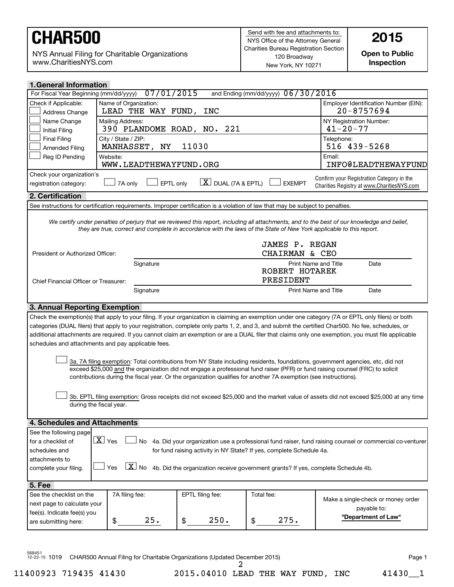NYS Annual Filing for Charitable Organizations www.CharitiesNYS.com

**Open to Public Inspection**

| <b>1. General Information</b>                                                                                                                                                                                                                                                                                                                                                                                                                                                                                               |                                                                                                                                                                                                        |                                           |                                         |                                                                                                                                                     |  |  |  |  |
|-----------------------------------------------------------------------------------------------------------------------------------------------------------------------------------------------------------------------------------------------------------------------------------------------------------------------------------------------------------------------------------------------------------------------------------------------------------------------------------------------------------------------------|--------------------------------------------------------------------------------------------------------------------------------------------------------------------------------------------------------|-------------------------------------------|-----------------------------------------|-----------------------------------------------------------------------------------------------------------------------------------------------------|--|--|--|--|
| For Fiscal Year Beginning (mm/dd/yyyy)                                                                                                                                                                                                                                                                                                                                                                                                                                                                                      | 07/01/2015                                                                                                                                                                                             |                                           | and Ending (mm/dd/yyyy) 06/30/2016      |                                                                                                                                                     |  |  |  |  |
| Check if Applicable:<br>Address Change                                                                                                                                                                                                                                                                                                                                                                                                                                                                                      | Name of Organization:<br>Employer Identification Number (EIN):<br>$20 - 8757694$<br>LEAD THE WAY FUND, INC                                                                                             |                                           |                                         |                                                                                                                                                     |  |  |  |  |
| Name Change<br><b>Initial Filing</b>                                                                                                                                                                                                                                                                                                                                                                                                                                                                                        | Mailing Address:<br>390 PLANDOME ROAD, NO. 221                                                                                                                                                         | NY Registration Number:<br>$41 - 20 - 77$ |                                         |                                                                                                                                                     |  |  |  |  |
| <b>Final Filing</b><br>Amended Filing                                                                                                                                                                                                                                                                                                                                                                                                                                                                                       | City / State / ZIP:<br>MANHASSET, NY                                                                                                                                                                   | Telephone:<br>516 439-5268                |                                         |                                                                                                                                                     |  |  |  |  |
| Reg ID Pending<br>Website:<br>Email:<br>WWW.LEADTHEWAYFUND.ORG<br><b>INFO@LEADTHEWAYFUND</b>                                                                                                                                                                                                                                                                                                                                                                                                                                |                                                                                                                                                                                                        |                                           |                                         |                                                                                                                                                     |  |  |  |  |
| registration category:                                                                                                                                                                                                                                                                                                                                                                                                                                                                                                      | Check your organization's<br>Confirm your Registration Category in the<br>$\boxed{\textbf{X}}$ DUAL (7A & EPTL)<br><b>EXEMPT</b><br>7A only<br>EPTL only<br>Charities Registry at www.CharitiesNYS.com |                                           |                                         |                                                                                                                                                     |  |  |  |  |
| 2. Certification                                                                                                                                                                                                                                                                                                                                                                                                                                                                                                            |                                                                                                                                                                                                        |                                           |                                         |                                                                                                                                                     |  |  |  |  |
|                                                                                                                                                                                                                                                                                                                                                                                                                                                                                                                             | See instructions for certification requirements. Improper certification is a violation of law that may be subject to penalties.                                                                        |                                           |                                         |                                                                                                                                                     |  |  |  |  |
| President or Authorized Officer:                                                                                                                                                                                                                                                                                                                                                                                                                                                                                            | they are true, correct and complete in accordance with the laws of the State of New York applicable to this report.                                                                                    |                                           | <b>JAMES P. REGAN</b><br>CHAIRMAN & CEO | We certify under penalties of perjury that we reviewed this report, including all attachments, and to the best of our knowledge and belief,         |  |  |  |  |
|                                                                                                                                                                                                                                                                                                                                                                                                                                                                                                                             | Signature                                                                                                                                                                                              |                                           | ROBERT HOTAREK                          | <b>Print Name and Title</b><br>Date                                                                                                                 |  |  |  |  |
| Chief Financial Officer or Treasurer:                                                                                                                                                                                                                                                                                                                                                                                                                                                                                       |                                                                                                                                                                                                        |                                           | PRESIDENT                               |                                                                                                                                                     |  |  |  |  |
|                                                                                                                                                                                                                                                                                                                                                                                                                                                                                                                             | Signature                                                                                                                                                                                              |                                           |                                         | Print Name and Title<br>Date                                                                                                                        |  |  |  |  |
| 3. Annual Reporting Exemption                                                                                                                                                                                                                                                                                                                                                                                                                                                                                               |                                                                                                                                                                                                        |                                           |                                         |                                                                                                                                                     |  |  |  |  |
|                                                                                                                                                                                                                                                                                                                                                                                                                                                                                                                             |                                                                                                                                                                                                        |                                           |                                         | Check the exemption(s) that apply to your filing. If your organization is claiming an exemption under one category (7A or EPTL only filers) or both |  |  |  |  |
|                                                                                                                                                                                                                                                                                                                                                                                                                                                                                                                             |                                                                                                                                                                                                        |                                           |                                         | categories (DUAL filers) that apply to your registration, complete only parts 1, 2, and 3, and submit the certified Char500. No fee, schedules, or  |  |  |  |  |
|                                                                                                                                                                                                                                                                                                                                                                                                                                                                                                                             |                                                                                                                                                                                                        |                                           |                                         | additional attachments are required. If you cannot claim an exemption or are a DUAL filer that claims only one exemption, you must file applicable  |  |  |  |  |
|                                                                                                                                                                                                                                                                                                                                                                                                                                                                                                                             | schedules and attachments and pay applicable fees.                                                                                                                                                     |                                           |                                         |                                                                                                                                                     |  |  |  |  |
| 3a. 7A filing exemption: Total contributions from NY State including residents, foundations, government agencies, etc, did not<br>exceed \$25,000 and the organization did not engage a professional fund raiser (PFR) or fund raising counsel (FRC) to solicit<br>contributions during the fiscal year. Or the organization qualifies for another 7A exemption (see instructions).<br>3b. EPTL filing exemption: Gross receipts did not exceed \$25,000 and the market value of assets did not exceed \$25,000 at any time |                                                                                                                                                                                                        |                                           |                                         |                                                                                                                                                     |  |  |  |  |
|                                                                                                                                                                                                                                                                                                                                                                                                                                                                                                                             | during the fiscal year.                                                                                                                                                                                |                                           |                                         |                                                                                                                                                     |  |  |  |  |
|                                                                                                                                                                                                                                                                                                                                                                                                                                                                                                                             |                                                                                                                                                                                                        |                                           |                                         |                                                                                                                                                     |  |  |  |  |
| 4. Schedules and Attachments                                                                                                                                                                                                                                                                                                                                                                                                                                                                                                |                                                                                                                                                                                                        |                                           |                                         |                                                                                                                                                     |  |  |  |  |
| See the following page<br>$X$ Yes<br>No 4a. Did your organization use a professional fund raiser, fund raising counsel or commercial co-venturer<br>for a checklist of<br>for fund raising activity in NY State? If yes, complete Schedule 4a.<br>schedules and<br>attachments to                                                                                                                                                                                                                                           |                                                                                                                                                                                                        |                                           |                                         |                                                                                                                                                     |  |  |  |  |
| $\lfloor x \rfloor$ No 4b. Did the organization receive government grants? If yes, complete Schedule 4b.<br>Yes<br>complete your filing.                                                                                                                                                                                                                                                                                                                                                                                    |                                                                                                                                                                                                        |                                           |                                         |                                                                                                                                                     |  |  |  |  |
| 5. Fee                                                                                                                                                                                                                                                                                                                                                                                                                                                                                                                      |                                                                                                                                                                                                        |                                           |                                         |                                                                                                                                                     |  |  |  |  |
| See the checklist on the<br>next page to calculate your                                                                                                                                                                                                                                                                                                                                                                                                                                                                     | 7A filing fee:                                                                                                                                                                                         | EPTL filing fee:                          | Total fee:                              | Make a single-check or money order                                                                                                                  |  |  |  |  |
| fee(s). Indicate fee(s) you<br>are submitting here:                                                                                                                                                                                                                                                                                                                                                                                                                                                                         | 25.<br>\$                                                                                                                                                                                              | 250.<br>\$                                | 275.<br>\$                              | payable to:<br>"Department of Law"                                                                                                                  |  |  |  |  |
|                                                                                                                                                                                                                                                                                                                                                                                                                                                                                                                             |                                                                                                                                                                                                        |                                           |                                         |                                                                                                                                                     |  |  |  |  |

568451 12-22-15 1019 CHAR500 Annual Filing for Charitable Organizations (Updated December 2015) Page 1 2

11400923 719435 41430 2015.04010 LEAD THE WAY FUND, INC 41430\_\_1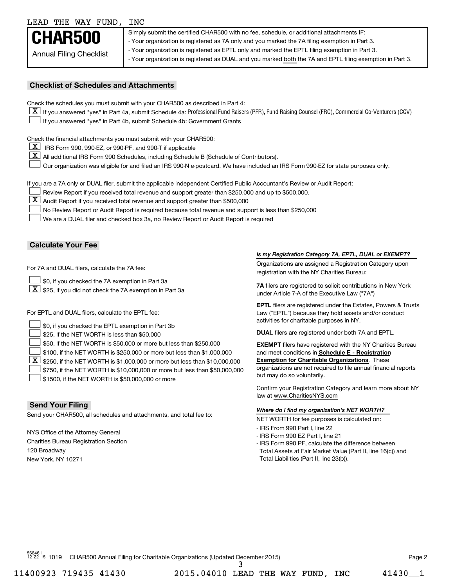#### LEAD THE WAY FUND, INC

|                                | Simply submit the certified CHAR500 with no fee, schedule, or additional attachments IF:                  |
|--------------------------------|-----------------------------------------------------------------------------------------------------------|
| <b>CHAR500</b>                 | - Your organization is registered as 7A only and you marked the 7A filing exemption in Part 3.            |
| <b>Annual Filing Checklist</b> | - Your organization is registered as EPTL only and marked the EPTL filing exemption in Part 3.            |
|                                | - Your organization is registered as DUAL and you marked both the 7A and EPTL filing exemption in Part 3. |

#### **Checklist of Schedules and Attachments**

Check the schedules you must submit with your CHAR500 as described in Part 4:

- If you answered "yes" in Part 4a, submit Schedule 4a: Professional Fund Raisers (PFR), Fund Raising Counsel (FRC), Commercial Co-Venturers (CCV)
- If you answered "yes" in Part 4b, submit Schedule 4b: Government Grants

Check the financial attachments you must submit with your CHAR500:

- $\boxed{\textbf{X}}$  IRS Form 990, 990-EZ, or 990-PF, and 990-T if applicable
- **X** All additional IRS Form 990 Schedules, including Schedule B (Schedule of Contributors).
- Our organization was eligible for and filed an IRS 990-N e-postcard. We have included an IRS Form 990-EZ for state purposes only. †

If you are a 7A only or DUAL filer, submit the applicable independent Certified Public Accountant's Review or Audit Report:

- Review Report if you received total revenue and support greater than \$250,000 and up to \$500,000.
- $\boxed{\textbf{X}}$  Audit Report if you received total revenue and support greater than \$500,000

No Review Report or Audit Report is required because total revenue and support is less than \$250,000  $\Box$ 

We are a DUAL filer and checked box 3a, no Review Report or Audit Report is required  $\Box$ 

#### **Calculate Your Fee**

 $\perp$  \$0, if you checked the 7A exemption in Part 3a

 $\boxed{\text{X}}$ 

For EPTL and DUAL filers, calculate the EPTL fee:

- \$0, if you checked the EPTL exemption in Part 3b  $\Box$
- \$25, if the NET WORTH is less than \$50,000  $\Box$
- $\Box$
- \$100, if the NET WORTH is \$250,000 or more but less than \$1,000,000  $\Box$
- $\boxed{\textbf{X}}$  \$250, if the NET WORTH is \$1,000,000 or more but less than \$10,000,000
- \$750, if the NET WORTH is \$10,000,000 or more but less than \$50,000,000  $\Box$
- \$1500, if the NET WORTH is \$50,000,000 or more  $\Box$

#### **Send Your Filing**

Net do this is the purposes is calculated on:<br>NET WORTH for fee purposes is calculated on:

NYS Office of the Attorney General Charities Bureau Registration Section 120 Broadway New York, NY 10271

#### *Is my Registration Category 7A, EPTL, DUAL or EXEMPT?*

Organizations are assigned a Registration Category upon For 7A and DUAL filers, calculate the 7A fee:<br>registration with the NY Charities Bureau:

**7A** \$0, if you checked the 7A exemption in Part 3a filers are registered to solicit contributions in New York under Article 7-A of the Executive Law ("7A")

> **EPTL** filers are registered under the Estates, Powers & Trusts Law ("EPTL") because they hold assets and/or conduct activities for charitable purposes in NY.

**DUAL** filers are registered under both 7A and EPTL.

\$50, if the NET WORTH is \$50,000 or more but less than \$250,000 **filers have registered with the NY Charities Bureau** and meet conditions in **Schedule E - Registration Exemption for Charitable Organizations** . These organizations are not required to file annual financial reports but may do so voluntarily.

> Confirm your Registration Category and learn more about NY law at www.CharitiesNYS.com

#### *Where do I find my organization's NET WORTH?*

- IRS From 990 Part I, line 22
- IRS Form 990 EZ Part I, line 21
- IRS Form 990 PF, calculate the difference between Total Assets at Fair Market Value (Part II, line 16(c)) and Total Liabilities (Part II, line 23(b)).

568461 12-22-15 1019 CHAR500 Annual Filing for Charitable Organizations (Updated December 2015) Page 2

11400923 719435 41430 2015.04010 LEAD THE WAY FUND, INC 41430\_\_1

3